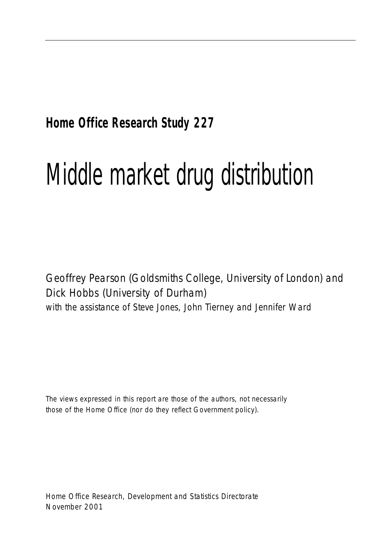### **Home Office Research Study 227**

# Middle market drug distribution

Geoffrey Pearson (Goldsmiths College, University of London) and Dick Hobbs (University of Durham) with the assistance of Steve Jones, John Tierney and Jennifer Ward

*The views expressed in this report are those of the authors, not necessarily those of the Home Office (nor do they reflect Government policy).*

Home Office Research, Development and Statistics Directorate November 2001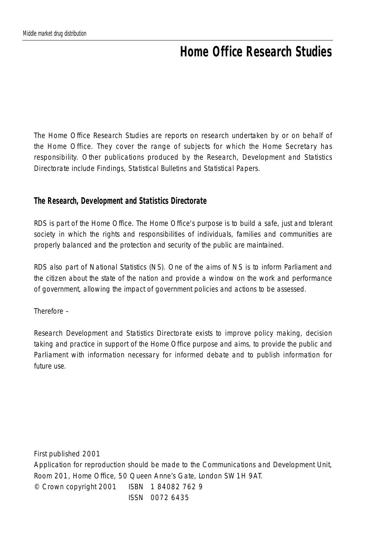### **Home Office Research Studies**

The Home Office Research Studies are reports on research undertaken by or on behalf of the Home Office. They cover the range of subjects for which the Home Secretary has responsibility. Other publications produced by the Research, Development and Statistics Directorate include Findings, Statistical Bulletins and Statistical Papers.

#### **The Research, Development and Statistics Directorate**

RDS is part of the Home Office. The Home Office's purpose is to build a safe, just and tolerant society in which the rights and responsibilities of individuals, families and communities are properly balanced and the protection and security of the public are maintained.

RDS also part of National Statistics (NS). One of the aims of NS is to inform Parliament and the citizen about the state of the nation and provide a window on the work and performance of government, allowing the impact of government policies and actions to be assessed.

Therefore –

Research Development and Statistics Directorate exists to improve policy making, decision taking and practice in support of the Home Office purpose and aims, to provide the public and Parliament with information necessary for informed debate and to publish information for future use.

First published 2001 Application for reproduction should be made to the Communications and Development Unit, Room 201, Home Office, 50 Queen Anne's Gate, London SW1H 9AT. © Crown copyright 2001 ISBN 1 84082 762 9 ISSN 0072 6435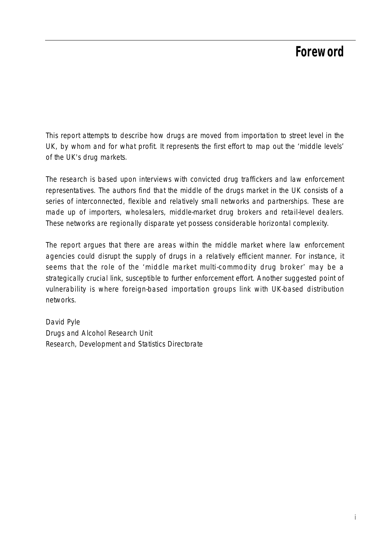### **Foreword**

This report attempts to describe how drugs are moved from importation to street level in the UK, by whom and for what profit. It represents the first effort to map out the 'middle levels' of the UK's drug markets.

The research is based upon interviews with convicted drug traffickers and law enforcement representatives. The authors find that the middle of the drugs market in the UK consists of a series of interconnected, flexible and relatively small networks and partnerships. These are made up of importers, wholesalers, middle-market drug brokers and retail-level dealers. These networks are regionally disparate yet possess considerable horizontal complexity.

The report argues that there are areas within the middle market where law enforcement agencies could disrupt the supply of drugs in a relatively efficient manner. For instance, it seems that the role of the 'middle market multi-commodity drug broker' may be a strategically crucial link, susceptible to further enforcement effort. Another suggested point of vulnerability is where foreign-based importation groups link with UK-based distribution networks.

David Pyle Drugs and Alcohol Research Unit Research, Development and Statistics Directorate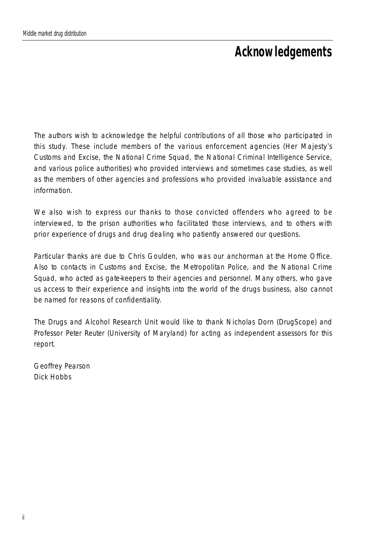### **Acknowledgements**

The authors wish to acknowledge the helpful contributions of all those who participated in this study. These include members of the various enforcement agencies (Her Majesty's Customs and Excise, the National Crime Squad, the National Criminal Intelligence Service, and various police authorities) who provided interviews and sometimes case studies, as well as the members of other agencies and professions who provided invaluable assistance and information.

We also wish to express our thanks to those convicted offenders who agreed to be interviewed, to the prison authorities who facilitated those interviews, and to others with prior experience of drugs and drug dealing who patiently answered our questions.

Particular thanks are due to Chris Goulden, who was our anchorman at the Home Office. Also to contacts in Customs and Excise, the Metropolitan Police, and the National Crime Squad, who acted as gate-keepers to their agencies and personnel. Many others, who gave us access to their experience and insights into the world of the drugs business, also cannot be named for reasons of confidentiality.

The Drugs and Alcohol Research Unit would like to thank Nicholas Dorn (DrugScope) and Professor Peter Reuter (University of Maryland) for acting as independent assessors for this report.

Geoffrey Pearson Dick Hobbs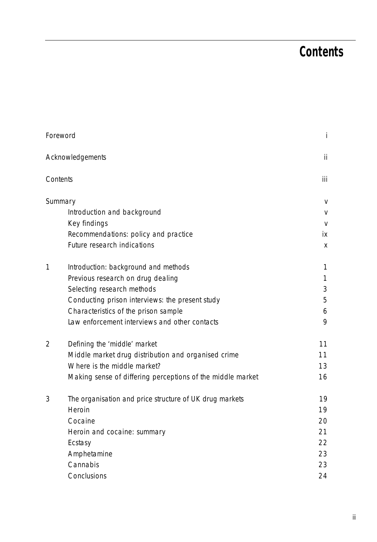## **Contents**

|                | Foreword                                                   | Ť      |
|----------------|------------------------------------------------------------|--------|
|                | Acknowledgements                                           | Ϊİ     |
|                | Contents                                                   | iii    |
|                | Summary                                                    | v      |
|                | Introduction and background                                | $\vee$ |
|                | Key findings                                               | $\vee$ |
|                | Recommendations: policy and practice                       | iх     |
|                | Future research indications                                | X      |
| 1              | Introduction: background and methods                       | 1      |
|                | Previous research on drug dealing                          | 1      |
|                | Selecting research methods                                 | 3      |
|                | Conducting prison interviews: the present study            | 5      |
|                | Characteristics of the prison sample                       | 6      |
|                | Law enforcement interviews and other contacts              | 9      |
| $\overline{2}$ | Defining the 'middle' market                               | 11     |
|                | Middle market drug distribution and organised crime        | 11     |
|                | Where is the middle market?                                | 13     |
|                | Making sense of differing perceptions of the middle market | 16     |
| 3              | The organisation and price structure of UK drug markets    | 19     |
|                | Heroin                                                     | 19     |
|                | Cocaine                                                    | 20     |
|                | Heroin and cocaine: summary                                | 21     |
|                | Ecstasy                                                    | 22     |
|                | Amphetamine                                                | 23     |
|                | Cannabis                                                   | 23     |
|                | Conclusions                                                | 24     |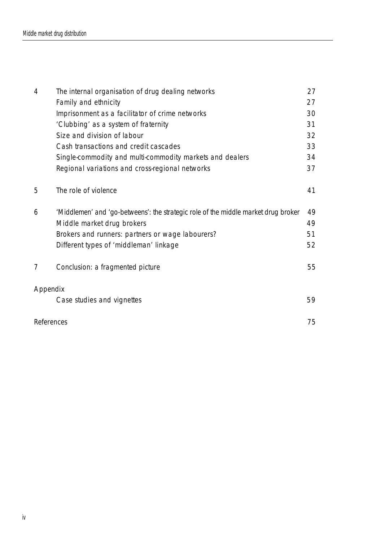| 4          | The internal organisation of drug dealing networks                                 | 27 |
|------------|------------------------------------------------------------------------------------|----|
|            | Family and ethnicity                                                               | 27 |
|            | Imprisonment as a facilitator of crime networks                                    | 30 |
|            | 'Clubbing' as a system of fraternity                                               | 31 |
|            | Size and division of labour                                                        | 32 |
|            | Cash transactions and credit cascades                                              | 33 |
|            | Single-commodity and multi-commodity markets and dealers                           | 34 |
|            | Regional variations and cross-regional networks                                    | 37 |
| 5          | The role of violence                                                               | 41 |
| 6          | 'Middlemen' and 'go-betweens': the strategic role of the middle market drug broker | 49 |
|            | Middle market drug brokers                                                         | 49 |
|            | Brokers and runners: partners or wage labourers?                                   | 51 |
|            | Different types of 'middleman' linkage                                             | 52 |
| 7          | Conclusion: a fragmented picture                                                   | 55 |
| Appendix   |                                                                                    |    |
|            | Case studies and vignettes                                                         | 59 |
| References |                                                                                    | 75 |
|            |                                                                                    |    |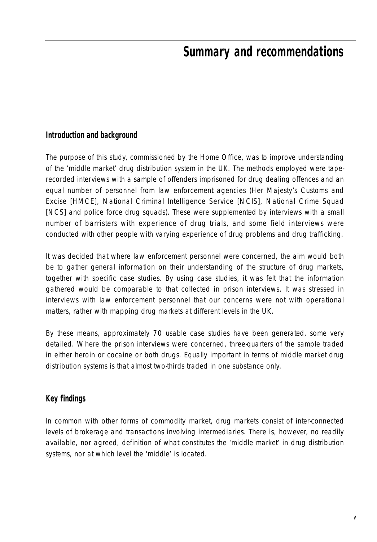### **Summary and recommendations**

#### **Introduction and background**

The purpose of this study, commissioned by the Home Office, was to improve understanding of the 'middle market' drug distribution system in the UK. The methods employed were taperecorded interviews with a sample of offenders imprisoned for drug dealing offences and an equal number of personnel from law enforcement agencies (Her Majesty's Customs and Excise [HMCE], National Criminal Intelligence Service [NCIS], National Crime Squad [NCS] and police force drug squads). These were supplemented by interviews with a small number of barristers with experience of drug trials, and some field interviews were conducted with other people with varying experience of drug problems and drug trafficking.

It was decided that where law enforcement personnel were concerned, the aim would both be to gather general information on their understanding of the structure of drug markets, together with specific case studies. By using case studies, it was felt that the information gathered would be comparable to that collected in prison interviews. It was stressed in interviews with law enforcement personnel that our concerns were not with operational matters, rather with mapping drug markets at different levels in the UK.

By these means, approximately 70 usable case studies have been generated, some very detailed. Where the prison interviews were concerned, three-quarters of the sample traded in either heroin or cocaine or both drugs. Equally important in terms of middle market drug distribution systems is that almost two-thirds traded in one substance only.

### **Key findings**

In common with other forms of commodity market, drug markets consist of inter-connected levels of brokerage and transactions involving intermediaries. There is, however, no readily available, nor agreed, definition of what constitutes the 'middle market' in drug distribution systems, nor at which level the 'middle' is located.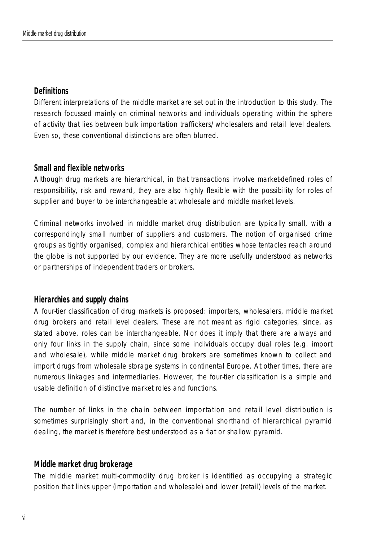#### *Definitions*

Different interpretations of the middle market are set out in the introduction to this study. The research focussed mainly on criminal networks and individuals operating within the sphere of activity that lies between bulk importation traffickers/wholesalers and retail level dealers. Even so, these conventional distinctions are often blurred.

#### *Small and flexible networks*

Although drug markets are hierarchical, in that transactions involve market-defined roles of responsibility, risk and reward, they are also highly flexible with the possibility for roles of supplier and buyer to be interchangeable at wholesale and middle market levels.

Criminal networks involved in middle market drug distribution are typically small, with a correspondingly small number of suppliers and customers. The notion of organised crime groups as tightly organised, complex and hierarchical entities whose tentacles reach around the globe is not supported by our evidence. They are more usefully understood as networks or partnerships of independent traders or brokers.

#### *Hierarchies and supply chains*

A four-tier classification of drug markets is proposed: importers, wholesalers, middle market drug brokers and retail level dealers. These are not meant as rigid categories, since, as stated above, roles can be interchangeable. Nor does it imply that there are always and only four links in the supply chain, since some individuals occupy dual roles (e.g. import and wholesale), while middle market drug brokers are sometimes known to collect and import drugs from wholesale storage systems in continental Europe. At other times, there are numerous linkages and intermediaries. However, the four-tier classification is a simple and usable definition of distinctive market roles and functions.

The number of links in the chain between importation and retail level distribution is sometimes surprisingly short and, in the conventional shorthand of hierarchical pyramid dealing, the market is therefore best understood as a flat or shallow pyramid.

#### *Middle market drug brokerage*

The *middle market multi-commodity drug broker* is identified as occupying a strategic position that links upper (importation and wholesale) and lower (retail) levels of the market.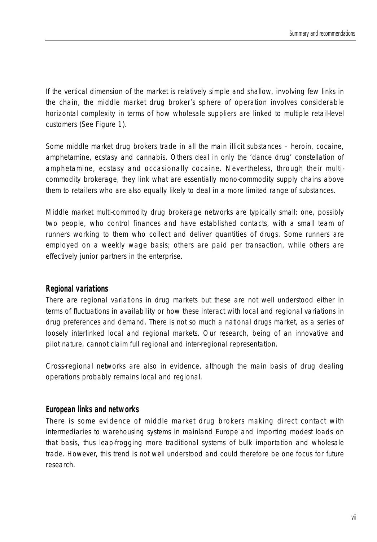If the vertical dimension of the market is relatively simple and shallow, involving few links in the chain, the middle market drug broker's sphere of operation involves considerable horizontal complexity in terms of how wholesale suppliers are linked to multiple retail-level customers (See Figure 1).

Some middle market drug brokers trade in all the main illicit substances – heroin, cocaine, amphetamine, ecstasy and cannabis. Others deal in only the 'dance drug' constellation of amphetamine, ecstasy and occasionally cocaine. Nevertheless, through their multicommodity brokerage, they link what are essentially mono-commodity supply chains above them to retailers who are also equally likely to deal in a more limited range of substances.

Middle market multi-commodity drug brokerage networks are typically small: one, possibly two people, who control finances and have established contacts, with a small team of runners working to them who collect and deliver quantities of drugs. Some runners are employed on a weekly wage basis; others are paid per transaction, while others are effectively junior partners in the enterprise.

#### *Regional variations*

There are regional variations in drug markets but these are not well understood either in terms of fluctuations in availability or how these interact with local and regional variations in drug preferences and demand. There is not so much a national drugs market, as a series of loosely interlinked local and regional markets. Our research, being of an innovative and pilot nature, cannot claim full regional and inter-regional representation.

Cross-regional networks are also in evidence, although the main basis of drug dealing operations probably remains local and regional.

#### *European links and networks*

There is some evidence of middle market drug brokers making direct contact with intermediaries to warehousing systems in mainland Europe and importing modest loads on that basis, thus leap-frogging more traditional systems of bulk importation and wholesale trade. However, this trend is not well understood and could therefore be one focus for future research.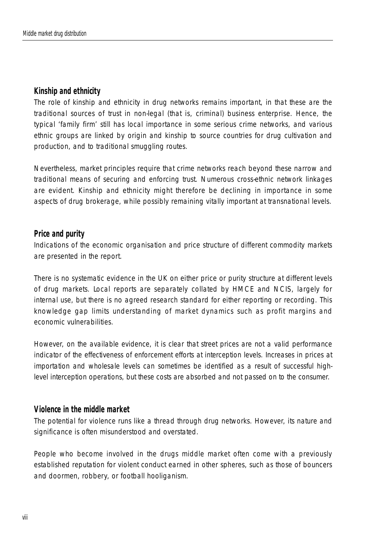#### *Kinship and ethnicity*

The role of kinship and ethnicity in drug networks remains important, in that these are the traditional sources of trust in non-legal (that is, criminal) business enterprise. Hence, the typical 'family firm' still has local importance in some serious crime networks, and various ethnic groups are linked by origin and kinship to source countries for drug cultivation and production, and to traditional smuggling routes.

Nevertheless, market principles require that crime networks reach beyond these narrow and traditional means of securing and enforcing trust. Numerous cross-ethnic network linkages are evident. Kinship and ethnicity might therefore be declining in importance in some aspects of drug brokerage, while possibly remaining vitally important at transnational levels.

#### *Price and purity*

Indications of the economic organisation and price structure of different commodity markets are presented in the report.

There is no systematic evidence in the UK on either price or purity structure at different levels of drug markets. Local reports are separately collated by HMCE and NCIS, largely for internal use, but there is no agreed research standard for either reporting or recording. This knowledge gap limits understanding of market dynamics such as profit margins and economic vulnerabilities.

However, on the available evidence, it is clear that street prices are not a valid performance indicator of the effectiveness of enforcement efforts at interception levels. Increases in prices at importation and wholesale levels can sometimes be identified as a result of successful highlevel interception operations, but these costs are absorbed and not passed on to the consumer.

#### *Violence in the middle market*

The potential for violence runs like a thread through drug networks. However, its nature and significance is often misunderstood and overstated.

People who become involved in the drugs middle market often come with a previously established reputation for violent conduct earned in other spheres, such as those of bouncers and doormen, robbery, or football hooliganism.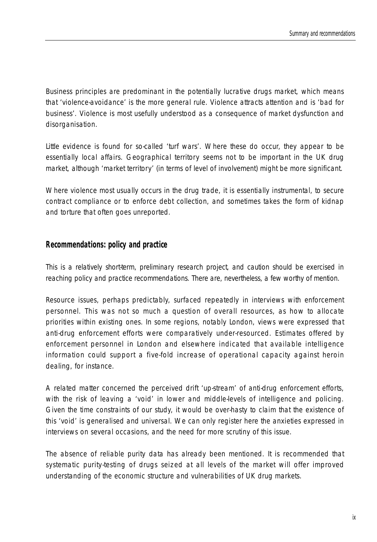Business principles are predominant in the potentially lucrative drugs market, which means that 'violence-avoidance' is the more general rule. Violence attracts attention and is 'bad for business'. Violence is most usefully understood as a consequence of market dysfunction and disorganisation.

Little evidence is found for so-called 'turf wars'. Where these do occur, they appear to be essentially local affairs. Geographical territory seems not to be important in the UK drug market, although 'market territory' (in terms of level of involvement) might be more significant.

Where violence most usually occurs in the drug trade, it is essentially instrumental, to secure contract compliance or to enforce debt collection, and sometimes takes the form of kidnap and torture that often goes unreported.

#### **Recommendations: policy and practice**

This is a relatively short-term, preliminary research project, and caution should be exercised in reaching policy and practice recommendations. There are, nevertheless, a few worthy of mention.

Resource issues, perhaps predictably, surfaced repeatedly in interviews with enforcement personnel. This was not so much a question of overall resources, as how to allocate priorities within existing ones. In some regions, notably London, views were expressed that anti-drug enforcement efforts were comparatively under-resourced. Estimates offered by enforcement personnel in London and elsewhere indicated that available intelligence information could support a five-fold increase of operational capacity against heroin dealing, for instance.

A related matter concerned the perceived drift 'up-stream' of anti-drug enforcement efforts, with the risk of leaving a 'void' in lower and middle-levels of intelligence and policing. Given the time constraints of our study, it would be over-hasty to claim that the existence of this 'void' is generalised and universal. We can only register here the anxieties expressed in interviews on several occasions, and the need for more scrutiny of this issue.

The absence of reliable purity data has already been mentioned. It is recommended that systematic purity-testing of drugs seized at all levels of the market will offer improved understanding of the economic structure and vulnerabilities of UK drug markets.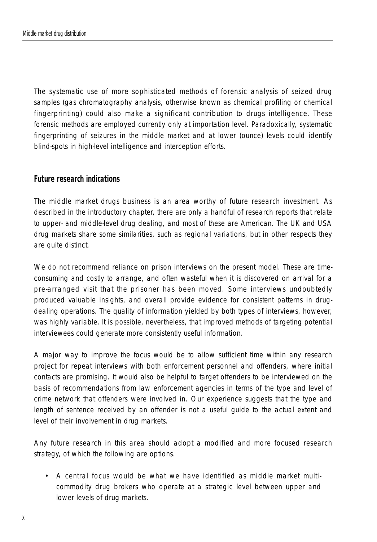The systematic use of more sophisticated methods of forensic analysis of seized drug samples (gas chromatography analysis, otherwise known as chemical profiling or chemical fingerprinting) could also make a significant contribution to drugs intelligence. These forensic methods are employed currently only at importation level. Paradoxically, systematic fingerprinting of seizures in the middle market and at lower (ounce) levels could identify blind-spots in high-level intelligence and interception efforts.

#### **Future research indications**

The middle market drugs business is an area worthy of future research investment. As described in the introductory chapter, there are only a handful of research reports that relate to upper- and middle-level drug dealing, and most of these are American. The UK and USA drug markets share some similarities, such as regional variations, but in other respects they are quite distinct.

We do not recommend reliance on prison interviews on the present model. These are timeconsuming and costly to arrange, and often wasteful when it is discovered on arrival for a pre-arranged visit that the prisoner has been moved. Some interviews undoubtedly produced valuable insights, and overall provide evidence for consistent patterns in drugdealing operations. The quality of information yielded by both types of interviews, however, was highly variable. It is possible, nevertheless, that improved methods of targeting potential interviewees could generate more consistently useful information.

A major way to improve the focus would be to allow sufficient time within any research project for repeat interviews with both enforcement personnel and offenders, where initial contacts are promising. It would also be helpful to target offenders to be interviewed on the basis of recommendations from law enforcement agencies in terms of the type and level of crime network that offenders were involved in. Our experience suggests that the type and length of sentence received by an offender is not a useful guide to the actual extent and level of their involvement in drug markets.

Any future research in this area should adopt a modified and more focused research strategy, of which the following are options.

• A central focus would be what we have identified as *middle market multicommodity drug brokers* who operate at a strategic level between upper and lower levels of drug markets.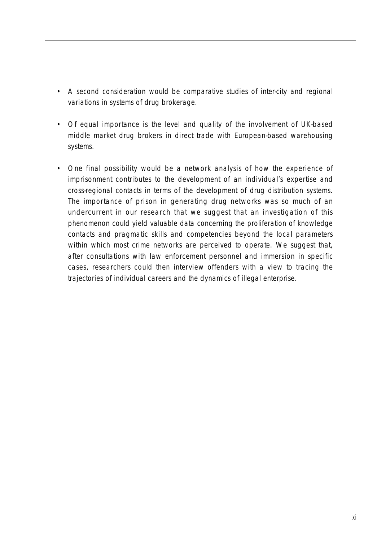- A second consideration would be comparative studies of inter-city and regional variations in systems of drug brokerage.
- Of equal importance is the level and quality of the involvement of UK-based middle market drug brokers in direct trade with European-based warehousing systems.
- One final possibility would be a network analysis of how the experience of imprisonment contributes to the development of an individual's expertise and cross-regional contacts in terms of the development of drug distribution systems. The importance of prison in generating drug networks was so much of an undercurrent in our research that we suggest that an investigation of this phenomenon could yield valuable data concerning the proliferation of knowledge contacts and pragmatic skills and competencies beyond the local parameters within which most crime networks are perceived to operate. We suggest that, after consultations with law enforcement personnel and immersion in specific cases, researchers could then interview offenders with a view to tracing the trajectories of individual careers and the dynamics of illegal enterprise.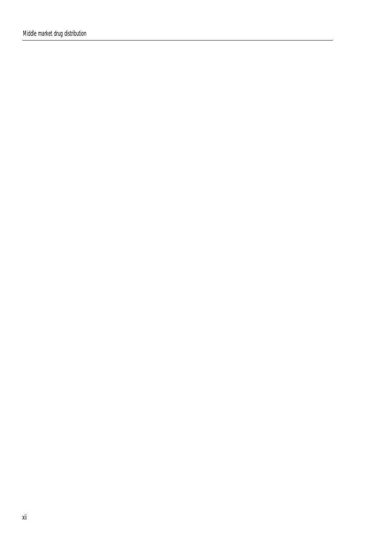Middle market drug distribution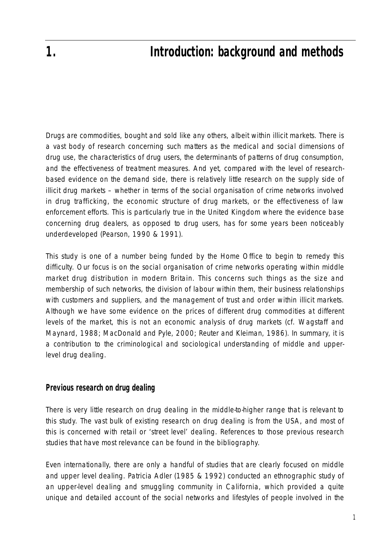### **1. Introduction: background and methods**

Drugs are commodities, bought and sold like any others, albeit within illicit markets. There is a vast body of research concerning such matters as the medical and social dimensions of drug use, the characteristics of drug users, the determinants of patterns of drug consumption, and the effectiveness of treatment measures. And yet, compared with the level of researchbased evidence on the demand side, there is relatively little research on the supply side of illicit drug markets – whether in terms of the social organisation of crime networks involved in drug trafficking, the economic structure of drug markets, or the effectiveness of law enforcement efforts. This is particularly true in the United Kingdom where the evidence base concerning drug dealers, as opposed to drug users, has for some years been noticeably underdeveloped (Pearson, 1990 & 1991).

This study is one of a number being funded by the Home Office to begin to remedy this difficulty. Our focus is on the social organisation of crime networks operating within middle market drug distribution in modern Britain. This concerns such things as the size and membership of such networks, the division of labour within them, their business relationships with customers and suppliers, and the management of trust and order within illicit markets. Although we have some evidence on the prices of different drug commodities at different levels of the market, this is not an economic analysis of drug markets (cf. Wagstaff and Maynard, 1988; MacDonald and Pyle, 2000; Reuter and Kleiman, 1986). In summary, it is a contribution to the criminological and sociological understanding of middle and upperlevel drug dealing.

#### **Previous research on drug dealing**

There is very little research on drug dealing in the middle-to-higher range that is relevant to this study. The vast bulk of existing research on drug dealing is from the USA, and most of this is concerned with retail or 'street level' dealing. References to those previous research studies that have most relevance can be found in the bibliography.

Even internationally, there are only a handful of studies that are clearly focused on middle and upper level dealing. Patricia Adler (1985 & 1992) conducted an ethnographic study of an upper-level dealing and smuggling community in California, which provided a quite unique and detailed account of the social networks and lifestyles of people involved in the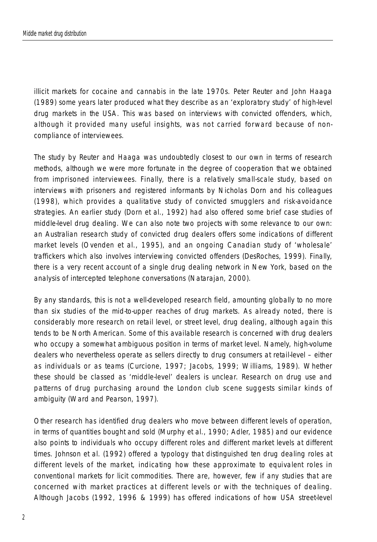illicit markets for cocaine and cannabis in the late 1970s. Peter Reuter and John Haaga (1989) some years later produced what they describe as an 'exploratory study' of high-level drug markets in the USA. This was based on interviews with convicted offenders, which, although it provided many useful insights, was not carried forward because of noncompliance of interviewees.

The study by Reuter and Haaga was undoubtedly closest to our own in terms of research methods, although we were more fortunate in the degree of cooperation that we obtained from imprisoned interviewees. Finally, there is a relatively small-scale study, based on interviews with prisoners and registered informants by Nicholas Dorn and his colleagues (1998), which provides a qualitative study of convicted smugglers and risk-avoidance strategies. An earlier study (Dorn *et al.*, 1992) had also offered some brief case studies of middle-level drug dealing. We can also note two projects with some relevance to our own: an Australian research study of convicted drug dealers offers some indications of different market levels (Ovenden *et al.*, 1995), and an ongoing Canadian study of 'wholesale' traffickers which also involves interviewing convicted offenders (DesRoches, 1999). Finally, there is a very recent account of a single drug dealing network in New York, based on the analysis of intercepted telephone conversations (Natarajan, 2000).

By any standards, this is not a well-developed research field, amounting globally to no more than six studies of the mid-to-upper reaches of drug markets. As already noted, there is considerably more research on retail level, or street level, drug dealing, although again this tends to be North American. Some of this available research is concerned with drug dealers who occupy a somewhat ambiguous position in terms of market level. Namely, high-volume dealers who nevertheless operate as sellers directly to drug consumers at retail-level – either as individuals or as teams (Curcione, 1997; Jacobs, 1999; Williams, 1989). Whether these should be classed as 'middle-level' dealers is unclear. Research on drug use and patterns of drug purchasing around the London club scene suggests similar kinds of ambiguity (Ward and Pearson, 1997).

Other research has identified drug dealers who move between different levels of operation, in terms of quantities bought and sold (Murphy *et al.*, 1990; Adler, 1985) and our evidence also points to individuals who occupy different roles and different market levels at different times. Johnson *et al.* (1992) offered a typology that distinguished ten drug dealing roles at different levels of the market, indicating how these approximate to equivalent roles in conventional markets for licit commodities. There are, however, few if any studies that are concerned with market practices at different levels or with the techniques of dealing. Although Jacobs (1992, 1996 & 1999) has offered indications of how USA street-level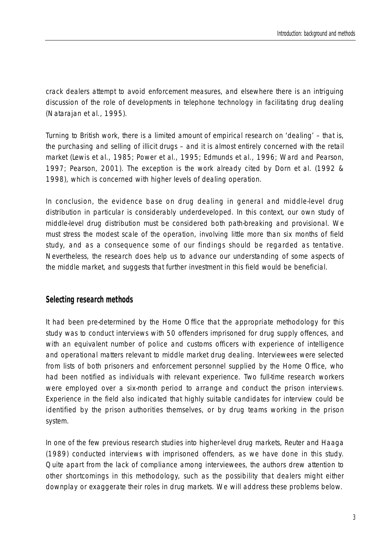crack dealers attempt to avoid enforcement measures, and elsewhere there is an intriguing discussion of the role of developments in telephone technology in facilitating drug dealing (Natarajan *et al.*, 1995).

Turning to British work, there is a limited amount of empirical research on 'dealing' – that is, the purchasing and selling of illicit drugs – and it is almost entirely concerned with the retail market (Lewis *et al.*, 1985; Power *et al.*, 1995; Edmunds *et al.*, 1996; Ward and Pearson, 1997; Pearson, 2001). The exception is the work already cited by Dorn *et al.* (1992 & 1998), which is concerned with higher levels of dealing operation.

In conclusion, the evidence base on drug dealing in general and middle-level drug distribution in particular is considerably underdeveloped. In this context, our own study of middle-level drug distribution must be considered both path-breaking and provisional. We must stress the modest scale of the operation, involving little more than six months of field study, and as a consequence some of our findings should be regarded as tentative. Nevertheless, the research does help us to advance our understanding of some aspects of the middle market, and suggests that further investment in this field would be beneficial.

#### **Selecting research methods**

It had been pre-determined by the Home Office that the appropriate methodology for this study was to conduct interviews with 50 offenders imprisoned for drug supply offences, and with an equivalent number of police and customs officers with experience of intelligence and operational matters relevant to middle market drug dealing. Interviewees were selected from lists of both prisoners and enforcement personnel supplied by the Home Office, who had been notified as individuals with relevant experience. Two full-time research workers were employed over a six-month period to arrange and conduct the prison interviews. Experience in the field also indicated that highly suitable candidates for interview could be identified by the prison authorities themselves, or by drug teams working in the prison system.

In one of the few previous research studies into higher-level drug markets, Reuter and Haaga (1989) conducted interviews with imprisoned offenders, as we have done in this study. Quite apart from the lack of compliance among interviewees, the authors drew attention to other shortcomings in this methodology, such as the possibility that dealers might either downplay or exaggerate their roles in drug markets. We will address these problems below.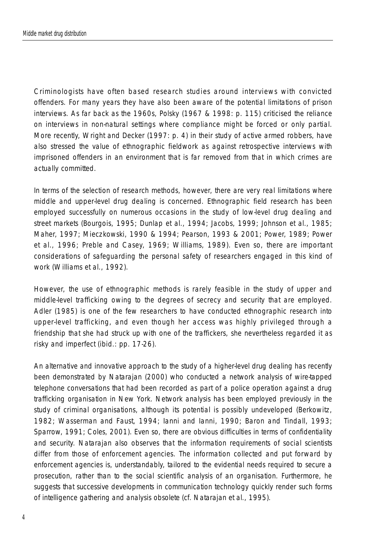Criminologists have often based research studies around interviews with convicted offenders. For many years they have also been aware of the potential limitations of prison interviews. As far back as the 1960s, Polsky (1967 & 1998: p. 115) criticised the reliance on interviews in non-natural settings where compliance might be forced or only partial. More recently, Wright and Decker (1997: p. 4) in their study of active armed robbers, have also stressed the value of ethnographic fieldwork as against retrospective interviews with imprisoned offenders in an environment that is far removed from that in which crimes are actually committed.

In terms of the selection of research methods, however, there are very real limitations where middle and upper-level drug dealing is concerned. Ethnographic field research has been employed successfully on numerous occasions in the study of low-level drug dealing and street markets (Bourgois, 1995; Dunlap *et al.*, 1994; Jacobs, 1999; Johnson *et al.*, 1985; Maher, 1997; Mieczkowski, 1990 & 1994; Pearson, 1993 & 2001; Power, 1989; Power *et al.*, 1996; Preble and Casey, 1969; Williams, 1989). Even so, there are important considerations of safeguarding the personal safety of researchers engaged in this kind of work (Williams *et al.*, 1992).

However, the use of ethnographic methods is rarely feasible in the study of upper and middle-level trafficking owing to the degrees of secrecy and security that are employed. Adler (1985) is one of the few researchers to have conducted ethnographic research into upper-level trafficking, and even though her access was highly privileged through a friendship that she had struck up with one of the traffickers, she nevertheless regarded it as risky and imperfect (ibid.: pp. 17-26).

An alternative and innovative approach to the study of a higher-level drug dealing has recently been demonstrated by Natarajan (2000) who conducted a network analysis of wire-tapped telephone conversations that had been recorded as part of a police operation against a drug trafficking organisation in New York. Network analysis has been employed previously in the study of criminal organisations, although its potential is possibly undeveloped (Berkowitz, 1982; Wasserman and Faust, 1994; Ianni and Ianni, 1990; Baron and Tindall, 1993; Sparrow, 1991; Coles, 2001). Even so, there are obvious difficulties in terms of confidentiality and security. Natarajan also observes that the information requirements of social scientists differ from those of enforcement agencies. The information collected and put forward by enforcement agencies is, understandably, tailored to the evidential needs required to secure a prosecution, rather than to the social scientific analysis of an organisation. Furthermore, he suggests that successive developments in communication technology quickly render such forms of intelligence gathering and analysis obsolete (cf. Natarajan *et al.*, 1995).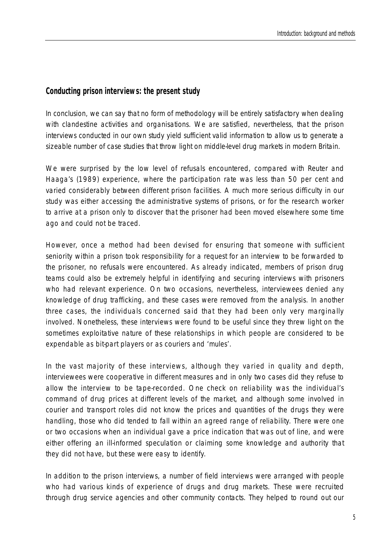#### **Conducting prison interviews: the present study**

In conclusion, we can say that no form of methodology will be entirely satisfactory when dealing with clandestine activities and organisations. We are satisfied, nevertheless, that the prison interviews conducted in our own study yield sufficient valid information to allow us to generate a sizeable number of case studies that throw light on middle-level drug markets in modern Britain.

We were surprised by the low level of refusals encountered, compared with Reuter and Haaga's (1989) experience, where the participation rate was less than 50 per cent and varied considerably between different prison facilities. A much more serious difficulty in our study was either accessing the administrative systems of prisons, or for the research worker to arrive at a prison only to discover that the prisoner had been moved elsewhere some time ago and could not be traced.

However, once a method had been devised for ensuring that someone with sufficient seniority within a prison took responsibility for a request for an interview to be forwarded to the prisoner, no refusals were encountered. As already indicated, members of prison drug teams could also be extremely helpful in identifying and securing interviews with prisoners who had relevant experience. On two occasions, nevertheless, interviewees denied any knowledge of drug trafficking, and these cases were removed from the analysis. In another three cases, the individuals concerned said that they had been only very marginally involved. Nonetheless, these interviews were found to be useful since they threw light on the sometimes exploitative nature of these relationships in which people are considered to be expendable as bit-part players or as couriers and 'mules'.

In the vast majority of these interviews, although they varied in quality and depth, interviewees were cooperative in different measures and in only two cases did they refuse to allow the interview to be tape-recorded. One check on reliability was the individual's command of drug prices at different levels of the market, and although some involved in courier and transport roles did not know the prices and quantities of the drugs they were handling, those who did tended to fall within an agreed range of reliability. There were one or two occasions when an individual gave a price indication that was out of line, and were either offering an ill-informed speculation or claiming some knowledge and authority that they did not have, but these were easy to identify.

In addition to the prison interviews, a number of field interviews were arranged with people who had various kinds of experience of drugs and drug markets. These were recruited through drug service agencies and other community contacts. They helped to round out our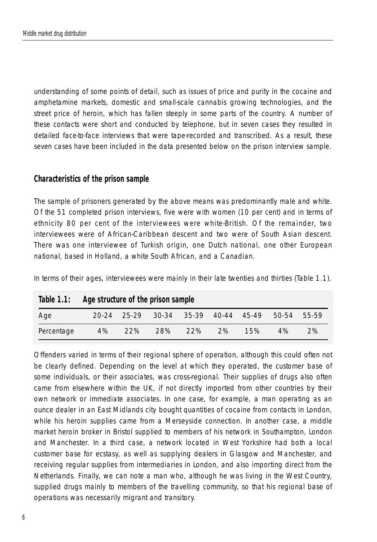understanding of some points of detail, such as issues of price and purity in the cocaine and amphetamine markets, domestic and small-scale cannabis growing technologies, and the street price of heroin, which has fallen steeply in some parts of the country. A number of these contacts were short and conducted by telephone, but in seven cases they resulted in detailed face-to-face interviews that were tape-recorded and transcribed. As a result, these seven cases have been included in the data presented below on the prison interview sample.

#### **Characteristics of the prison sample**

The sample of prisoners generated by the above means was predominantly male and white. Of the 51 completed prison interviews, five were with women (10 per cent) and in terms of ethnicity 80 per cent of the interviewees were white-British. Of the remainder, two interviewees were of African-Caribbean descent and two were of South Asian descent. There was one interviewee of Turkish origin, one Dutch national, one other European national, based in Holland, a white South African, and a Canadian.

In terms of their ages, interviewees were mainly in their late twenties and thirties (Table 1.1).

|            | Table 1.1: Age structure of the prison sample |     |                                     |     |           |     |             |    |
|------------|-----------------------------------------------|-----|-------------------------------------|-----|-----------|-----|-------------|----|
| Age        |                                               |     | 20-24 25-29 30-34 35-39 40-44 45-49 |     |           |     | 50-54 55-59 |    |
| Percentage | 4%                                            | 22% | 28%                                 | 22% | <b>2%</b> | 15% | 4%          | 2% |

Offenders varied in terms of their regional sphere of operation, although this could often not be clearly defined. Depending on the level at which they operated, the customer base of some individuals, or their associates, was cross-regional. Their supplies of drugs also often came from elsewhere within the UK, if not directly imported from other countries by their own network or immediate associates. In one case, for example, a man operating as an ounce dealer in an East Midlands city bought quantities of cocaine from contacts in London, while his heroin supplies came from a Merseyside connection. In another case, a middle market heroin broker in Bristol supplied to members of his network in Southampton, London and Manchester. In a third case, a network located in West Yorkshire had both a local customer base for ecstasy, as well as supplying dealers in Glasgow and Manchester, and receiving regular supplies from intermediaries in London, and also importing direct from the Netherlands. Finally, we can note a man who, although he was living in the West Country, supplied drugs mainly to members of the travelling community, so that his regional base of operations was necessarily migrant and transitory.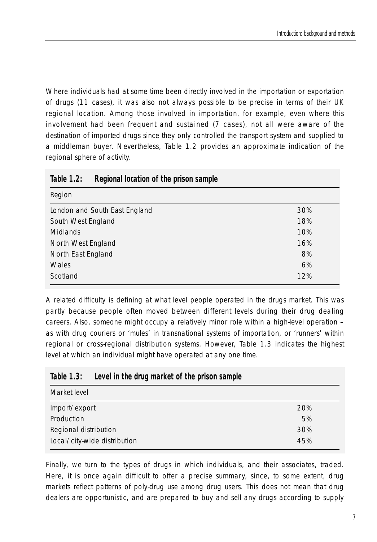Where individuals had at some time been directly involved in the importation or exportation of drugs (11 cases), it was also not always possible to be precise in terms of their UK regional location. Among those involved in importation, for example, even where this involvement had been frequent and sustained (7 cases), not all were aware of the destination of imported drugs since they only controlled the transport system and supplied to a middleman buyer. Nevertheless, Table 1.2 provides an approximate indication of the regional sphere of activity.

| Table 1.2:<br>Regional location of the prison sample |     |
|------------------------------------------------------|-----|
| Region                                               |     |
| London and South East England                        | 30% |
| South West England                                   | 18% |
| Midlands                                             | 10% |
| North West England                                   | 16% |
| North East England                                   | 8%  |
| Wales                                                | 6%  |
| Scotland                                             | 12% |

A related difficulty is defining at what level people operated in the drugs market. This was partly because people often moved between different levels during their drug dealing careers. Also, someone might occupy a relatively minor role within a high-level operation – as with drug couriers or 'mules' in transnational systems of importation, or 'runners' within regional or cross-regional distribution systems. However, Table 1.3 indicates the highest level at which an individual might have operated at any one time.

| Table 1.3: | Level in the drug market of the prison sample |
|------------|-----------------------------------------------|
|------------|-----------------------------------------------|

| Market level                 |     |
|------------------------------|-----|
| Import/export                | 20% |
| <b>Production</b>            | 5%  |
| Regional distribution        | 30% |
| Local/city-wide distribution | 45% |

Finally, we turn to the types of drugs in which individuals, and their associates, traded. Here, it is once again difficult to offer a precise summary, since, to some extent, drug markets reflect patterns of poly-drug use among drug users. This does not mean that drug dealers are opportunistic, and are prepared to buy and sell any drugs according to supply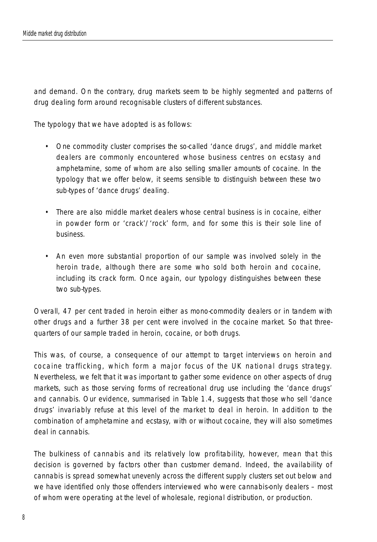and demand. On the contrary, drug markets seem to be highly segmented and patterns of drug dealing form around recognisable clusters of different substances.

The typology that we have adopted is as follows:

- One commodity cluster comprises the so-called 'dance drugs', and middle market dealers are commonly encountered whose business centres on ecstasy and amphetamine, some of whom are also selling smaller amounts of cocaine. In the typology that we offer below, it seems sensible to distinguish between these two sub-types of 'dance drugs' dealing.
- There are also middle market dealers whose central business is in cocaine, either in powder form or 'crack'/'rock' form, and for some this is their sole line of business.
- An even more substantial proportion of our sample was involved solely in the heroin trade, although there are some who sold both heroin and cocaine, including its crack form. Once again, our typology distinguishes between these two sub-types.

Overall, 47 per cent traded in heroin either as mono-commodity dealers or in tandem with other drugs and a further 38 per cent were involved in the cocaine market. So that threequarters of our sample traded in heroin, cocaine, or both drugs.

This was, of course, a consequence of our attempt to target interviews on heroin and cocaine trafficking, which form a major focus of the UK national drugs strategy. Nevertheless, we felt that it was important to gather some evidence on other aspects of drug markets, such as those serving forms of recreational drug use including the 'dance drugs' and cannabis. Our evidence, summarised in Table 1.4, suggests that those who sell 'dance drugs' invariably refuse at this level of the market to deal in heroin. In addition to the combination of amphetamine and ecstasy, with or without cocaine, they will also sometimes deal in cannabis.

The bulkiness of cannabis and its relatively low profitability, however, mean that this decision is governed by factors other than customer demand. Indeed, the availability of cannabis is spread somewhat unevenly across the different supply clusters set out below and we have identified only those offenders interviewed who were cannabis-only dealers – most of whom were operating at the level of wholesale, regional distribution, or production.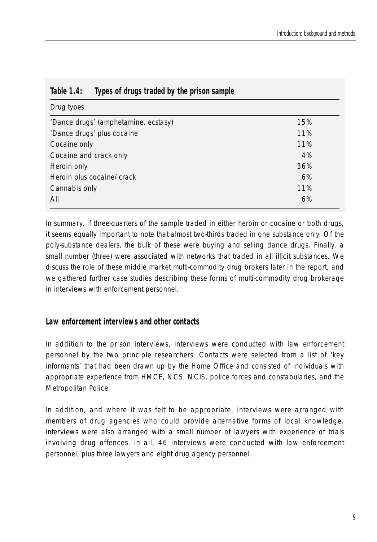| <i>lable 1.4:</i><br>Types of drugs traded by the prison sample |     |
|-----------------------------------------------------------------|-----|
| Drug types                                                      |     |
| 'Dance drugs' (amphetamine, ecstasy)                            | 15% |
| 'Dance drugs' plus cocaine                                      | 11% |
| Cocaine only                                                    | 11% |
| Cocaine and crack only                                          | 4%  |
| Heroin only                                                     | 36% |
| Heroin plus cocaine/crack                                       | 6%  |
| Cannabis only                                                   | 11% |
| All                                                             | 6%  |

*Table 1.4: Types of drugs traded by the prison sample*

In summary, if three-quarters of the sample traded in either heroin or cocaine or both drugs, it seems equally important to note that almost two-thirds traded in one substance only. Of the poly-substance dealers, the bulk of these were buying and selling dance drugs. Finally, a small number (three) were associated with networks that traded in all illicit substances. We discuss the role of these middle market multi-commodity drug brokers later in the report, and we gathered further case studies describing these forms of multi-commodity drug brokerage in interviews with enforcement personnel.

### **Law enforcement interviews and other contacts**

In addition to the prison interviews, interviews were conducted with law enforcement personnel by the two principle researchers. Contacts were selected from a list of 'key informants' that had been drawn up by the Home Office and consisted of individuals with appropriate experience from HMCE, NCS, NCIS, police forces and constabularies, and the Metropolitan Police.

In addition, and where it was felt to be appropriate, interviews were arranged with members of drug agencies who could provide alternative forms of local knowledge. Interviews were also arranged with a small number of lawyers with experience of trials involving drug offences. In all, 46 interviews were conducted with law enforcement personnel, plus three lawyers and eight drug agency personnel.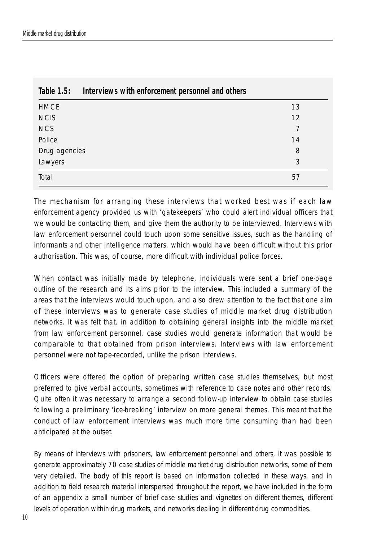| Table 1.5:         | Interviews with enforcement personnel and others |  |
|--------------------|--------------------------------------------------|--|
| <b>HMCE</b>        | 13                                               |  |
| <b>NCIS</b>        | 12                                               |  |
| <b>NCS</b>         | 7                                                |  |
| Police             | 14                                               |  |
| 8<br>Drug agencies |                                                  |  |
| Lawyers            | 3                                                |  |
| Total              | 57                                               |  |

The mechanism for arranging these interviews that worked best was if each law enforcement agency provided us with 'gatekeepers' who could alert individual officers that we would be contacting them, and give them the authority to be interviewed. Interviews with law enforcement personnel could touch upon some sensitive issues, such as the handling of informants and other intelligence matters, which would have been difficult without this prior authorisation. This was, of course, more difficult with individual police forces.

When contact was initially made by telephone, individuals were sent a brief one-page outline of the research and its aims prior to the interview. This included a summary of the areas that the interviews would touch upon, and also drew attention to the fact that one aim of these interviews was to generate case studies of middle market drug distribution networks. It was felt that, in addition to obtaining general insights into the middle market from law enforcement personnel, case studies would generate information that would be comparable to that obtained from prison interviews. Interviews with law enforcement personnel were not tape-recorded, unlike the prison interviews.

Officers were offered the option of preparing written case studies themselves, but most preferred to give verbal accounts, sometimes with reference to case notes and other records. Quite often it was necessary to arrange a second follow-up interview to obtain case studies following a preliminary 'ice-breaking' interview on more general themes. This meant that the conduct of law enforcement interviews was much more time consuming than had been anticipated at the outset.

By means of interviews with prisoners, law enforcement personnel and others, it was possible to generate approximately 70 case studies of middle market drug distribution networks, some of them very detailed. The body of this report is based on information collected in these ways, and in addition to field research material interspersed throughout the report, we have included in the form of an appendix a small number of brief case studies and vignettes on different themes, different levels of operation within drug markets, and networks dealing in different drug commodities.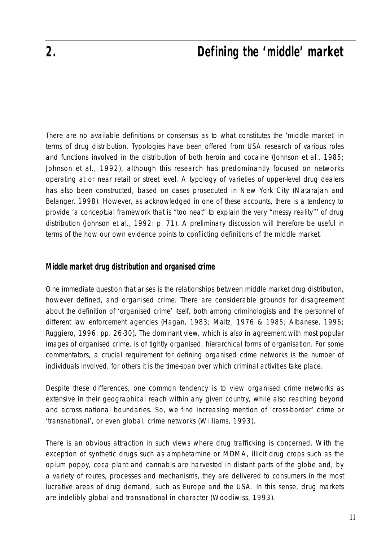### **2. Defining the 'middle' market**

There are no available definitions or consensus as to what constitutes the 'middle market' in terms of drug distribution. Typologies have been offered from USA research of various roles and functions involved in the distribution of both heroin and cocaine (Johnson *et al.*, 1985; Johnson *et al.*, 1992), although this research has predominantly focused on networks operating at or near retail or street level. A typology of varieties of upper-level drug dealers has also been constructed, based on cases prosecuted in New York City (Natarajan and Belanger, 1998). However, as acknowledged in one of these accounts, there is a tendency to provide 'a conceptual framework that is "too neat" to explain the very "messy reality"' of drug distribution (Johnson *et al.*, 1992: p. 71). A preliminary discussion will therefore be useful in terms of the how our own evidence points to conflicting definitions of the middle market.

#### **Middle market drug distribution and organised crime**

One immediate question that arises is the relationships between middle market drug distribution, however defined, and organised crime. There are considerable grounds for disagreement about the definition of 'organised crime' itself, both among criminologists and the personnel of different law enforcement agencies (Hagan, 1983; Maltz, 1976 & 1985; Albanese, 1996; Ruggiero, 1996: pp. 26-30). The dominant view, which is also in agreement with most popular images of organised crime, is of tightly organised, hierarchical forms of organisation. For some commentators, a crucial requirement for defining organised crime networks is the number of individuals involved, for others it is the time-span over which criminal activities take place.

Despite these differences, one common tendency is to view organised crime networks as extensive in their geographical reach within any given country, while also reaching beyond and across national boundaries. So, we find increasing mention of 'cross-border' crime or 'transnational', or even global, crime networks (Williams, 1993).

There is an obvious attraction in such views where drug trafficking is concerned. With the exception of synthetic drugs such as amphetamine or MDMA, illicit drug crops such as the opium poppy, coca plant and cannabis are harvested in distant parts of the globe and, by a variety of routes, processes and mechanisms, they are delivered to consumers in the most lucrative areas of drug demand, such as Europe and the USA. In this sense, drug markets are indelibly global and transnational in character (Woodiwiss, 1993).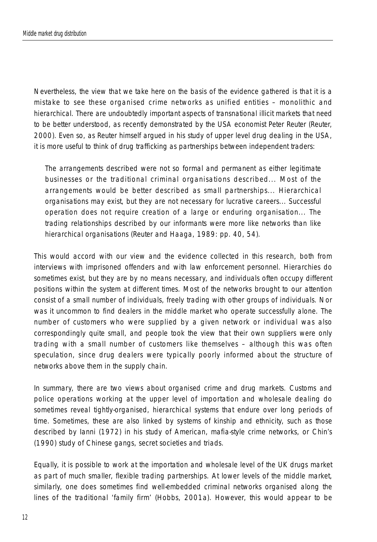Nevertheless, the view that we take here on the basis of the evidence gathered is that it is a mistake to see these organised crime networks as unified entities – monolithic and hierarchical. There are undoubtedly important aspects of transnational illicit markets that need to be better understood, as recently demonstrated by the USA economist Peter Reuter (Reuter, 2000). Even so, as Reuter himself argued in his study of upper level drug dealing in the USA, it is more useful to think of drug trafficking as partnerships between independent traders:

The arrangements described were not so formal and permanent as either legitimate businesses or the traditional criminal organisations described... Most of the arrangements would be better described as small partnerships... Hierarchical organisations may exist, but they are not necessary for lucrative careers... Successful operation does not require creation of a large or enduring organisation... The trading relationships described by our informants were more like networks than like hierarchical organisations (Reuter and Haaga, 1989: pp. 40, 54).

This would accord with our view and the evidence collected in this research, both from interviews with imprisoned offenders and with law enforcement personnel. Hierarchies do sometimes exist, but they are by no means necessary, and individuals often occupy different positions within the system at different times. Most of the networks brought to our attention consist of a small number of individuals, freely trading with other groups of individuals. Nor was it uncommon to find dealers in the middle market who operate successfully alone. The number of customers who were supplied by a given network or individual was also correspondingly quite small, and people took the view that their own suppliers were only trading with a small number of customers like themselves – although this was often speculation, since drug dealers were typically poorly informed about the structure of networks above them in the supply chain.

In summary, there are two views about organised crime and drug markets. Customs and police operations working at the upper level of importation and wholesale dealing do sometimes reveal tightly-organised, hierarchical systems that endure over long periods of time. Sometimes, these are also linked by systems of kinship and ethnicity, such as those described by Ianni (1972) in his study of American, mafia-style crime networks, or Chin's (1990) study of Chinese gangs, secret societies and triads.

Equally, it is possible to work at the importation and wholesale level of the UK drugs market as part of much smaller, flexible trading partnerships. At lower levels of the middle market, similarly, one does sometimes find well-embedded criminal networks organised along the lines of the traditional 'family firm' (Hobbs, 2001a). However, this would appear to be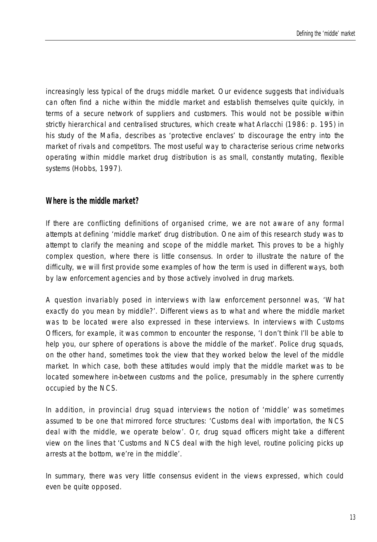increasingly less typical of the drugs middle market. Our evidence suggests that individuals can often find a niche within the middle market and establish themselves quite quickly, in terms of a secure network of suppliers and customers. This would not be possible within strictly hierarchical and centralised structures, which create what Arlacchi (1986: p. 195) in his study of the Mafia, describes as 'protective enclaves' to discourage the entry into the market of rivals and competitors. The most useful way to characterise serious crime networks operating within middle market drug distribution is as small, constantly mutating, flexible systems (Hobbs, 1997).

#### **Where is the middle market?**

If there are conflicting definitions of organised crime, we are not aware of any formal attempts at defining 'middle market' drug distribution. One aim of this research study was to attempt to clarify the meaning and scope of the middle market. This proves to be a highly complex question, where there is little consensus. In order to illustrate the nature of the difficulty, we will first provide some examples of how the term is used in different ways, both by law enforcement agencies and by those actively involved in drug markets.

A question invariably posed in interviews with law enforcement personnel was, 'What exactly do you mean by middle?'. Different views as to what and where the middle market was to be located were also expressed in these interviews. In interviews with Customs Officers, for example, it was common to encounter the response, 'I don't think I'll be able to help you, our sphere of operations is above the middle of the market'. Police drug squads, on the other hand, sometimes took the view that they worked below the level of the middle market. In which case, both these attitudes would imply that the middle market was to be located somewhere in-between customs and the police, presumably in the sphere currently occupied by the NCS.

In addition, in provincial drug squad interviews the notion of 'middle' was sometimes assumed to be one that mirrored force structures: 'Customs deal with importation, the NCS deal with the middle, we operate below'. Or, drug squad officers might take a different view on the lines that 'Customs and NCS deal with the high level, routine policing picks up arrests at the bottom, we're in the middle'.

In summary, there was very little consensus evident in the views expressed, which could even be quite opposed.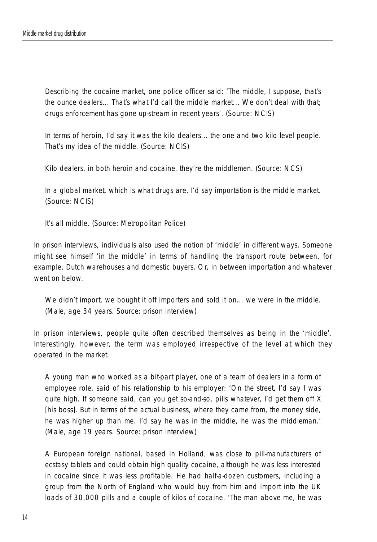Describing the cocaine market, one police officer said: 'The middle, I suppose, that's the ounce dealers... That's what I'd call the middle market... We don't deal with that; drugs enforcement has gone up-stream in recent years'. (Source: NCIS)

In terms of heroin, I'd say it was the kilo dealers... the one and two kilo level people. That's my idea of the middle. (Source: NCIS)

Kilo dealers, in both heroin and cocaine, they're the middlemen. (Source: NCS)

In a global market, which is what drugs are, I'd say importation is the middle market. (Source: NCIS)

It's all middle. (Source: Metropolitan Police)

In prison interviews, individuals also used the notion of 'middle' in different ways. Someone might see himself 'in the middle' in terms of handling the transport route between, for example, Dutch warehouses and domestic buyers. Or, in between importation and whatever went on below.

We didn't import, we bought it off importers and sold it on... we were in the middle. (Male, age 34 years. Source: prison interview)

In prison interviews, people quite often described themselves as being in the 'middle'. Interestingly, however, the term was employed irrespective of the level at which they operated in the market.

A young man who worked as a bit-part player, one of a team of dealers in a form of employee role, said of his relationship to his employer: 'On the street, I'd say I was quite high. If someone said, can you get so-and-so, pills whatever, I'd get them off X [his boss]. But in terms of the actual business, where they came from, the money side, he was higher up than me. I'd say he was in the middle, he was the middleman.' (Male, age 19 years. Source: prison interview)

A European foreign national, based in Holland, was close to pill-manufacturers of ecstasy tablets and could obtain high quality cocaine, although he was less interested in cocaine since it was less profitable. He had half-a-dozen customers, including a group from the North of England who would buy from him and import into the UK loads of 30,000 pills and a couple of kilos of cocaine. 'The man above me, he was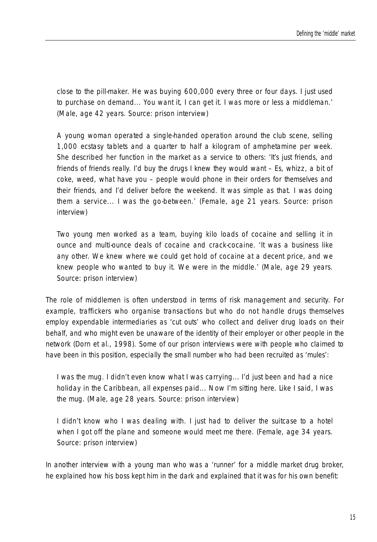close to the pill-maker. He was buying 600,000 every three or four days. I just used to purchase on demand... You want it, I can get it. I was more or less a middleman.' (Male, age 42 years. Source: prison interview)

A young woman operated a single-handed operation around the club scene, selling 1,000 ecstasy tablets and a quarter to half a kilogram of amphetamine per week. She described her function in the market as a service to others: 'It's just friends, and friends of friends really. I'd buy the drugs I knew they would want – Es, whizz, a bit of coke, weed, what have you – people would phone in their orders for themselves and their friends, and I'd deliver before the weekend. It was simple as that. I was doing them a service... I was the go-between.' (Female, age 21 years. Source: prison interview)

Two young men worked as a team, buying kilo loads of cocaine and selling it in ounce and multi-ounce deals of cocaine and crack-cocaine. 'It was a business like any other. We knew where we could get hold of cocaine at a decent price, and we knew people who wanted to buy it. We were in the middle.' (Male, age 29 years. Source: prison interview)

The role of middlemen is often understood in terms of risk management and security. For example, traffickers who organise transactions but who do not handle drugs themselves employ expendable intermediaries as 'cut outs' who collect and deliver drug loads on their behalf, and who might even be unaware of the identity of their employer or other people in the network (Dorn *et al.*, 1998). Some of our prison interviews were with people who claimed to have been in this position, especially the small number who had been recruited as 'mules':

I was the mug. I didn't even know what I was carrying... I'd just been and had a nice holiday in the Caribbean, all expenses paid... Now I'm sitting here. Like I said, I was the mug. (Male, age 28 years. Source: prison interview)

I didn't know who I was dealing with. I just had to deliver the suitcase to a hotel when I got off the plane and someone would meet me there. (Female, age 34 years. Source: prison interview)

In another interview with a young man who was a 'runner' for a middle market drug broker, he explained how his boss kept him in the dark and explained that it was for his own benefit: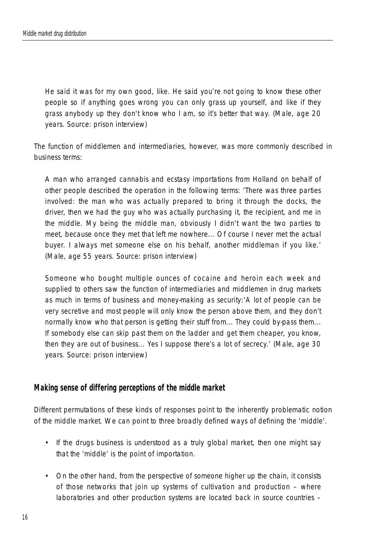He said it was for my own good, like. He said you're not going to know these other people so if anything goes wrong you can only grass up yourself, and like if they grass anybody up they don't know who I am, so it's better that way. (Male, age 20 years. Source: prison interview)

The function of middlemen and intermediaries, however, was more commonly described in business terms:

A man who arranged cannabis and ecstasy importations from Holland on behalf of other people described the operation in the following terms: 'There was three parties involved: the man who was actually prepared to bring it through the docks, the driver, then we had the guy who was actually purchasing it, the recipient, and me in the middle. My being the middle man, obviously I didn't want the two parties to meet, because once they met that left me nowhere... Of course I never met the actual buyer. I always met someone else on his behalf, another middleman if you like.' (Male, age 55 years. Source: prison interview)

Someone who bought multiple ounces of cocaine and heroin each week and supplied to others saw the function of intermediaries and middlemen in drug markets as much in terms of business and money-making as security:'A lot of people can be very secretive and most people will only know the person above them, and they don't normally know who that person is getting their stuff from... They could by-pass them... If somebody else can skip past them on the ladder and get them cheaper, you know, then they are out of business... Yes I suppose there's a lot of secrecy.' (Male, age 30 years. Source: prison interview)

#### **Making sense of differing perceptions of the middle market**

Different permutations of these kinds of responses point to the inherently problematic notion of the middle market. We can point to three broadly defined ways of defining the 'middle'.

- If the drugs business is understood as a truly global market, then one might say that the 'middle' is the *point of importation.*
- On the other hand, from the perspective of someone higher up the chain, it consists of those networks *that join up systems of cultivation and production* – where laboratories and other production systems are located back in source countries –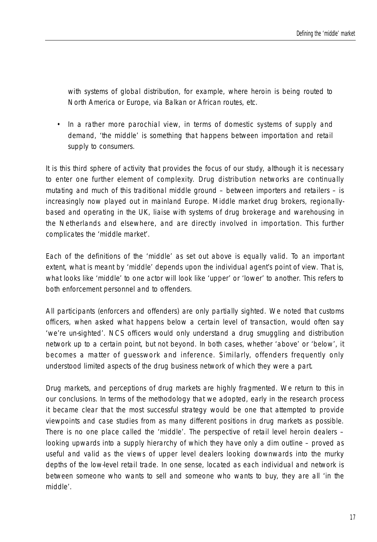*with systems of global distribution*, for example, where heroin is being routed to North America or Europe, via Balkan or African routes, etc.

• In a rather more parochial view, in terms of domestic systems of supply and demand, 'the middle' is *something that happens between importation and retail supply to consumers.*

It is this third sphere of activity that provides the focus of our study, although it is necessary to enter one further element of complexity. Drug distribution networks are continually mutating and much of this traditional middle ground – between importers and retailers – is increasingly now played out in mainland Europe. Middle market drug brokers, regionallybased and operating in the UK, liaise with systems of drug brokerage and warehousing in the Netherlands and elsewhere, and are directly involved in importation. This further complicates the 'middle market'.

Each of the definitions of the 'middle' as set out above is equally valid. To an important extent, what is meant by 'middle' depends upon the individual agent's point of view. That is, what looks like 'middle' to one actor will look like 'upper' or 'lower' to another. This refers to both enforcement personnel and to offenders.

All participants (enforcers and offenders) are only partially sighted. We noted that customs officers, when asked what happens below a certain level of transaction, would often say 'we're un-sighted'. NCS officers would only understand a drug smuggling and distribution network up to a certain point, but not beyond. In both cases, whether 'above' or 'below', it becomes a matter of guesswork and inference. Similarly, offenders frequently only understood limited aspects of the drug business network of which they were a part.

Drug markets, and perceptions of drug markets are highly fragmented. We return to this in our conclusions. In terms of the methodology that we adopted, early in the research process it became clear that the most successful strategy would be one that attempted to provide viewpoints and case studies from as many different positions in drug markets as possible. There is no one place called the 'middle'. The perspective of retail level heroin dealers – looking upwards into a supply hierarchy of which they have only a dim outline – proved as useful and valid as the views of upper level dealers looking downwards into the murky depths of the low-level retail trade. In one sense, located as each individual and network is between someone who wants to sell and someone who wants to buy, they are all 'in the middle'.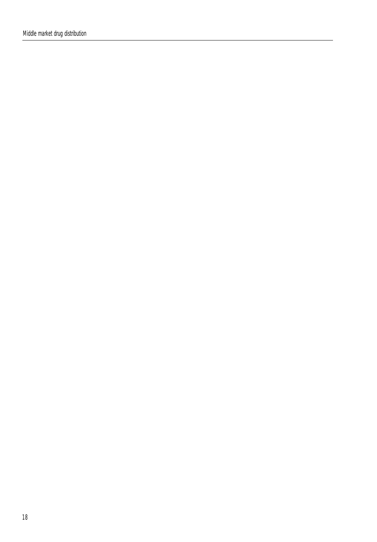Middle market drug distribution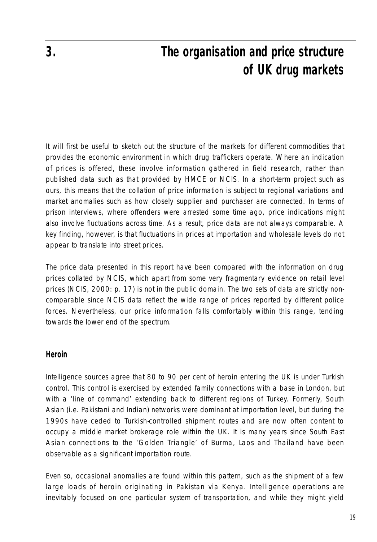## **3. The organisation and price structure of UK drug markets**

It will first be useful to sketch out the structure of the markets for different commodities that provides the economic environment in which drug traffickers operate. Where an indication of prices is offered, these involve information gathered in field research, rather than published data such as that provided by HMCE or NCIS. In a short-term project such as ours, this means that the collation of price information is subject to regional variations and market anomalies such as how closely supplier and purchaser are connected. In terms of prison interviews, where offenders were arrested some time ago, price indications might also involve fluctuations across time. As a result, price data are not always comparable. A key finding, however, is that fluctuations in prices at importation and wholesale levels do not appear to translate into street prices.

The price data presented in this report have been compared with the information on drug prices collated by NCIS, which apart from some very fragmentary evidence on retail level prices (NCIS, 2000: p. 17) is not in the public domain. The two sets of data are strictly noncomparable since NCIS data reflect the wide range of prices reported by different police forces. Nevertheless, our price information falls comfortably within this range, tending towards the lower end of the spectrum.

#### **Heroin**

Intelligence sources agree that 80 to 90 per cent of heroin entering the UK is under Turkish control. This control is exercised by extended family connections with a base in London, but with a 'line of command' extending back to different regions of Turkey. Formerly, South Asian (i.e. Pakistani and Indian) networks were dominant at importation level, but during the 1990s have ceded to Turkish-controlled shipment routes and are now often content to occupy a middle market brokerage role within the UK. It is many years since South East Asian connections to the 'Golden Triangle' of Burma, Laos and Thailand have been observable as a significant importation route.

Even so, occasional anomalies are found within this pattern, such as the shipment of a few large loads of heroin originating in Pakistan via Kenya. Intelligence operations are inevitably focused on one particular system of transportation, and while they might yield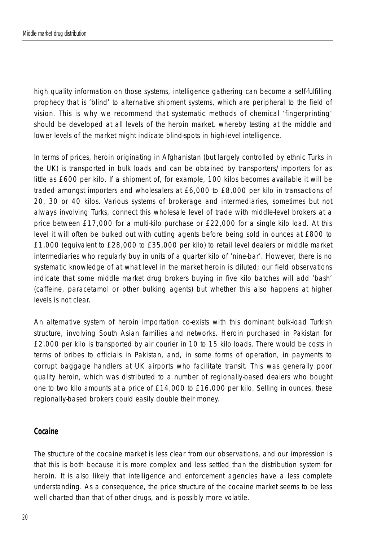high quality information on those systems, intelligence gathering can become a self-fulfilling prophecy that is 'blind' to alternative shipment systems, which are peripheral to the field of vision. This is why we recommend that systematic methods of chemical 'fingerprinting' should be developed at all levels of the heroin market, whereby testing at the middle and lower levels of the market might indicate blind-spots in high-level intelligence.

In terms of prices, heroin originating in Afghanistan (but largely controlled by ethnic Turks in the UK) is transported in bulk loads and can be obtained by transporters/importers for as little as £600 per kilo. If a shipment of, for example, 100 kilos becomes available it will be traded amongst importers and wholesalers at £6,000 to £8,000 per kilo in transactions of 20, 30 or 40 kilos. Various systems of brokerage and intermediaries, sometimes but not always involving Turks, connect this wholesale level of trade with middle-level brokers at a price between £17,000 for a multi-kilo purchase or £22,000 for a single kilo load. At this level it will often be bulked out with cutting agents before being sold in ounces at £800 to £1,000 (equivalent to £28,000 to £35,000 per kilo) to retail level dealers or middle market intermediaries who regularly buy in units of a quarter kilo of 'nine-bar'. However, there is no systematic knowledge of at what level in the market heroin is diluted; our field observations indicate that some middle market drug brokers buying in five kilo batches will add 'bash' (caffeine, paracetamol or other bulking agents) but whether this also happens at higher levels is not clear.

An alternative system of heroin importation co-exists with this dominant bulk-load Turkish structure, involving South Asian families and networks. Heroin purchased in Pakistan for £2,000 per kilo is transported by air courier in 10 to 15 kilo loads. There would be costs in terms of bribes to officials in Pakistan, and, in some forms of operation, in payments to corrupt baggage handlers at UK airports who facilitate transit. This was generally poor quality heroin, which was distributed to a number of regionally-based dealers who bought one to two kilo amounts at a price of £14,000 to £16,000 per kilo. Selling in ounces, these regionally-based brokers could easily double their money.

#### **Cocaine**

The structure of the cocaine market is less clear from our observations, and our impression is that this is both because it is more complex and less settled than the distribution system for heroin. It is also likely that intelligence and enforcement agencies have a less complete understanding. As a consequence, the price structure of the cocaine market seems to be less well charted than that of other drugs, and is possibly more volatile.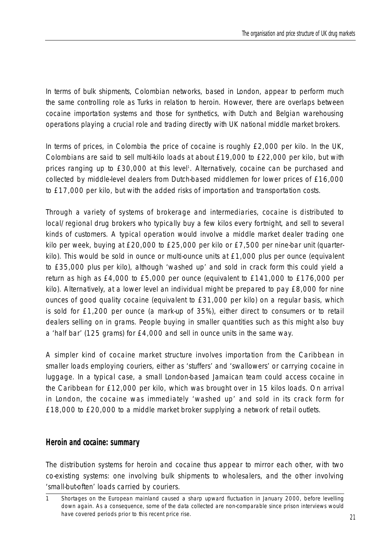In terms of bulk shipments, Colombian networks, based in London, appear to perform much the same controlling role as Turks in relation to heroin. However, there are overlaps between cocaine importation systems and those for synthetics, with Dutch and Belgian warehousing operations playing a crucial role and trading directly with UK national middle market brokers.

In terms of prices, in Colombia the price of cocaine is roughly £2,000 per kilo. In the UK, Colombians are said to sell multi-kilo loads at about £19,000 to £22,000 per kilo, but with prices ranging up to £30,000 at this level<sup>1</sup>. Alternatively, cocaine can be purchased and collected by middle-level dealers from Dutch-based middlemen for lower prices of £16,000 to £17,000 per kilo, but with the added risks of importation and transportation costs.

Through a variety of systems of brokerage and intermediaries, cocaine is distributed to local/regional drug brokers who typically buy a few kilos every fortnight, and sell to several kinds of customers. A typical operation would involve a middle market dealer trading one kilo per week, buying at £20,000 to £25,000 per kilo or £7,500 per nine-bar unit (quarterkilo). This would be sold in ounce or multi-ounce units at £1,000 plus per ounce (equivalent to £35,000 plus per kilo), although 'washed up' and sold in crack form this could yield a return as high as £4,000 to £5,000 per ounce (equivalent to £141,000 to £176,000 per kilo). Alternatively, at a lower level an individual might be prepared to pay £8,000 for nine ounces of good quality cocaine (equivalent to £31,000 per kilo) on a regular basis, which is sold for £1,200 per ounce (a mark-up of 35%), either direct to consumers or to retail dealers selling on in grams. People buying in smaller quantities such as this might also buy a 'half bar' (125 grams) for £4,000 and sell in ounce units in the same way.

A simpler kind of cocaine market structure involves importation from the Caribbean in smaller loads employing couriers, either as 'stuffers' and 'swallowers' or carrying cocaine in luggage. In a typical case, a small London-based Jamaican team could access cocaine in the Caribbean for £12,000 per kilo, which was brought over in 15 kilos loads. On arrival in London, the cocaine was immediately 'washed up' and sold in its crack form for £18,000 to £20,000 to a middle market broker supplying a network of retail outlets.

#### **Heroin and cocaine: summary**

The distribution systems for heroin and cocaine thus appear to mirror each other, with two co-existing systems: one involving bulk shipments to wholesalers, and the other involving 'small-but-often' loads carried by couriers.

<sup>1</sup> Shortages on the European mainland caused a sharp upward fluctuation in January 2000, before levelling down again. As a consequence, some of the data collected are non-comparable since prison interviews would have covered periods prior to this recent price rise.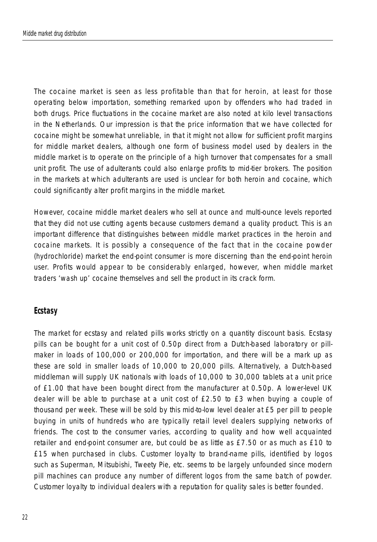The cocaine market is seen as less profitable than that for heroin, at least for those operating below importation, something remarked upon by offenders who had traded in both drugs. Price fluctuations in the cocaine market are also noted at kilo level transactions in the Netherlands. Our impression is that the price information that we have collected for cocaine might be somewhat unreliable, in that it might not allow for sufficient profit margins for middle market dealers, although one form of business model used by dealers in the middle market is to operate on the principle of a high turnover that compensates for a small unit profit. The use of adulterants could also enlarge profits to mid-tier brokers. The position in the markets at which adulterants are used is unclear for both heroin and cocaine, which could significantly alter profit margins in the middle market.

However, cocaine middle market dealers who sell at ounce and multi-ounce levels reported that they did not use cutting agents because customers demand a quality product. This is an important difference that distinguishes between middle market practices in the heroin and cocaine markets. It is possibly a consequence of the fact that in the cocaine powder (hydrochloride) market the end-point consumer is more discerning than the end-point heroin user. Profits would appear to be considerably enlarged, however, when middle market traders 'wash up' cocaine themselves and sell the product in its crack form.

#### **Ecstasy**

The market for ecstasy and related pills works strictly on a quantity discount basis. Ecstasy pills can be bought for a unit cost of 0.50p direct from a Dutch-based laboratory or pillmaker in loads of 100,000 or 200,000 for importation, and there will be a mark up as these are sold in smaller loads of 10,000 to 20,000 pills. Alternatively, a Dutch-based middleman will supply UK nationals with loads of 10,000 to 30,000 tablets at a unit price of £1.00 that have been bought direct from the manufacturer at 0.50p. A lower-level UK dealer will be able to purchase at a unit cost of £2.50 to £3 when buying a couple of thousand per week. These will be sold by this mid-to-low level dealer at £5 per pill to people buying in units of hundreds who are typically retail level dealers supplying networks of friends. The cost to the consumer varies, according to quality and how well acquainted retailer and end-point consumer are, but could be as little as £7.50 or as much as £10 to £15 when purchased in clubs. Customer loyalty to brand-name pills, identified by logos such as Superman, Mitsubishi, Tweety Pie, etc. seems to be largely unfounded since modern pill machines can produce any number of different logos from the same batch of powder. Customer loyalty to individual dealers with a reputation for quality sales is better founded.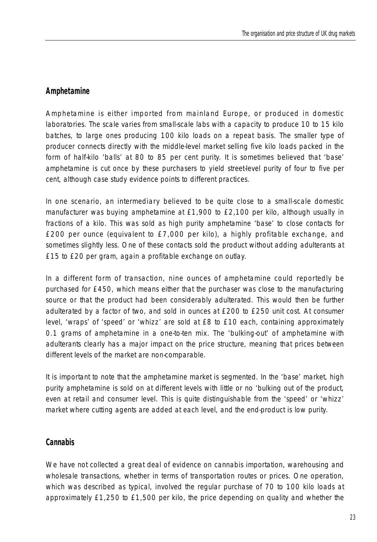#### **Amphetamine**

Amphetamine is either imported from mainland Europe, or produced in domestic laboratories. The scale varies from small-scale labs with a capacity to produce 10 to 15 kilo batches, to large ones producing 100 kilo loads on a repeat basis. The smaller type of producer connects directly with the middle-level market selling five kilo loads packed in the form of half-kilo 'balls' at 80 to 85 per cent purity. It is sometimes believed that 'base' amphetamine is cut once by these purchasers to yield street-level purity of four to five per cent, although case study evidence points to different practices.

In one scenario, an intermediary believed to be quite close to a small-scale domestic manufacturer was buying amphetamine at £1,900 to £2,100 per kilo, although usually in fractions of a kilo. This was sold as high purity amphetamine 'base' to close contacts for £200 per ounce (equivalent to £7,000 per kilo), a highly profitable exchange, and sometimes slightly less. One of these contacts sold the product without adding adulterants at £15 to £20 per gram, again a profitable exchange on outlay.

In a different form of transaction, nine ounces of amphetamine could reportedly be purchased for £450, which means either that the purchaser was close to the manufacturing source or that the product had been considerably adulterated. This would then be further adulterated by a factor of two, and sold in ounces at £200 to £250 unit cost. At consumer level, 'wraps' of 'speed' or 'whizz' are sold at £8 to £10 each, containing approximately 0.1 grams of amphetamine in a one-to-ten mix. The 'bulking-out' of amphetamine with adulterants clearly has a major impact on the price structure, meaning that prices between different levels of the market are non-comparable.

It is important to note that the amphetamine market is segmented. In the 'base' market, high purity amphetamine is sold on at different levels with little or no 'bulking out of the product, even at retail and consumer level. This is quite distinguishable from the 'speed' or 'whizz' market where cutting agents are added at each level, and the end-product is low purity.

## **Cannabis**

We have not collected a great deal of evidence on cannabis importation, warehousing and wholesale transactions, whether in terms of transportation routes or prices. One operation, which was described as typical, involved the regular purchase of 70 to 100 kilo loads at approximately £1,250 to £1,500 per kilo, the price depending on quality and whether the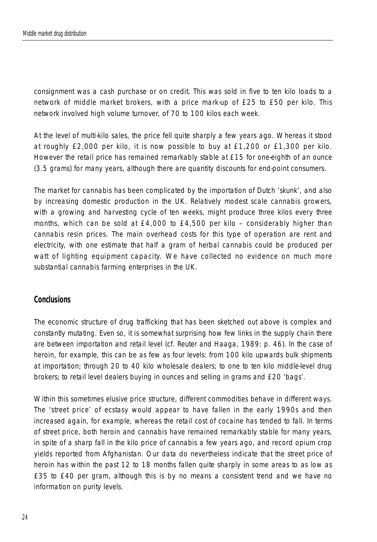consignment was a cash purchase or on credit. This was sold in five to ten kilo loads to a network of middle market brokers, with a price mark-up of £25 to £50 per kilo. This network involved high volume turnover, of 70 to 100 kilos each week.

At the level of multi-kilo sales, the price fell quite sharply a few years ago. Whereas it stood at roughly £2,000 per kilo, it is now possible to buy at £1,200 or £1,300 per kilo. However the retail price has remained remarkably stable at £15 for one-eighth of an ounce (3.5 grams) for many years, although there are quantity discounts for end-point consumers.

The market for cannabis has been complicated by the importation of Dutch 'skunk', and also by increasing domestic production in the UK. Relatively modest scale cannabis growers, with a growing and harvesting cycle of ten weeks, might produce three kilos every three months, which can be sold at  $E4,000$  to  $E4,500$  per kilo – considerably higher than cannabis resin prices. The main overhead costs for this type of operation are rent and electricity, with one estimate that half a gram of herbal cannabis could be produced per watt of lighting equipment capacity. We have collected no evidence on much more substantial cannabis farming enterprises in the UK.

#### **Conclusions**

The economic structure of drug trafficking that has been sketched out above is complex and constantly mutating. Even so, it is somewhat surprising how few links in the supply chain there are between importation and retail level (cf. Reuter and Haaga, 1989: p. 46). In the case of heroin, for example, this can be as few as four levels: from 100 kilo upwards bulk shipments at importation; through 20 to 40 kilo wholesale dealers; to one to ten kilo middle-level drug brokers; to retail level dealers buying in ounces and selling in grams and £20 'bags'.

Within this sometimes elusive price structure, different commodities behave in different ways. The 'street price' of ecstasy would appear to have fallen in the early 1990s and then increased again, for example, whereas the retail cost of cocaine has tended to fall. In terms of street price, both heroin and cannabis have remained remarkably stable for many years, in spite of a sharp fall in the kilo price of cannabis a few years ago, and record opium crop yields reported from Afghanistan. Our data do nevertheless indicate that the street price of heroin has within the past 12 to 18 months fallen quite sharply in some areas to as low as £35 to £40 per gram, although this is by no means a consistent trend and we have no information on purity levels.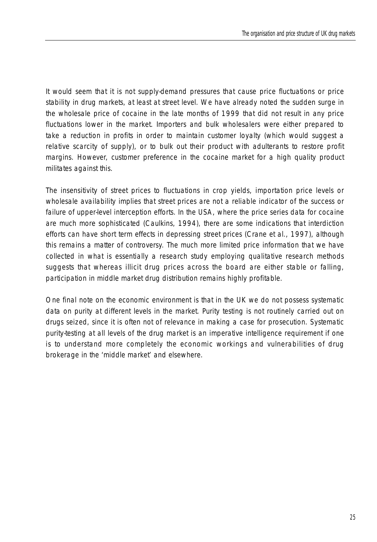It would seem that it is not supply-demand pressures that cause price fluctuations or price stability in drug markets, at least at street level. We have already noted the sudden surge in the wholesale price of cocaine in the late months of 1999 that did not result in any price fluctuations lower in the market. Importers and bulk wholesalers were either prepared to take a reduction in profits in order to maintain customer loyalty (which would suggest a relative scarcity of supply), or to bulk out their product with adulterants to restore profit margins. However, customer preference in the cocaine market for a high quality product militates against this.

The insensitivity of street prices to fluctuations in crop yields, importation price levels or wholesale availability implies that street prices are not a reliable indicator of the success or failure of upper-level interception efforts. In the USA, where the price series data for cocaine are much more sophisticated (Caulkins, 1994), there are some indications that interdiction efforts can have short term effects in depressing street prices (Crane *et al.*, 1997), although this remains a matter of controversy. The much more limited price information that we have collected in what is essentially a research study employing qualitative research methods suggests that whereas illicit drug prices across the board are either stable or falling, participation in middle market drug distribution remains highly profitable.

One final note on the economic environment is that in the UK we do not possess systematic data on purity at different levels in the market. Purity testing is not routinely carried out on drugs seized, since it is often not of relevance in making a case for prosecution. Systematic purity-testing at all levels of the drug market is an imperative intelligence requirement if one is to understand more completely the economic workings and vulnerabilities of drug brokerage in the 'middle market' and elsewhere.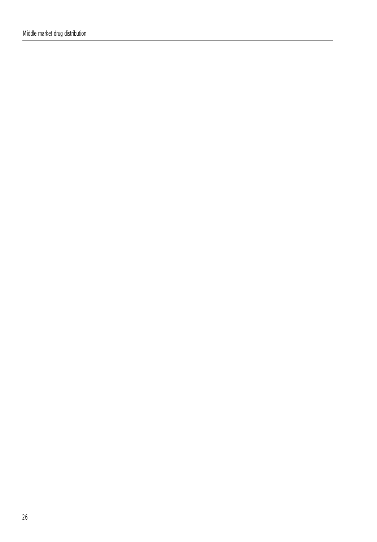Middle market drug distribution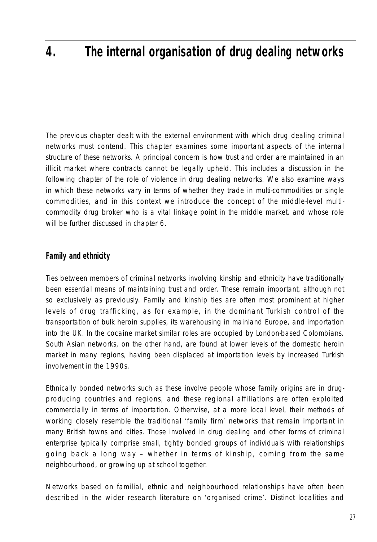## **4. The internal organisation of drug dealing networks**

The previous chapter dealt with the external environment with which drug dealing criminal networks must contend. This chapter examines some important aspects of the internal structure of these networks. A principal concern is how trust and order are maintained in an illicit market where contracts cannot be legally upheld. This includes a discussion in the following chapter of the role of violence in drug dealing networks. We also examine ways in which these networks vary in terms of whether they trade in multi-commodities or single commodities, and in this context we introduce the concept of the middle-level multicommodity drug broker who is a vital linkage point in the middle market, and whose role will be further discussed in chapter 6.

### **Family and ethnicity**

Ties between members of criminal networks involving kinship and ethnicity have traditionally been essential means of maintaining trust and order. These remain important, although not so exclusively as previously. Family and kinship ties are often most prominent at higher levels of drug trafficking, as for example, in the dominant Turkish control of the transportation of bulk heroin supplies, its warehousing in mainland Europe, and importation into the UK. In the cocaine market similar roles are occupied by London-based Colombians. South Asian networks, on the other hand, are found at lower levels of the domestic heroin market in many regions, having been displaced at importation levels by increased Turkish involvement in the 1990s.

Ethnically bonded networks such as these involve people whose family origins are in drugproducing countries and regions, and these regional affiliations are often exploited commercially in terms of importation. Otherwise, at a more local level, their methods of working closely resemble the traditional 'family firm' networks that remain important in many British towns and cities. Those involved in drug dealing and other forms of criminal enterprise typically comprise small, tightly bonded groups of individuals with relationships going back a long way – whether in terms of kinship, coming from the same neighbourhood, or growing up at school together.

Networks based on familial, ethnic and neighbourhood relationships have often been described in the wider research literature on 'organised crime'. Distinct localities and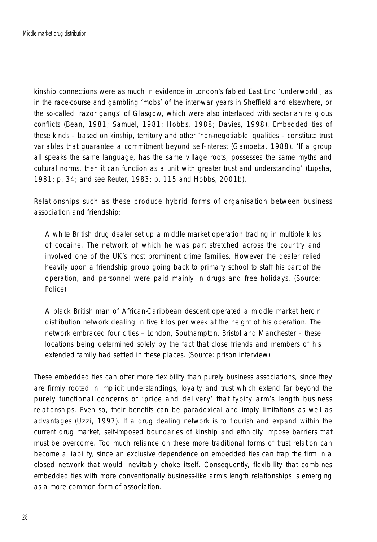kinship connections were as much in evidence in London's fabled East End 'underworld', as in the race-course and gambling 'mobs' of the inter-war years in Sheffield and elsewhere, or the so-called 'razor gangs' of Glasgow, which were also interlaced with sectarian religious conflicts (Bean, 1981; Samuel, 1981; Hobbs, 1988; Davies, 1998). Embedded ties of these kinds – based on kinship, territory and other 'non-negotiable' qualities – constitute trust variables that guarantee a commitment beyond self-interest (Gambetta, 1988). 'If a group all speaks the same language, has the same village roots, possesses the same myths and cultural norms, then it can function as a unit with greater trust and understanding' (Lupsha, 1981: p. 34; and see Reuter, 1983: p. 115 and Hobbs, 2001b).

Relationships such as these produce hybrid forms of organisation between business association and friendship:

A white British drug dealer set up a middle market operation trading in multiple kilos of cocaine. The network of which he was part stretched across the country and involved one of the UK's most prominent crime families. However the dealer relied heavily upon a friendship group going back to primary school to staff his part of the operation, and personnel were paid mainly in drugs and free holidays. (Source: Police)

A black British man of African-Caribbean descent operated a middle market heroin distribution network dealing in five kilos per week at the height of his operation. The network embraced four cities – London, Southampton, Bristol and Manchester – these locations being determined solely by the fact that close friends and members of his extended family had settled in these places. (Source: prison interview)

These embedded ties can offer more flexibility than purely business associations, since they are firmly rooted in implicit understandings, loyalty and trust which extend far beyond the purely functional concerns of 'price and delivery' that typify arm's length business relationships. Even so, their benefits can be paradoxical and imply limitations as well as advantages (Uzzi, 1997). If a drug dealing network is to flourish and expand within the current drug market, self-imposed boundaries of kinship and ethnicity impose barriers that must be overcome. Too much reliance on these more traditional forms of trust relation can become a liability, since an exclusive dependence on embedded ties can trap the firm in a closed network that would inevitably choke itself. Consequently, flexibility that combines embedded ties with more conventionally business-like arm's length relationships is emerging as a more common form of association.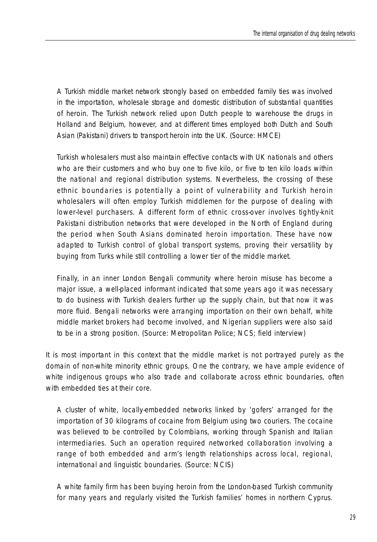A Turkish middle market network strongly based on embedded family ties was involved in the importation, wholesale storage and domestic distribution of substantial quantities of heroin. The Turkish network relied upon Dutch people to warehouse the drugs in Holland and Belgium, however, and at different times employed both Dutch and South Asian (Pakistani) drivers to transport heroin into the UK. (Source: HMCE)

Turkish wholesalers must also maintain effective contacts with UK nationals and others who are their customers and who buy one to five kilo, or five to ten kilo loads within the national and regional distribution systems. Nevertheless, the crossing of these ethnic boundaries is potentially a point of vulnerability and Turkish heroin wholesalers will often employ Turkish middlemen for the purpose of dealing with lower-level purchasers. A different form of ethnic cross-over involves tightly-knit Pakistani distribution networks that were developed in the North of England during the period when South Asians dominated heroin importation. These have now adapted to Turkish control of global transport systems, proving their versatility by buying from Turks while still controlling a lower tier of the middle market.

Finally, in an inner London Bengali community where heroin misuse has become a major issue, a well-placed informant indicated that some years ago it was necessary to do business with Turkish dealers further up the supply chain, but that now it was more fluid. Bengali networks were arranging importation on their own behalf, white middle market brokers had become involved, and Nigerian suppliers were also said to be in a strong position. (Source: Metropolitan Police; NCS; field interview)

It is most important in this context that the middle market is not portrayed purely as the domain of non-white minority ethnic groups. One the contrary, we have ample evidence of white indigenous groups who also trade and collaborate across ethnic boundaries, often with embedded ties at their core.

A cluster of white, locally-embedded networks linked by 'gofers' arranged for the importation of 30 kilograms of cocaine from Belgium using two couriers. The cocaine was believed to be controlled by Colombians, working through Spanish and Italian intermediaries. Such an operation required networked collaboration involving a range of both embedded and arm's length relationships across local, regional, international and linguistic boundaries. (Source: NCIS)

A white family firm has been buying heroin from the London-based Turkish community for many years and regularly visited the Turkish families' homes in northern Cyprus.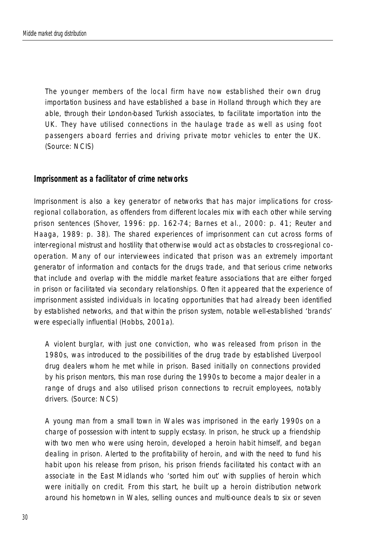The younger members of the local firm have now established their own drug importation business and have established a base in Holland through which they are able, through their London-based Turkish associates, to facilitate importation into the UK. They have utilised connections in the haulage trade as well as using foot passengers aboard ferries and driving private motor vehicles to enter the UK. (Source: NCIS)

#### **Imprisonment as a facilitator of crime networks**

Imprisonment is also a key generator of networks that has major implications for crossregional collaboration, as offenders from different locales mix with each other while serving prison sentences (Shover, 1996: pp. 162-74; Barnes *et al.*, 2000: p. 41; Reuter and Haaga, 1989: p. 38). The shared experiences of imprisonment can cut across forms of inter-regional mistrust and hostility that otherwise would act as obstacles to cross-regional cooperation. Many of our interviewees indicated that prison was an extremely important generator of information and contacts for the drugs trade, and that serious crime networks that include and overlap with the middle market feature associations that are either forged in prison or facilitated via secondary relationships. Often it appeared that the experience of imprisonment assisted individuals in locating opportunities that had already been identified by established networks, and that within the prison system, notable well-established 'brands' were especially influential (Hobbs, 2001a).

A violent burglar, with just one conviction, who was released from prison in the 1980s, was introduced to the possibilities of the drug trade by established Liverpool drug dealers whom he met while in prison. Based initially on connections provided by his prison mentors, this man rose during the 1990s to become a major dealer in a range of drugs and also utilised prison connections to recruit employees, notably drivers. (Source: NCS)

A young man from a small town in Wales was imprisoned in the early 1990s on a charge of possession with intent to supply ecstasy. In prison, he struck up a friendship with two men who were using heroin, developed a heroin habit himself, and began dealing in prison. Alerted to the profitability of heroin, and with the need to fund his habit upon his release from prison, his prison friends facilitated his contact with an associate in the East Midlands who 'sorted him out' with supplies of heroin which were initially on credit. From this start, he built up a heroin distribution network around his hometown in Wales, selling ounces and multi-ounce deals to six or seven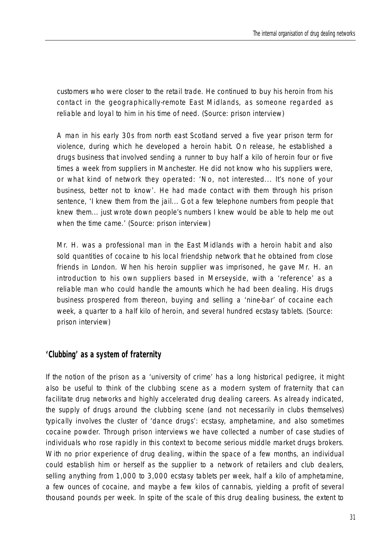customers who were closer to the retail trade. He continued to buy his heroin from his contact in the geographically-remote East Midlands, as someone regarded as reliable and loyal to him in his time of need. (Source: prison interview)

A man in his early 30s from north east Scotland served a five year prison term for violence, during which he developed a heroin habit. On release, he established a drugs business that involved sending a runner to buy half a kilo of heroin four or five times a week from suppliers in Manchester. He did not know who his suppliers were, or what kind of network they operated: 'No, not interested... It's none of your business, better not to know'. He had made contact with them through his prison sentence, 'I knew them from the jail... Got a few telephone numbers from people that knew them... just wrote down people's numbers I knew would be able to help me out when the time came.' (Source: prison interview)

Mr. H. was a professional man in the East Midlands with a heroin habit and also sold quantities of cocaine to his local friendship network that he obtained from close friends in London. When his heroin supplier was imprisoned, he gave Mr. H. an introduction to his own suppliers based in Merseyside, with a 'reference' as a reliable man who could handle the amounts which he had been dealing. His drugs business prospered from thereon, buying and selling a 'nine-bar' of cocaine each week, a quarter to a half kilo of heroin, and several hundred ecstasy tablets. (Source: prison interview)

## **'Clubbing' as a system of fraternity**

If the notion of the prison as a 'university of crime' has a long historical pedigree, it might also be useful to think of the clubbing scene as a modern system of fraternity that can facilitate drug networks and highly accelerated drug dealing careers. As already indicated, the supply of drugs around the clubbing scene (and not necessarily in clubs themselves) typically involves the cluster of 'dance drugs': ecstasy, amphetamine, and also sometimes cocaine powder. Through prison interviews we have collected a number of case studies of individuals who rose rapidly in this context to become serious middle market drugs brokers. With no prior experience of drug dealing, within the space of a few months, an individual could establish him or herself as the supplier to a network of retailers and club dealers, selling anything from 1,000 to 3,000 ecstasy tablets per week, half a kilo of amphetamine, a few ounces of cocaine, and maybe a few kilos of cannabis, yielding a profit of several thousand pounds per week. In spite of the scale of this drug dealing business, the extent to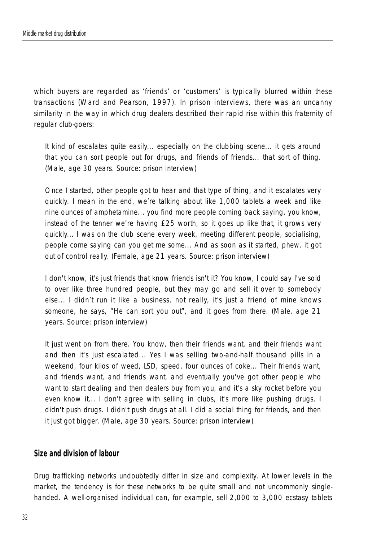which buyers are regarded as 'friends' or 'customers' is typically blurred within these transactions (Ward and Pearson, 1997). In prison interviews, there was an uncanny similarity in the way in which drug dealers described their rapid rise within this fraternity of regular club-goers:

It kind of escalates quite easily... especially on the clubbing scene... it gets around that you can sort people out for drugs, and friends of friends... that sort of thing. (Male, age 30 years. Source: prison interview)

Once I started, other people got to hear and that type of thing, and it escalates very quickly. I mean in the end, we're talking about like 1,000 tablets a week and like nine ounces of amphetamine... you find more people coming back saying, you know, instead of the tenner we're having £25 worth, so it goes up like that, it grows very quickly... I was on the club scene every week, meeting different people, socialising, people come saying can you get me some... And as soon as it started, phew, it got out of control really. (Female, age 21 years. Source: prison interview)

I don't know, it's just friends that know friends isn't it? You know, I could say I've sold to over like three hundred people, but they may go and sell it over to somebody else... I didn't run it like a business, not really, it's just a friend of mine knows someone, he says, "He can sort you out", and it goes from there. (Male, age 21 years. Source: prison interview)

It just went on from there. You know, then their friends want, and their friends want and then it's just escalated... Yes I was selling two-and-half thousand pills in a weekend, four kilos of weed, LSD, speed, four ounces of coke... Their friends want, and friends want, and friends want, and eventually you've got other people who want to start dealing and then dealers buy from you, and it's a sky rocket before you even know it... I don't agree with selling in clubs, it's more like pushing drugs. I didn't push drugs. I didn't push drugs at all. I did a social thing for friends, and then it just got bigger. (Male, age 30 years. Source: prison interview)

#### **Size and division of labour**

Drug trafficking networks undoubtedly differ in size and complexity. At lower levels in the market, the tendency is for these networks to be quite small and not uncommonly singlehanded. A well-organised individual can, for example, sell 2,000 to 3,000 ecstasy tablets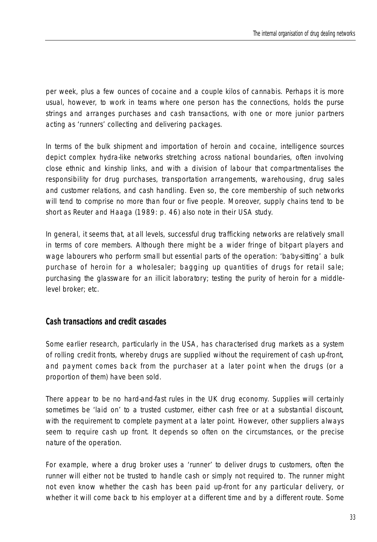per week, plus a few ounces of cocaine and a couple kilos of cannabis. Perhaps it is more usual, however, to work in teams where one person has the connections, holds the purse strings and arranges purchases and cash transactions, with one or more junior partners acting as 'runners' collecting and delivering packages.

In terms of the bulk shipment and importation of heroin and cocaine, intelligence sources depict complex hydra-like networks stretching across national boundaries, often involving close ethnic and kinship links, and with a division of labour that compartmentalises the responsibility for drug purchases, transportation arrangements, warehousing, drug sales and customer relations, and cash handling. Even so, the core membership of such networks will tend to comprise no more than four or five people. Moreover, supply chains tend to be short as Reuter and Haaga (1989: p. 46) also note in their USA study.

In general, it seems that, at all levels, successful drug trafficking networks are relatively small in terms of core members. Although there might be a wider fringe of bit-part players and wage labourers who perform small but essential parts of the operation: 'baby-sitting' a bulk purchase of heroin for a wholesaler; bagging up quantities of drugs for retail sale; purchasing the glassware for an illicit laboratory; testing the purity of heroin for a middlelevel broker; etc.

## **Cash transactions and credit cascades**

Some earlier research, particularly in the USA, has characterised drug markets as a system of rolling credit fronts, whereby drugs are supplied without the requirement of cash up-front, and payment comes back from the purchaser at a later point when the drugs (or a proportion of them) have been sold.

There appear to be no hard-and-fast rules in the UK drug economy. Supplies will certainly sometimes be 'laid on' to a trusted customer, either cash free or at a substantial discount, with the requirement to complete payment at a later point. However, other suppliers always seem to require cash up front. It depends so often on the circumstances, or the precise nature of the operation.

For example, where a drug broker uses a 'runner' to deliver drugs to customers, often the runner will either not be trusted to handle cash or simply not required to. The runner might not even know whether the cash has been paid up-front for any particular delivery, or whether it will come back to his employer at a different time and by a different route. Some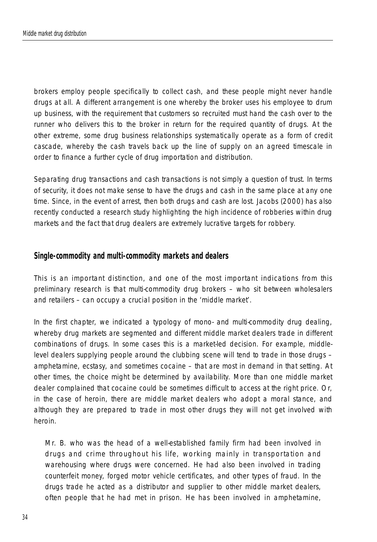brokers employ people specifically to collect cash, and these people might never handle drugs at all. A different arrangement is one whereby the broker uses his employee to drum up business, with the requirement that customers so recruited must hand the cash over to the runner who delivers this to the broker in return for the required quantity of drugs. At the other extreme, some drug business relationships systematically operate as a form of credit cascade, whereby the cash travels back up the line of supply on an agreed timescale in order to finance a further cycle of drug importation and distribution.

Separating drug transactions and cash transactions is not simply a question of trust. In terms of security, it does not make sense to have the drugs and cash in the same place at any one time. Since, in the event of arrest, then both drugs and cash are lost. Jacobs (2000) has also recently conducted a research study highlighting the high incidence of robberies within drug markets and the fact that drug dealers are extremely lucrative targets for robbery.

#### **Single-commodity and multi-commodity markets and dealers**

This is an important distinction, and one of the most important indications from this preliminary research is that multi-commodity drug brokers – who sit between wholesalers and retailers – can occupy a crucial position in the 'middle market'.

In the first chapter, we indicated a typology of mono- and multi-commodity drug dealing, whereby drug markets are segmented and different middle market dealers trade in different combinations of drugs. In some cases this is a market-led decision. For example, middlelevel dealers supplying people around the clubbing scene will tend to trade in those drugs – amphetamine, ecstasy, and sometimes cocaine – that are most in demand in that setting. At other times, the choice might be determined by availability. More than one middle market dealer complained that cocaine could be sometimes difficult to access at the right price. Or, in the case of heroin, there are middle market dealers who adopt a moral stance, and although they are prepared to trade in most other drugs they will not get involved with heroin.

Mr. B. who was the head of a well-established family firm had been involved in drugs and crime throughout his life, working mainly in transportation and warehousing where drugs were concerned. He had also been involved in trading counterfeit money, forged motor vehicle certificates, and other types of fraud. In the drugs trade he acted as a distributor and supplier to other middle market dealers, often people that he had met in prison. He has been involved in amphetamine,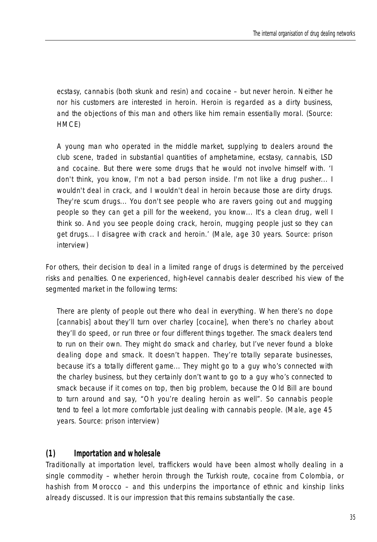ecstasy, cannabis (both skunk and resin) and cocaine – but never heroin. Neither he nor his customers are interested in heroin. Heroin is regarded as a dirty business, and the objections of this man and others like him remain essentially moral. (Source: HMCE)

A young man who operated in the middle market, supplying to dealers around the club scene, traded in substantial quantities of amphetamine, ecstasy, cannabis, LSD and cocaine. But there were some drugs that he would not involve himself with. 'I don't think, you know, I'm not a bad person inside. I'm not like a drug pusher... I wouldn't deal in crack, and I wouldn't deal in heroin because those are dirty drugs. They're scum drugs... You don't see people who are ravers going out and mugging people so they can get a pill for the weekend, you know... It's a clean drug, well I think so. And you see people doing crack, heroin, mugging people just so they can get drugs... I disagree with crack and heroin.' (Male, age 30 years. Source: prison interview)

For others, their decision to deal in a limited range of drugs is determined by the perceived risks and penalties. One experienced, high-level cannabis dealer described his view of the segmented market in the following terms:

There are plenty of people out there who deal in everything. When there's no dope [cannabis] about they'll turn over charley [cocaine], when there's no charley about they'll do speed, or run three or four different things together. The smack dealers tend to run on their own. They might do smack and charley, but I've never found a bloke dealing dope and smack. It doesn't happen. They're totally separate businesses, because it's a totally different game... They might go to a guy who's connected with the charley business, but they certainly don't want to go to a guy who's connected to smack because if it comes on top, then big problem, because the Old Bill are bound to turn around and say, "Oh you're dealing heroin as well". So cannabis people tend to feel a lot more comfortable just dealing with cannabis people. (Male, age 45 years. Source: prison interview)

## *(1) Importation and wholesale*

Traditionally at importation level, traffickers would have been almost wholly dealing in a single commodity – whether heroin through the Turkish route, cocaine from Colombia, or hashish from Morocco – and this underpins the importance of ethnic and kinship links already discussed. It is our impression that this remains substantially the case.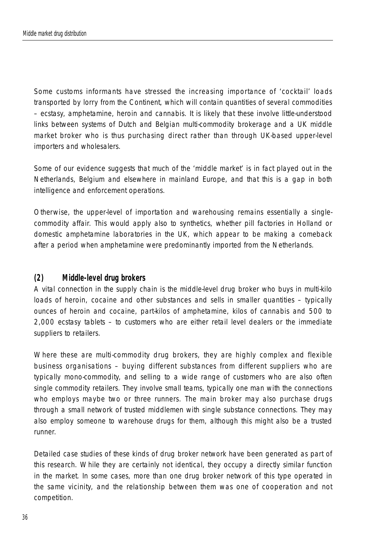Some customs informants have stressed the increasing importance of 'cocktail' loads transported by lorry from the Continent, which will contain quantities of several commodities – ecstasy, amphetamine, heroin and cannabis. It is likely that these involve little-understood links between systems of Dutch and Belgian multi-commodity brokerage and a UK middle market broker who is thus purchasing direct rather than through UK-based upper-level importers and wholesalers.

Some of our evidence suggests that much of the 'middle market' is in fact played out in the Netherlands, Belgium and elsewhere in mainland Europe, and that this is a gap in both intelligence and enforcement operations.

Otherwise, the upper-level of importation and warehousing remains essentially a singlecommodity affair. This would apply also to synthetics, whether pill factories in Holland or domestic amphetamine laboratories in the UK, which appear to be making a comeback after a period when amphetamine were predominantly imported from the Netherlands.

#### *(2) Middle-level drug brokers*

A vital connection in the supply chain is the middle-level drug broker who buys in multi-kilo loads of heroin, cocaine and other substances and sells in smaller quantities – typically ounces of heroin and cocaine, part-kilos of amphetamine, kilos of cannabis and 500 to 2,000 ecstasy tablets – to customers who are either retail level dealers or the immediate suppliers to retailers.

Where these are multi-commodity drug brokers, they are highly complex and flexible business organisations – buying different substances from different suppliers who are typically mono-commodity, and selling to a wide range of customers who are also often single commodity retailers. They involve small teams, typically one man with the connections who employs maybe two or three runners. The main broker may also purchase drugs through a small network of trusted middlemen with single substance connections. They may also employ someone to warehouse drugs for them, although this might also be a trusted runner.

Detailed case studies of these kinds of drug broker network have been generated as part of this research. While they are certainly not identical, they occupy a directly similar function in the market. In some cases, more than one drug broker network of this type operated in the same vicinity, and the relationship between them was one of cooperation and not competition.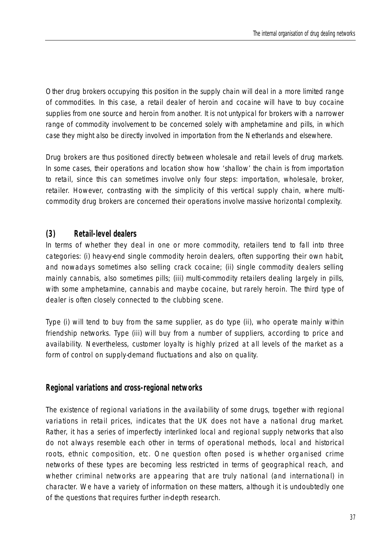Other drug brokers occupying this position in the supply chain will deal in a more limited range of commodities. In this case, a retail dealer of heroin and cocaine will have to buy cocaine supplies from one source and heroin from another. It is not untypical for brokers with a narrower range of commodity involvement to be concerned solely with amphetamine and pills, in which case they might also be directly involved in importation from the Netherlands and elsewhere.

Drug brokers are thus positioned directly between wholesale and retail levels of drug markets. In some cases, their operations and location show how 'shallow' the chain is from importation to retail, since this can sometimes involve only four steps: importation, wholesale, broker, retailer. However, contrasting with the simplicity of this vertical supply chain, where multicommodity drug brokers are concerned their operations involve massive horizontal complexity.

## *(3) Retail-level dealers*

In terms of whether they deal in one or more commodity, retailers tend to fall into three categories: (i) heavy-end single commodity heroin dealers, often supporting their own habit, and nowadays sometimes also selling crack cocaine; (ii) single commodity dealers selling mainly cannabis, also sometimes pills; (iii) multi-commodity retailers dealing largely in pills, with some amphetamine, cannabis and maybe cocaine, but rarely heroin. The third type of dealer is often closely connected to the clubbing scene.

Type (i) will tend to buy from the same supplier, as do type (ii), who operate mainly within friendship networks. Type (iii) will buy from a number of suppliers, according to price and availability. Nevertheless, customer loyalty is highly prized at all levels of the market as a form of control on supply-demand fluctuations and also on quality.

## **Regional variations and cross-regional networks**

The existence of regional variations in the availability of some drugs, together with regional variations in retail prices, indicates that the UK does not have a national drug market. Rather, it has a series of imperfectly interlinked local and regional supply networks that also do not always resemble each other in terms of operational methods, local and historical roots, ethnic composition, etc. One question often posed is whether organised crime networks of these types are becoming less restricted in terms of geographical reach, and whether criminal networks are appearing that are truly national (and international) in character. We have a variety of information on these matters, although it is undoubtedly one of the questions that requires further in-depth research.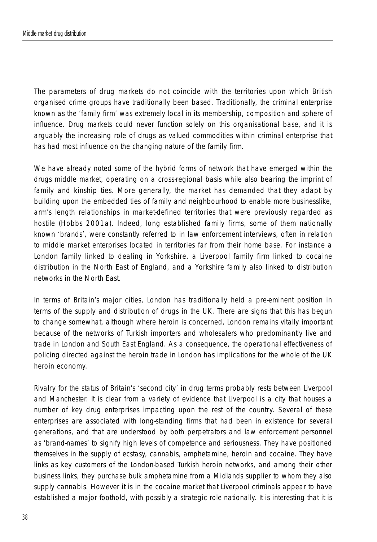The parameters of drug markets do not coincide with the territories upon which British organised crime groups have traditionally been based. Traditionally, the criminal enterprise known as the 'family firm' was extremely local in its membership, composition and sphere of influence. Drug markets could never function solely on this organisational base, and it is arguably the increasing role of drugs as valued commodities within criminal enterprise that has had most influence on the changing nature of the family firm.

We have already noted some of the hybrid forms of network that have emerged within the drugs middle market, operating on a cross-regional basis while also bearing the imprint of family and kinship ties. More generally, the market has demanded that they adapt by building upon the embedded ties of family and neighbourhood to enable more businesslike, arm's length relationships in market-defined territories that were previously regarded as hostile (Hobbs 2001a). Indeed, long established family firms, some of them nationally known 'brands', were constantly referred to in law enforcement interviews, often in relation to middle market enterprises located in territories far from their home base. For instance a London family linked to dealing in Yorkshire, a Liverpool family firm linked to cocaine distribution in the North East of England, and a Yorkshire family also linked to distribution networks in the North East.

In terms of Britain's major cities, London has traditionally held a pre-eminent position in terms of the supply and distribution of drugs in the UK. There are signs that this has begun to change somewhat, although where heroin is concerned, London remains vitally important because of the networks of Turkish importers and wholesalers who predominantly live and trade in London and South East England. As a consequence, the operational effectiveness of policing directed against the heroin trade in London has implications for the whole of the UK heroin economy.

Rivalry for the status of Britain's 'second city' in drug terms probably rests between Liverpool and Manchester. It is clear from a variety of evidence that Liverpool is a city that houses a number of key drug enterprises impacting upon the rest of the country. Several of these enterprises are associated with long-standing firms that had been in existence for several generations, and that are understood by both perpetrators and law enforcement personnel as 'brand-names' to signify high levels of competence and seriousness. They have positioned themselves in the supply of ecstasy, cannabis, amphetamine, heroin and cocaine. They have links as key customers of the London-based Turkish heroin networks, and among their other business links, they purchase bulk amphetamine from a Midlands supplier to whom they also supply cannabis. However it is in the cocaine market that Liverpool criminals appear to have established a major foothold, with possibly a strategic role nationally. It is interesting that it is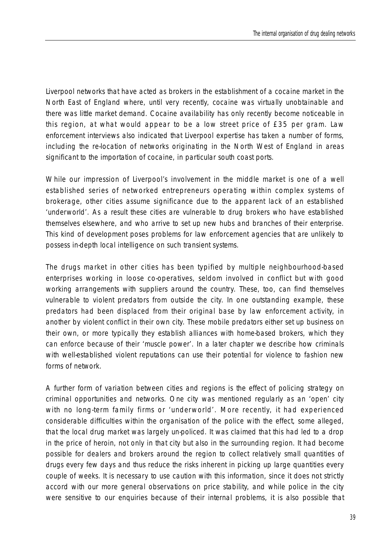Liverpool networks that have acted as brokers in the establishment of a cocaine market in the North East of England where, until very recently, cocaine was virtually unobtainable and there was little market demand. Cocaine availability has only recently become noticeable in this region, at what would appear to be a low street price of £35 per gram. Law enforcement interviews also indicated that Liverpool expertise has taken a number of forms, including the re-location of networks originating in the North West of England in areas significant to the importation of cocaine, in particular south coast ports.

While our impression of Liverpool's involvement in the middle market is one of a well established series of networked entrepreneurs operating within complex systems of brokerage, other cities assume significance due to the apparent lack of an established 'underworld'. As a result these cities are vulnerable to drug brokers who have established themselves elsewhere, and who arrive to set up new hubs and branches of their enterprise. This kind of development poses problems for law enforcement agencies that are unlikely to possess in-depth local intelligence on such transient systems.

The drugs market in other cities has been typified by multiple neighbourhood-based enterprises working in loose co-operatives, seldom involved in conflict but with good working arrangements with suppliers around the country. These, too, can find themselves vulnerable to violent predators from outside the city. In one outstanding example, these predators had been displaced from their original base by law enforcement activity, in another by violent conflict in their own city. These mobile predators either set up business on their own, or more typically they establish alliances with home-based brokers, which they can enforce because of their 'muscle power'. In a later chapter we describe how criminals with well-established violent reputations can use their potential for violence to fashion new forms of network.

A further form of variation between cities and regions is the effect of policing strategy on criminal opportunities and networks. One city was mentioned regularly as an 'open' city with no long-term family firms or 'underworld'. More recently, it had experienced considerable difficulties within the organisation of the police with the effect, some alleged, that the local drug market was largely un-policed. It was claimed that this had led to a drop in the price of heroin, not only in that city but also in the surrounding region. It had become possible for dealers and brokers around the region to collect relatively small quantities of drugs every few days and thus reduce the risks inherent in picking up large quantities every couple of weeks. It is necessary to use caution with this information, since it does not strictly accord with our more general observations on price stability, and while police in the city were sensitive to our enquiries because of their internal problems, it is also possible that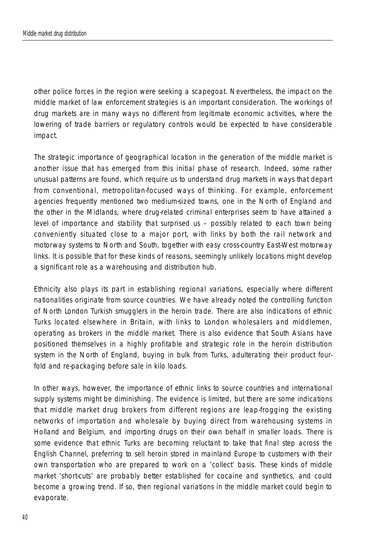other police forces in the region were seeking a scapegoat. Nevertheless, the impact on the middle market of law enforcement strategies is an important consideration. The workings of drug markets are in many ways no different from legitimate economic activities, where the lowering of trade barriers or regulatory controls would be expected to have considerable impact.

The strategic importance of geographical location in the generation of the middle market is another issue that has emerged from this initial phase of research. Indeed, some rather unusual patterns are found, which require us to understand drug markets in ways that depart from conventional, metropolitan-focused ways of thinking. For example, enforcement agencies frequently mentioned two medium-sized towns, one in the North of England and the other in the Midlands, where drug-related criminal enterprises seem to have attained a level of importance and stability that surprised us – possibly related to each town being conveniently situated close to a major port, with links by both the rail network and motorway systems to North and South, together with easy cross-country East-West motorway links. It is possible that for these kinds of reasons, seemingly unlikely locations might develop a significant role as a warehousing and distribution hub.

Ethnicity also plays its part in establishing regional variations, especially where different nationalities originate from source countries. We have already noted the controlling function of North London Turkish smugglers in the heroin trade. There are also indications of ethnic Turks located elsewhere in Britain, with links to London wholesalers and middlemen, operating as brokers in the middle market. There is also evidence that South Asians have positioned themselves in a highly profitable and strategic role in the heroin distribution system in the North of England, buying in bulk from Turks, adulterating their product fourfold and re-packaging before sale in kilo loads.

In other ways, however, the importance of ethnic links to source countries and international supply systems might be diminishing. The evidence is limited, but there are some indications that middle market drug brokers from different regions are leap-frogging the existing networks of importation and wholesale by buying direct from warehousing systems in Holland and Belgium, and importing drugs on their own behalf in smaller loads. There is some evidence that ethnic Turks are becoming reluctant to take that final step across the English Channel, preferring to sell heroin stored in mainland Europe to customers with their own transportation who are prepared to work on a 'collect' basis. These kinds of middle market 'short-cuts' are probably better established for cocaine and synthetics, and could become a growing trend. If so, then regional variations in the middle market could begin to evaporate.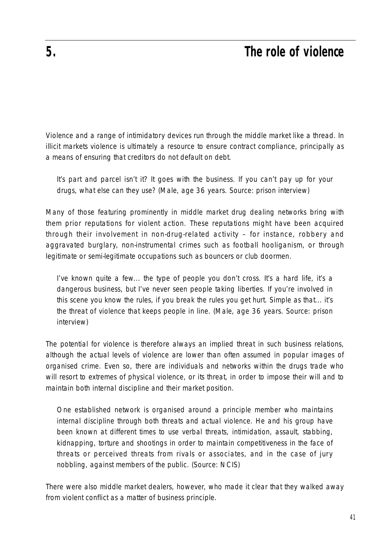## **5. The role of violence**

Violence and a range of intimidatory devices run through the middle market like a thread. In illicit markets violence is ultimately a resource to ensure contract compliance, principally as a means of ensuring that creditors do not default on debt.

It's part and parcel isn't it? It goes with the business. If you can't pay up for your drugs, what else can they use? (Male, age 36 years. Source: prison interview)

Many of those featuring prominently in middle market drug dealing networks bring with them prior reputations for violent action. These reputations might have been acquired through their involvement in non-drug-related activity – for instance, robbery and aggravated burglary, non-instrumental crimes such as football hooliganism, or through legitimate or semi-legitimate occupations such as bouncers or club doormen.

I've known quite a few... the type of people you don't cross. It's a hard life, it's a dangerous business, but I've never seen people taking liberties. If you're involved in this scene you know the rules, if you break the rules you get hurt. Simple as that... it's the threat of violence that keeps people in line. (Male, age 36 years. Source: prison interview)

The potential for violence is therefore always an implied threat in such business relations, although the actual levels of violence are lower than often assumed in popular images of organised crime. Even so, there are individuals and networks within the drugs trade who will resort to extremes of physical violence, or its threat, in order to impose their will and to maintain both internal discipline and their market position.

One established network is organised around a principle member who maintains internal discipline through both threats and actual violence. He and his group have been known at different times to use verbal threats, intimidation, assault, stabbing, kidnapping, torture and shootings in order to maintain competitiveness in the face of threats or perceived threats from rivals or associates, and in the case of jury nobbling, against members of the public. (Source: NCIS)

There were also middle market dealers, however, who made it clear that they walked away from violent conflict as a matter of business principle.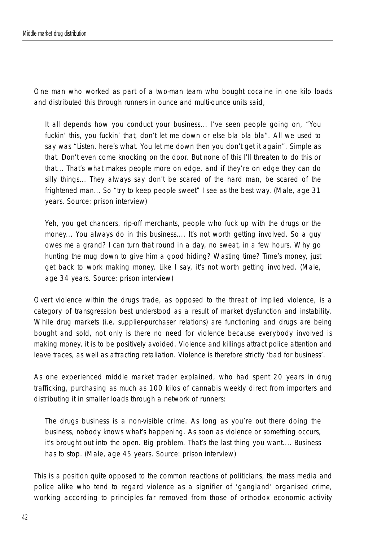One man who worked as part of a two-man team who bought cocaine in one kilo loads and distributed this through runners in ounce and multi-ounce units said,

It all depends how you conduct your business... I've seen people going on, "You fuckin' this, you fuckin' that, don't let me down or else bla bla bla". All we used to say was "Listen, here's what. You let me down then you don't get it again". Simple as that. Don't even come knocking on the door. But none of this I'll threaten to do this or that... That's what makes people more on edge, and if they're on edge they can do silly things... They always say don't be scared of the hard man, be scared of the frightened man... So "try to keep people sweet" I see as the best way. (Male, age 31 years. Source: prison interview)

Yeh, you get chancers, rip-off merchants, people who fuck up with the drugs or the money... You always do in this business.... It's not worth getting involved. So a guy owes me a grand? I can turn that round in a day, no sweat, in a few hours. Why go hunting the mug down to give him a good hiding? Wasting time? Time's money, just get back to work making money. Like I say, it's not worth getting involved. (Male, age 34 years. Source: prison interview)

Overt violence within the drugs trade, as opposed to the threat of implied violence, is a category of transgression best understood as a result of *market dysfunction* and *instability*. While drug markets (i.e. supplier-purchaser relations) are functioning and drugs are being bought and sold, not only is there no need for violence because everybody involved is making money, it is to be positively avoided. Violence and killings attract police attention and leave traces, as well as attracting retaliation. Violence is therefore strictly 'bad for business'.

As one experienced middle market trader explained, who had spent 20 years in drug trafficking, purchasing as much as 100 kilos of cannabis weekly direct from importers and distributing it in smaller loads through a network of runners:

The drugs business is a non-visible crime. As long as you're out there doing the business, nobody knows what's happening. As soon as violence or something occurs, it's brought out into the open. Big problem. That's the last thing you want.... Business has to stop. (Male, age 45 years. Source: prison interview)

This is a position quite opposed to the common reactions of politicians, the mass media and police alike who tend to regard violence as a signifier of 'gangland' organised crime, working according to principles far removed from those of orthodox economic activity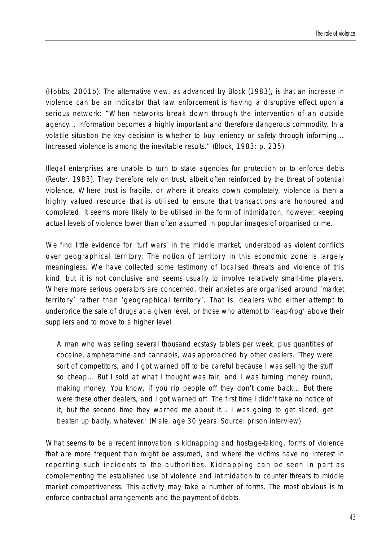(Hobbs, 2001b). The alternative view, as advanced by Block (1983), is that an increase in violence can be an indicator that law enforcement is having a disruptive effect upon a serious network: "When networks break down through the intervention of an outside agency... information becomes a highly important and therefore dangerous commodity. In a volatile situation the key decision is whether to buy leniency or safety through informing... Increased violence is among the inevitable results." (Block, 1983: p. 235).

Illegal enterprises are unable to turn to state agencies for protection or to enforce debts (Reuter, 1983). They therefore rely on trust, albeit often reinforced by the threat of potential violence. Where trust is fragile, or where it breaks down completely, violence is then a highly valued resource that is utilised to ensure that transactions are honoured and completed. It seems more likely to be utilised in the form of intimidation, however, keeping actual levels of violence lower than often assumed in popular images of organised crime.

We find little evidence for 'turf wars' in the middle market, understood as violent conflicts over geographical territory. The notion of territory in this economic zone is largely meaningless. We have collected some testimony of localised threats and violence of this kind, but it is not conclusive and seems usually to involve relatively small-time players. Where more serious operators are concerned, their anxieties are organised around 'market territory' rather than 'geographical territory'. That is, dealers who either attempt to underprice the sale of drugs at a given level, or those who attempt to 'leap-frog' above their suppliers and to move to a higher level.

A man who was selling several thousand ecstasy tablets per week, plus quantities of cocaine, amphetamine and cannabis, was approached by other dealers. 'They were sort of competitors, and I got warned off to be careful because I was selling the stuff so cheap... But I sold at what I thought was fair, and I was turning money round, making money. You know, if you rip people off they don't come back... But there were these other dealers, and I got warned off. The first time I didn't take no notice of it, but the second time they warned me about it... I was going to get sliced, get beaten up badly, whatever.' (Male, age 30 years. Source: prison interview)

What seems to be a recent innovation is kidnapping and hostage-taking, forms of violence that are more frequent than might be assumed, and where the victims have no interest in reporting such incidents to the authorities. Kidnapping can be seen in part as complementing the established use of violence and intimidation to counter threats to middle market competitiveness. This activity may take a number of forms. The most obvious is to enforce contractual arrangements and the payment of debts.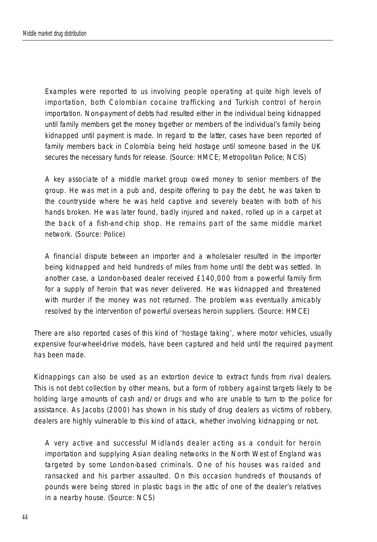Examples were reported to us involving people operating at quite high levels of importation, both Colombian cocaine trafficking and Turkish control of heroin importation. Non-payment of debts had resulted either in the individual being kidnapped until family members get the money together or members of the individual's family being kidnapped until payment is made. In regard to the latter, cases have been reported of family members back in Colombia being held hostage until someone based in the UK secures the necessary funds for release. (Source: HMCE; Metropolitan Police; NCIS)

A key associate of a middle market group owed money to senior members of the group. He was met in a pub and, despite offering to pay the debt, he was taken to the countryside where he was held captive and severely beaten with both of his hands broken. He was later found, badly injured and naked, rolled up in a carpet at the back of a fish-and-chip shop. He remains part of the same middle market network. (Source: Police)

A financial dispute between an importer and a wholesaler resulted in the importer being kidnapped and held hundreds of miles from home until the debt was settled. In another case, a London-based dealer received £140,000 from a powerful family firm for a supply of heroin that was never delivered. He was kidnapped and threatened with murder if the money was not returned. The problem was eventually amicably resolved by the intervention of powerful overseas heroin suppliers. (Source: HMCE)

There are also reported cases of this kind of 'hostage taking', where motor vehicles, usually expensive four-wheel-drive models, have been captured and held until the required payment has been made.

Kidnappings can also be used as an extortion device to extract funds from rival dealers. This is not debt collection by other means, but a form of robbery against targets likely to be holding large amounts of cash and/or drugs and who are unable to turn to the police for assistance. As Jacobs (2000) has shown in his study of drug dealers as victims of robbery, dealers are highly vulnerable to this kind of attack, whether involving kidnapping or not.

A very active and successful Midlands dealer acting as a conduit for heroin importation and supplying Asian dealing networks in the North West of England was targeted by some London-based criminals. One of his houses was raided and ransacked and his partner assaulted. On this occasion hundreds of thousands of pounds were being stored in plastic bags in the attic of one of the dealer's relatives in a nearby house. (Source: NCS)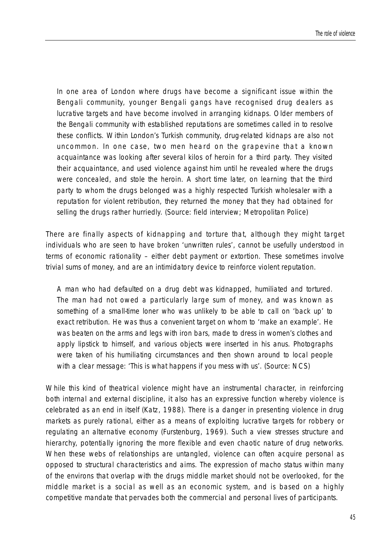In one area of London where drugs have become a significant issue within the Bengali community, younger Bengali gangs have recognised drug dealers as lucrative targets and have become involved in arranging kidnaps. Older members of the Bengali community with established reputations are sometimes called in to resolve these conflicts. Within London's Turkish community, drug-related kidnaps are also not uncommon. In one case, two men heard on the grapevine that a known acquaintance was looking after several kilos of heroin for a third party. They visited their acquaintance, and used violence against him until he revealed where the drugs were concealed, and stole the heroin. A short time later, on learning that the third party to whom the drugs belonged was a highly respected Turkish wholesaler with a reputation for violent retribution, they returned the money that they had obtained for selling the drugs rather hurriedly. (Source: field interview; Metropolitan Police)

There are finally aspects of kidnapping and torture that, although they might target individuals who are seen to have broken 'unwritten rules', cannot be usefully understood in terms of economic rationality – either debt payment or extortion. These sometimes involve trivial sums of money, and are an intimidatory device to reinforce violent reputation.

A man who had defaulted on a drug debt was kidnapped, humiliated and tortured. The man had not owed a particularly large sum of money, and was known as something of a small-time loner who was unlikely to be able to call on 'back up' to exact retribution. He was thus a convenient target on whom to 'make an example'. He was beaten on the arms and legs with iron bars, made to dress in women's clothes and apply lipstick to himself, and various objects were inserted in his anus. Photographs were taken of his humiliating circumstances and then shown around to local people with a clear message: 'This is what happens if you mess with us'. (Source: NCS)

While this kind of theatrical violence might have an instrumental character, in reinforcing both internal and external discipline, it also has an expressive function whereby violence is celebrated as an end in itself (Katz, 1988). There is a danger in presenting violence in drug markets as purely rational, either as a means of exploiting lucrative targets for robbery or regulating an alternative economy (Furstenburg, 1969). Such a view stresses structure and hierarchy, potentially ignoring the more flexible and even chaotic nature of drug networks. When these webs of relationships are untangled, violence can often acquire personal as opposed to structural characteristics and aims. The expression of macho status within many of the environs that overlap with the drugs middle market should not be overlooked, for the middle market is a social as well as an economic system, and is based on a highly competitive mandate that pervades both the commercial and personal lives of participants.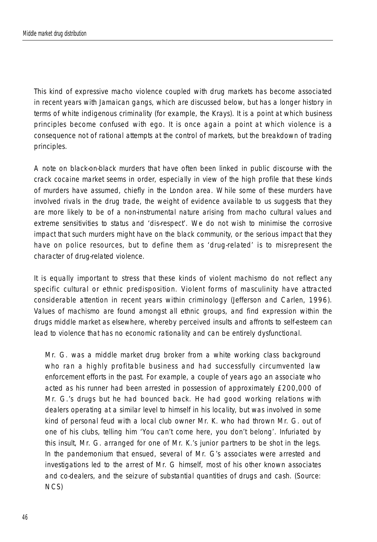This kind of expressive macho violence coupled with drug markets has become associated in recent years with Jamaican gangs, which are discussed below, but has a longer history in terms of white indigenous criminality (for example, the Krays). It is a point at which business principles become confused with ego. It is once again a point at which violence is a consequence not of rational attempts at the control of markets, but the breakdown of trading principles.

A note on black-on-black murders that have often been linked in public discourse with the crack cocaine market seems in order, especially in view of the high profile that these kinds of murders have assumed, chiefly in the London area. While some of these murders have involved rivals in the drug trade, the weight of evidence available to us suggests that they are more likely to be of a non-instrumental nature arising from macho cultural values and extreme sensitivities to status and 'dis-respect'. We do not wish to minimise the corrosive impact that such murders might have on the black community, or the serious impact that they have on police resources, but to define them as 'drug-related' is to misrepresent the character of drug-related violence.

It is equally important to stress that these kinds of violent machismo do not reflect any specific cultural or ethnic predisposition. Violent forms of masculinity have attracted considerable attention in recent years within criminology (Jefferson and Carlen, 1996). Values of machismo are found amongst all ethnic groups, and find expression within the drugs middle market as elsewhere, whereby perceived insults and affronts to self-esteem can lead to violence that has no economic rationality and can be entirely dysfunctional.

Mr. G. was a middle market drug broker from a white working class background who ran a highly profitable business and had successfully circumvented law enforcement efforts in the past. For example, a couple of years ago an associate who acted as his runner had been arrested in possession of approximately £200,000 of Mr. G.'s drugs but he had bounced back. He had good working relations with dealers operating at a similar level to himself in his locality, but was involved in some kind of personal feud with a local club owner Mr. K. who had thrown Mr. G. out of one of his clubs, telling him 'You can't come here, you don't belong'. Infuriated by this insult, Mr. G. arranged for one of Mr. K.'s junior partners to be shot in the legs. In the pandemonium that ensued, several of Mr. G's associates were arrested and investigations led to the arrest of Mr. G himself, most of his other known associates and co-dealers, and the seizure of substantial quantities of drugs and cash. (Source: NCS)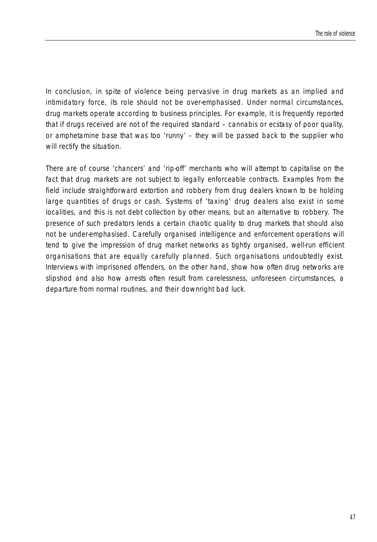In conclusion, in spite of violence being pervasive in drug markets as an implied and intimidatory force, its role should not be over-emphasised. Under normal circumstances, drug markets operate according to business principles. For example, it is frequently reported that if drugs received are not of the required standard – cannabis or ecstasy of poor quality, or amphetamine base that was too 'runny' – they will be passed back to the supplier who will rectify the situation.

There are of course 'chancers' and 'rip-off' merchants who will attempt to capitalise on the fact that drug markets are not subject to legally enforceable contracts. Examples from the field include straightforward extortion and robbery from drug dealers known to be holding large quantities of drugs or cash. Systems of 'taxing' drug dealers also exist in some localities, and this is not debt collection by other means, but an alternative to robbery. The presence of such predators lends a certain chaotic quality to drug markets that should also not be under-emphasised. Carefully organised intelligence and enforcement operations will tend to give the impression of drug market networks as tightly organised, well-run efficient organisations that are equally carefully planned. Such organisations undoubtedly exist. Interviews with imprisoned offenders, on the other hand, show how often drug networks are slipshod and also how arrests often result from carelessness, unforeseen circumstances, a departure from normal routines, and their downright bad luck.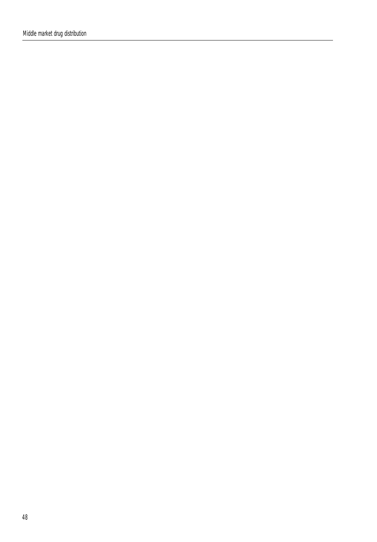Middle market drug distribution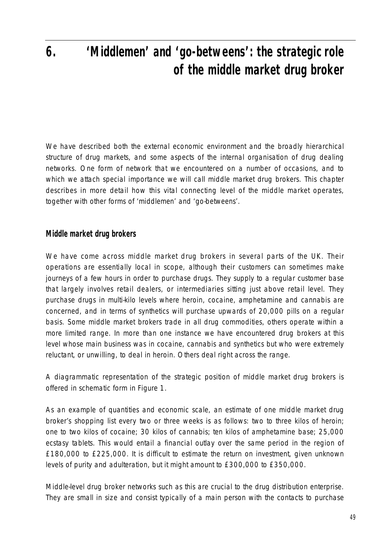# **6. 'Middlemen' and 'go-betweens': the strategic role of the middle market drug broker**

We have described both the external economic environment and the broadly hierarchical structure of drug markets, and some aspects of the internal organisation of drug dealing networks. One form of network that we encountered on a number of occasions, and to which we attach special importance we will call *middle market drug brokers.* This chapter describes in more detail how this vital connecting level of the middle market operates, together with other forms of 'middlemen' and 'go-betweens'.

## **Middle market drug brokers**

We have come across middle market drug brokers in several parts of the UK. Their operations are essentially local in scope, although their customers can sometimes make journeys of a few hours in order to purchase drugs. They supply to a regular customer base that largely involves retail dealers, or intermediaries sitting just above retail level. They purchase drugs in multi-kilo levels where heroin, cocaine, amphetamine and cannabis are concerned, and in terms of synthetics will purchase upwards of 20,000 pills on a regular basis. Some middle market brokers trade in all drug commodities, others operate within a more limited range. In more than one instance we have encountered drug brokers at this level whose main business was in cocaine, cannabis and synthetics but who were extremely reluctant, or unwilling, to deal in heroin. Others deal right across the range.

A diagrammatic representation of the strategic position of middle market drug brokers is offered in schematic form in Figure 1.

As an example of quantities and economic scale, an estimate of one middle market drug broker's shopping list every two or three weeks is as follows: two to three kilos of heroin; one to two kilos of cocaine; 30 kilos of cannabis; ten kilos of amphetamine base; 25,000 ecstasy tablets. This would entail a financial outlay over the same period in the region of £180,000 to £225,000. It is difficult to estimate the return on investment, given unknown levels of purity and adulteration, but it might amount to £300,000 to £350,000.

Middle-level drug broker networks such as this are crucial to the drug distribution enterprise. They are small in size and consist typically of a main person with the contacts to purchase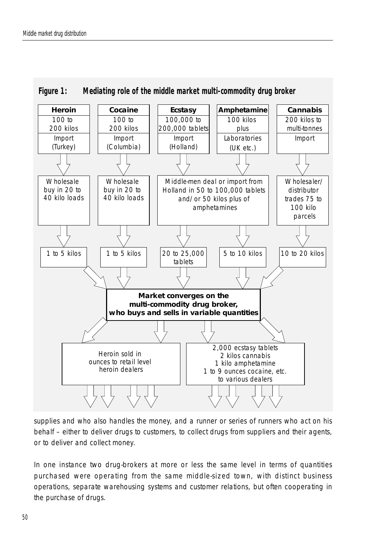

*Figure 1: Mediating role of the middle market multi-commodity drug broker*

supplies and who also handles the money, and a runner or series of runners who act on his behalf – either to deliver drugs to customers, to collect drugs from suppliers and their agents, or to deliver and collect money.

In one instance two drug-brokers at more or less the same level in terms of quantities purchased were operating from the same middle-sized town, with distinct business operations, separate warehousing systems and customer relations, but often cooperating in the purchase of drugs.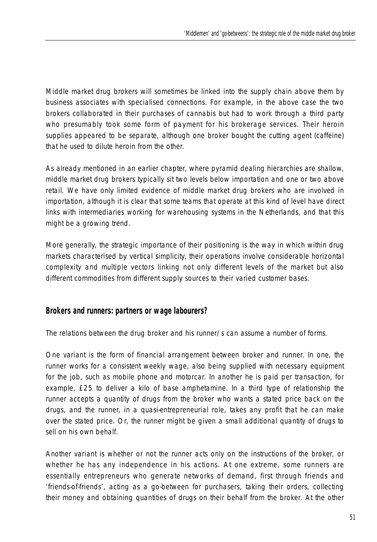Middle market drug brokers will sometimes be linked into the supply chain above them by business associates with specialised connections. For example, in the above case the two brokers collaborated in their purchases of cannabis but had to work through a third party who presumably took some form of payment for his brokerage services. Their heroin supplies appeared to be separate, although one broker bought the cutting agent (caffeine) that he used to dilute heroin from the other.

As already mentioned in an earlier chapter, where pyramid dealing hierarchies are shallow, middle market drug brokers typically sit two levels below importation and one or two above retail. We have only limited evidence of middle market drug brokers who are involved in importation, although it is clear that some teams that operate at this kind of level have direct links with intermediaries working for warehousing systems in the Netherlands, and that this might be a growing trend.

More generally, the strategic importance of their positioning is the way in which within drug markets characterised by vertical simplicity, their operations involve considerable horizontal complexity and multiple vectors linking not only different levels of the market but also different commodities from different supply sources to their varied customer bases.

#### **Brokers and runners: partners or wage labourers?**

The relations between the drug broker and his runner/s can assume a number of forms.

One variant is the form of financial arrangement between broker and runner. In one, the runner works for a consistent weekly wage, also being supplied with necessary equipment for the job, such as mobile phone and motorcar. In another he is paid per transaction, for example, £25 to deliver a kilo of base amphetamine. In a third type of relationship the runner accepts a quantity of drugs from the broker who wants a stated price back on the drugs, and the runner, in a quasi-entrepreneurial role, takes any profit that he can make over the stated price. Or, the runner might be given a small additional quantity of drugs to sell on his own behalf.

Another variant is whether or not the runner acts only on the instructions of the broker, or whether he has any independence in his actions. At one extreme, some runners are essentially entrepreneurs who generate networks of demand, first through friends and 'friends-of-friends', acting as a go-between for purchasers, taking their orders, collecting their money and obtaining quantities of drugs on their behalf from the broker. At the other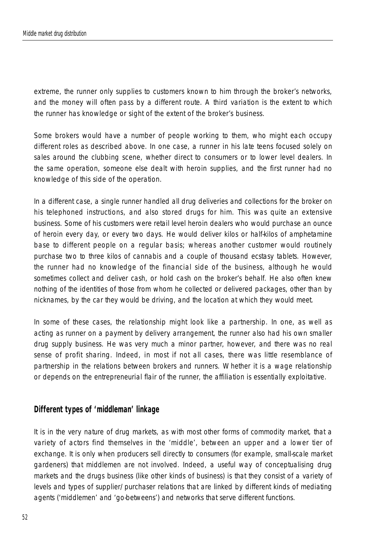extreme, the runner only supplies to customers known to him through the broker's networks, and the money will often pass by a different route. A third variation is the extent to which the runner has knowledge or sight of the extent of the broker's business.

Some brokers would have a number of people working to them, who might each occupy different roles as described above. In one case, a runner in his late teens focused solely on sales around the clubbing scene, whether direct to consumers or to lower level dealers. In the same operation, someone else dealt with heroin supplies, and the first runner had no knowledge of this side of the operation.

In a different case, a single runner handled all drug deliveries and collections for the broker on his telephoned instructions, and also stored drugs for him. This was quite an extensive business. Some of his customers were retail level heroin dealers who would purchase an ounce of heroin every day, or every two days. He would deliver kilos or half-kilos of amphetamine base to different people on a regular basis; whereas another customer would routinely purchase two to three kilos of cannabis and a couple of thousand ecstasy tablets. However, the runner had no knowledge of the financial side of the business, although he would sometimes collect and deliver cash, or hold cash on the broker's behalf. He also often knew nothing of the identities of those from whom he collected or delivered packages, other than by nicknames, by the car they would be driving, and the location at which they would meet.

In some of these cases, the relationship might look like a partnership. In one, as well as acting as runner on a payment by delivery arrangement, the runner also had his own smaller drug supply business. He was very much a minor partner, however, and there was no real sense of profit sharing. Indeed, in most if not all cases, there was little resemblance of partnership in the relations between brokers and runners. Whether it is a wage relationship or depends on the entrepreneurial flair of the runner, the affiliation is essentially exploitative.

#### **Different types of 'middleman' linkage**

It is in the very nature of drug markets, as with most other forms of commodity market, that a variety of actors find themselves in the 'middle', between an upper and a lower tier of exchange. It is only when producers sell directly to consumers (for example, small-scale market gardeners) that middlemen are not involved. Indeed, a useful way of conceptualising drug markets and the drugs business (like other kinds of business) is that they consist of a variety of levels and types of supplier/purchaser relations that are linked by different kinds of mediating agents ('middlemen' and 'go-betweens') and networks that serve different functions.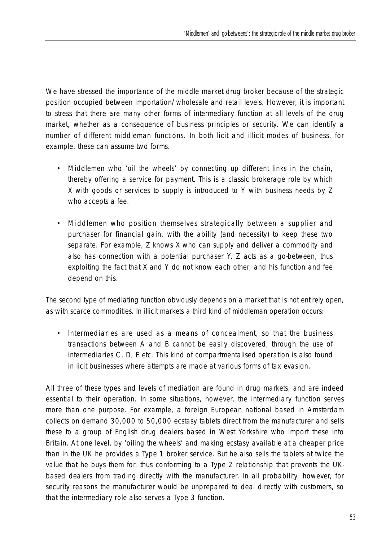We have stressed the importance of the middle market drug broker because of the strategic position occupied between importation/wholesale and retail levels. However, it is important to stress that there are many other forms of intermediary function at all levels of the drug market, whether as a consequence of business principles or security. We can identify a number of different middleman functions. In both licit and illicit modes of business, for example, these can assume two forms.

- Middlemen who 'oil the wheels' by connecting up different links in the chain, thereby offering a service for payment. This is a classic brokerage role by which X with goods or services to supply is introduced to Y with business needs by Z who accepts a fee.
- Middlemen who position themselves strategically between a supplier and purchaser for financial gain, with the ability (and necessity) to keep these two separate. For example, Z knows X who can supply and deliver a commodity and also has connection with a potential purchaser Y. Z acts as a go-between, thus exploiting the fact that X and Y do not know each other, and his function and fee depend on this.

The second type of mediating function obviously depends on a market that is not entirely open, as with scarce commodities. In illicit markets a third kind of middleman operation occurs:

• Intermediaries are used as a means of concealment, so that the business transactions between A and B cannot be easily discovered, through the use of intermediaries C, D, E etc. This kind of compartmentalised operation is also found in licit businesses where attempts are made at various forms of tax evasion.

All three of these types and levels of mediation are found in drug markets, and are indeed essential to their operation. In some situations, however, the intermediary function serves more than one purpose. For example, a foreign European national based in Amsterdam collects on demand 30,000 to 50,000 ecstasy tablets direct from the manufacturer and sells these to a group of English drug dealers based in West Yorkshire who import these into Britain. At one level, by 'oiling the wheels' and making ecstasy available at a cheaper price than in the UK he provides a Type 1 broker service. But he also sells the tablets at twice the value that he buys them for, thus conforming to a Type 2 relationship that prevents the UKbased dealers from trading directly with the manufacturer. In all probability, however, for security reasons the manufacturer would be unprepared to deal directly with customers, so that the intermediary role also serves a Type 3 function.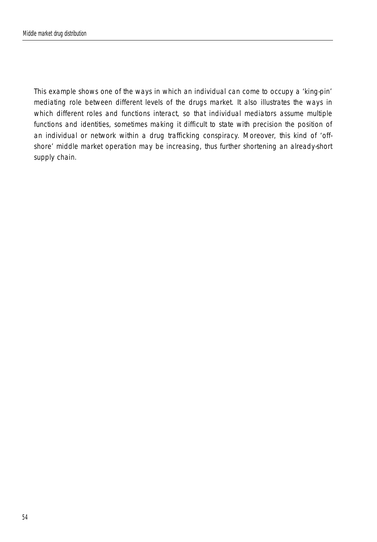This example shows one of the ways in which an individual can come to occupy a 'king-pin' mediating role between different levels of the drugs market. It also illustrates the ways in which different roles and functions interact, so that individual mediators assume multiple functions and identities, sometimes making it difficult to state with precision the position of an individual or network within a drug trafficking conspiracy. Moreover, this kind of 'offshore' middle market operation may be increasing, thus further shortening an already-short supply chain.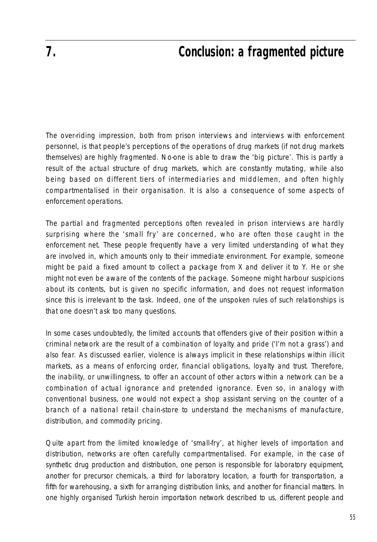The over-riding impression, both from prison interviews and interviews with enforcement personnel, is that people's perceptions of the operations of drug markets (if not drug markets themselves) are highly fragmented. No-one is able to draw the 'big picture'. This is partly a result of the actual structure of drug markets, which are constantly mutating, while also being based on different tiers of intermediaries and middlemen, and often highly compartmentalised in their organisation. It is also a consequence of some aspects of enforcement operations.

The partial and fragmented perceptions often revealed in prison interviews are hardly surprising where the 'small fry' are concerned, who are often those caught in the enforcement net. These people frequently have a very limited understanding of what they are involved in, which amounts only to their immediate environment. For example, someone might be paid a fixed amount to collect a package from X and deliver it to Y. He or she might not even be aware of the contents of the package. Someone might harbour suspicions about its contents, but is given no specific information, and does not request information since this is irrelevant to the task. Indeed, one of the unspoken rules of such relationships is that one doesn't ask too many questions.

In some cases undoubtedly, the limited accounts that offenders give of their position within a criminal network are the result of a combination of loyalty and pride ('I'm not a grass') and also fear. As discussed earlier, violence is always implicit in these relationships within illicit markets, as a means of enforcing order, financial obligations, loyalty and trust. Therefore, the inability, or unwillingness, to offer an account of other actors within a network can be a combination of actual ignorance and pretended ignorance. Even so, in analogy with conventional business, one would not expect a shop assistant serving on the counter of a branch of a national retail chain-store to understand the mechanisms of manufacture, distribution, and commodity pricing.

Quite apart from the limited knowledge of 'small-fry', at higher levels of importation and distribution, networks are often carefully compartmentalised. For example, in the case of synthetic drug production and distribution, one person is responsible for laboratory equipment, another for precursor chemicals, a third for laboratory location, a fourth for transportation, a fifth for warehousing, a sixth for arranging distribution links, and another for financial matters. In one highly organised Turkish heroin importation network described to us, different people and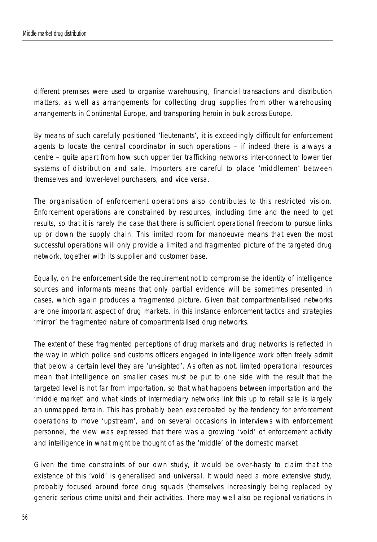different premises were used to organise warehousing, financial transactions and distribution matters, as well as arrangements for collecting drug supplies from other warehousing arrangements in Continental Europe, and transporting heroin in bulk across Europe.

By means of such carefully positioned 'lieutenants', it is exceedingly difficult for enforcement agents to locate the central coordinator in such operations – if indeed there is always a centre – quite apart from how such upper tier trafficking networks inter-connect to lower tier systems of distribution and sale. Importers are careful to place 'middlemen' between themselves and lower-level purchasers, and vice versa.

The organisation of enforcement operations also contributes to this restricted vision. Enforcement operations are constrained by resources, including time and the need to get results, so that it is rarely the case that there is sufficient operational freedom to pursue links up or down the supply chain. This limited room for manoeuvre means that even the most successful operations will only provide a limited and fragmented picture of the targeted drug network, together with its supplier and customer base.

Equally, on the enforcement side the requirement not to compromise the identity of intelligence sources and informants means that only partial evidence will be sometimes presented in cases, which again produces a fragmented picture. Given that compartmentalised networks are one important aspect of drug markets, in this instance enforcement tactics and strategies 'mirror' the fragmented nature of compartmentalised drug networks.

The extent of these fragmented perceptions of drug markets and drug networks is reflected in the way in which police and customs officers engaged in intelligence work often freely admit that below a certain level they are 'un-sighted'. As often as not, limited operational resources mean that intelligence on smaller cases must be put to one side with the result that the targeted level is not far from importation, so that what happens between importation and the 'middle market' and what kinds of intermediary networks link this up to retail sale is largely an unmapped terrain. This has probably been exacerbated by the tendency for enforcement operations to move 'upstream', and on several occasions in interviews with enforcement personnel, the view was expressed that there was a growing 'void' of enforcement activity and intelligence in what might be thought of as the 'middle' of the domestic market.

Given the time constraints of our own study, it would be over-hasty to claim that the existence of this 'void' is generalised and universal. It would need a more extensive study, probably focused around force drug squads (themselves increasingly being replaced by generic serious crime units) and their activities. There may well also be regional variations in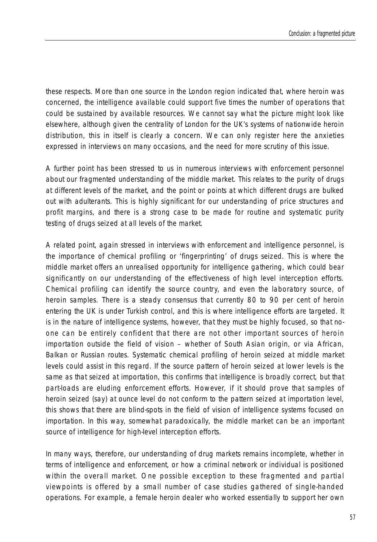these respects. More than one source in the London region indicated that, where heroin was concerned, the intelligence available could support five times the number of operations that could be sustained by available resources. We cannot say what the picture might look like elsewhere, although given the centrality of London for the UK's systems of nationwide heroin distribution, this in itself is clearly a concern. We can only register here the anxieties expressed in interviews on many occasions, and the need for more scrutiny of this issue.

A further point has been stressed to us in numerous interviews with enforcement personnel about our fragmented understanding of the middle market. This relates to the purity of drugs at different levels of the market, and the point or points at which different drugs are bulked out with adulterants. This is highly significant for our understanding of price structures and profit margins, and there is a strong case to be made for routine and systematic purity testing of drugs seized at all levels of the market.

A related point, again stressed in interviews with enforcement and intelligence personnel, is the importance of chemical profiling or 'fingerprinting' of drugs seized. This is where the middle market offers an unrealised opportunity for intelligence gathering, which could bear significantly on our understanding of the effectiveness of high level interception efforts. Chemical profiling can identify the source country, and even the laboratory source, of heroin samples. There is a steady consensus that currently 80 to 90 per cent of heroin entering the UK is under Turkish control, and this is where intelligence efforts are targeted. It is in the nature of intelligence systems, however, that they must be highly focused, so that noone can be entirely confident that there are not other important sources of heroin importation outside the field of vision – whether of South Asian origin, or via African, Balkan or Russian routes. Systematic chemical profiling of heroin seized at middle market levels could assist in this regard. If the source pattern of heroin seized at lower levels is the same as that seized at importation, this confirms that intelligence is broadly correct, but that part-loads are eluding enforcement efforts. However, if it should prove that samples of heroin seized (say) at ounce level do not conform to the pattern seized at importation level, this shows that there are blind-spots in the field of vision of intelligence systems focused on importation. In this way, somewhat paradoxically, the middle market can be an important source of intelligence for high-level interception efforts.

In many ways, therefore, our understanding of drug markets remains incomplete, whether in terms of intelligence and enforcement, or how a criminal network or individual is positioned within the overall market. One possible exception to these fragmented and partial viewpoints is offered by a small number of case studies gathered of single-handed operations. For example, a female heroin dealer who worked essentially to support her own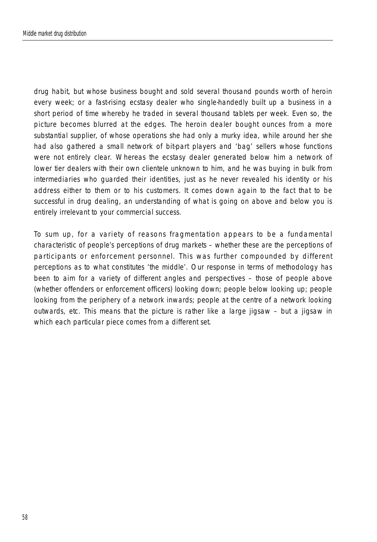drug habit, but whose business bought and sold several thousand pounds worth of heroin every week; or a fast-rising ecstasy dealer who single-handedly built up a business in a short period of time whereby he traded in several thousand tablets per week. Even so, the picture becomes blurred at the edges. The heroin dealer bought ounces from a more substantial supplier, of whose operations she had only a murky idea, while around her she had also gathered a small network of bit-part players and 'bag' sellers whose functions were not entirely clear. Whereas the ecstasy dealer generated below him a network of lower tier dealers with their own clientele unknown to him, and he was buying in bulk from intermediaries who guarded their identities, just as he never revealed his identity or his address either to them or to his customers. It comes down again to the fact that to be successful in drug dealing, an understanding of what is going on above and below you is entirely irrelevant to your commercial success.

To sum up, for a variety of reasons fragmentation appears to be a fundamental characteristic of people's perceptions of drug markets – whether these are the perceptions of participants or enforcement personnel. This was further compounded by different perceptions as to what constitutes 'the middle'. Our response in terms of methodology has been to aim for a variety of different angles and perspectives – those of people above (whether offenders or enforcement officers) looking down; people below looking up; people looking from the periphery of a network inwards; people at the centre of a network looking outwards, etc. This means that the picture is rather like a large jigsaw – but a jigsaw in which each particular piece comes from a different set.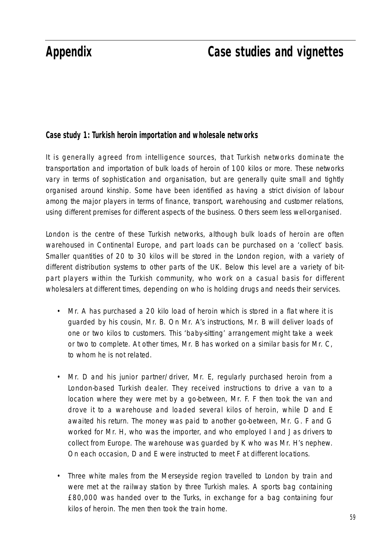# **Appendix Case studies and vignettes**

### **Case study 1: Turkish heroin importation and wholesale networks**

It is generally agreed from intelligence sources, that Turkish networks dominate the transportation and importation of bulk loads of heroin of 100 kilos or more. These networks vary in terms of sophistication and organisation, but are generally quite small and tightly organised around kinship. Some have been identified as having a strict division of labour among the major players in terms of finance, transport, warehousing and customer relations, using different premises for different aspects of the business. Others seem less well-organised.

London is the centre of these Turkish networks, although bulk loads of heroin are often warehoused in Continental Europe, and part loads can be purchased on a 'collect' basis. Smaller quantities of 20 to 30 kilos will be stored in the London region, with a variety of different distribution systems to other parts of the UK. Below this level are a variety of bitpart players within the Turkish community, who work on a casual basis for different wholesalers at different times, depending on who is holding drugs and needs their services.

- Mr. A has purchased a 20 kilo load of heroin which is stored in a flat where it is guarded by his cousin, Mr. B. On Mr. A's instructions, Mr. B will deliver loads of one or two kilos to customers. This 'baby-sitting' arrangement might take a week or two to complete. At other times, Mr. B has worked on a similar basis for Mr. C, to whom he is not related.
- Mr. D and his junior partner/driver, Mr. E, regularly purchased heroin from a London-based Turkish dealer. They received instructions to drive a van to a location where they were met by a go-between, Mr. F. F then took the van and drove it to a warehouse and loaded several kilos of heroin, while D and E awaited his return. The money was paid to another go-between, Mr. G. F and G worked for Mr. H, who was the importer, and who employed I and J as drivers to collect from Europe. The warehouse was guarded by K who was Mr. H's nephew. On each occasion, D and E were instructed to meet F at different locations.
- Three white males from the Merseyside region travelled to London by train and were met at the railway station by three Turkish males. A sports bag containing £80,000 was handed over to the Turks, in exchange for a bag containing four kilos of heroin. The men then took the train home.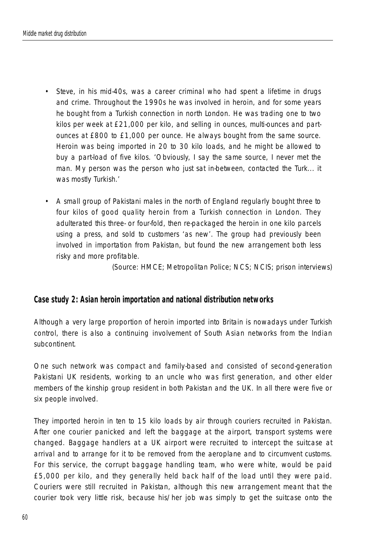- Steve, in his mid-40s, was a career criminal who had spent a lifetime in drugs and crime. Throughout the 1990s he was involved in heroin, and for some years he bought from a Turkish connection in north London. He was trading one to two kilos per week at £21,000 per kilo, and selling in ounces, multi-ounces and partounces at £800 to £1,000 per ounce. He always bought from the same source. Heroin was being imported in 20 to 30 kilo loads, and he might be allowed to buy a part-load of five kilos. 'Obviously, I say the same source, I never met the man. My person was the person who just sat in-between, contacted the Turk... it was mostly Turkish.'
- A small group of Pakistani males in the north of England regularly bought three to four kilos of good quality heroin from a Turkish connection in London. They adulterated this three- or four-fold, then re-packaged the heroin in one kilo parcels using a press, and sold to customers 'as new'. The group had previously been involved in importation from Pakistan, but found the new arrangement both less risky and more profitable.

*(Source: HMCE; Metropolitan Police; NCS; NCIS; prison interviews)*

#### **Case study 2: Asian heroin importation and national distribution networks**

Although a very large proportion of heroin imported into Britain is nowadays under Turkish control, there is also a continuing involvement of South Asian networks from the Indian subcontinent.

One such network was compact and family-based and consisted of second-generation Pakistani UK residents, working to an uncle who was first generation, and other elder members of the kinship group resident in both Pakistan and the UK. In all there were five or six people involved.

They imported heroin in ten to 15 kilo loads by air through couriers recruited in Pakistan. After one courier panicked and left the baggage at the airport, transport systems were changed. Baggage handlers at a UK airport were recruited to intercept the suitcase at arrival and to arrange for it to be removed from the aeroplane and to circumvent customs. For this service, the corrupt baggage handling team, who were white, would be paid £5,000 per kilo, and they generally held back half of the load until they were paid. Couriers were still recruited in Pakistan, although this new arrangement meant that the courier took very little risk, because his/her job was simply to get the suitcase onto the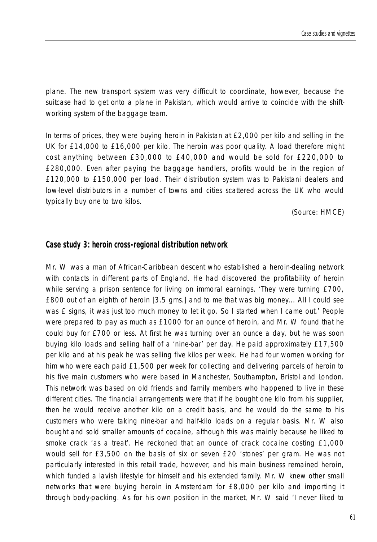plane. The new transport system was very difficult to coordinate, however, because the suitcase had to get onto a plane in Pakistan, which would arrive to coincide with the shiftworking system of the baggage team.

In terms of prices, they were buying heroin in Pakistan at £2,000 per kilo and selling in the UK for £14,000 to £16,000 per kilo. The heroin was poor quality. A load therefore might cost anything between £30,000 to £40,000 and would be sold for £220,000 to £280,000. Even after paying the baggage handlers, profits would be in the region of £120,000 to £150,000 per load. Their distribution system was to Pakistani dealers and low-level distributors in a number of towns and cities scattered across the UK who would typically buy one to two kilos.

*(Source: HMCE)*

#### **Case study 3: heroin cross-regional distribution network**

Mr. W was a man of African-Caribbean descent who established a heroin-dealing network with contacts in different parts of England. He had discovered the profitability of heroin while serving a prison sentence for living on immoral earnings. They were turning £700, £800 out of an eighth of heroin [3.5 gms.] and to me that was big money... All I could see was £ signs, it was just too much money to let it go. So I started when I came out.' People were prepared to pay as much as £1000 for an ounce of heroin, and Mr. W found that he could buy for £700 or less. At first he was turning over an ounce a day, but he was soon buying kilo loads and selling half of a 'nine-bar' per day. He paid approximately £17,500 per kilo and at his peak he was selling five kilos per week. He had four women working for him who were each paid £1,500 per week for collecting and delivering parcels of heroin to his five main customers who were based in Manchester, Southampton, Bristol and London. This network was based on old friends and family members who happened to live in these different cities. The financial arrangements were that if he bought one kilo from his supplier, then he would receive another kilo on a credit basis, and he would do the same to his customers who were taking nine-bar and half-kilo loads on a regular basis. Mr. W also bought and sold smaller amounts of cocaine, although this was mainly because he liked to smoke crack 'as a treat'. He reckoned that an ounce of crack cocaine costing £1,000 would sell for £3,500 on the basis of six or seven £20 'stones' per gram. He was not particularly interested in this retail trade, however, and his main business remained heroin, which funded a lavish lifestyle for himself and his extended family. Mr. W knew other small networks that were buying heroin in Amsterdam for £8,000 per kilo and importing it through body-packing. As for his own position in the market, Mr. W said 'I never liked to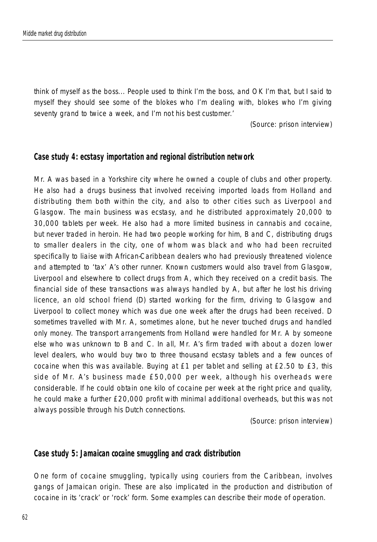think of myself as the boss... People used to think I'm the boss, and OK I'm that, but I said to myself they should see some of the blokes who I'm dealing with, blokes who I'm giving seventy grand to twice a week, and I'm not his best customer.'

*(Source: prison interview)*

#### **Case study 4: ecstasy importation and regional distribution network**

Mr. A was based in a Yorkshire city where he owned a couple of clubs and other property. He also had a drugs business that involved receiving imported loads from Holland and distributing them both within the city, and also to other cities such as Liverpool and Glasgow. The main business was ecstasy, and he distributed approximately 20,000 to 30,000 tablets per week. He also had a more limited business in cannabis and cocaine, but never traded in heroin. He had two people working for him, B and C, distributing drugs to smaller dealers in the city, one of whom was black and who had been recruited specifically to liaise with African-Caribbean dealers who had previously threatened violence and attempted to 'tax' A's other runner. Known customers would also travel from Glasgow, Liverpool and elsewhere to collect drugs from A, which they received on a credit basis. The financial side of these transactions was always handled by A, but after he lost his driving licence, an old school friend (D) started working for the firm, driving to Glasgow and Liverpool to collect money which was due one week after the drugs had been received. D sometimes travelled with Mr. A, sometimes alone, but he never touched drugs and handled only money. The transport arrangements from Holland were handled for Mr. A by someone else who was unknown to B and C. In all, Mr. A's firm traded with about a dozen lower level dealers, who would buy two to three thousand ecstasy tablets and a few ounces of cocaine when this was available. Buying at £1 per tablet and selling at £2.50 to £3, this side of Mr. A's business made £50,000 per week, although his overheads were considerable. If he could obtain one kilo of cocaine per week at the right price and quality, he could make a further £20,000 profit with minimal additional overheads, but this was not always possible through his Dutch connections.

*(Source: prison interview)*

#### **Case study 5: Jamaican cocaine smuggling and crack distribution**

One form of cocaine smuggling, typically using couriers from the Caribbean, involves gangs of Jamaican origin. These are also implicated in the production and distribution of cocaine in its 'crack' or 'rock' form. Some examples can describe their mode of operation.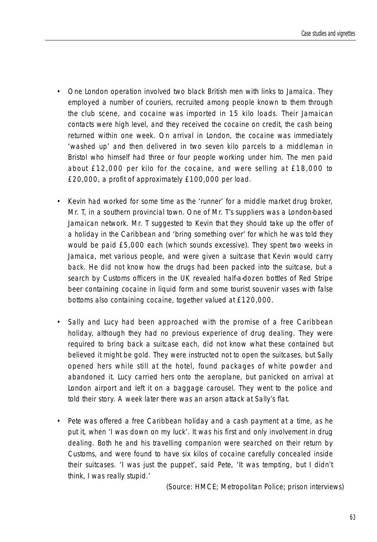- One London operation involved two black British men with links to Jamaica. They employed a number of couriers, recruited among people known to them through the club scene, and cocaine was imported in 15 kilo loads. Their Jamaican contacts were high level, and they received the cocaine on credit, the cash being returned within one week. On arrival in London, the cocaine was immediately 'washed up' and then delivered in two seven kilo parcels to a middleman in Bristol who himself had three or four people working under him. The men paid about £12,000 per kilo for the cocaine, and were selling at £18,000 to £20,000, a profit of approximately £100,000 per load.
- Kevin had worked for some time as the 'runner' for a middle market drug broker, Mr. T, in a southern provincial town. One of Mr. T's suppliers was a London-based Jamaican network. Mr. T suggested to Kevin that they should take up the offer of a holiday in the Caribbean and 'bring something over' for which he was told they would be paid £5,000 each (which sounds excessive). They spent two weeks in Jamaica, met various people, and were given a suitcase that Kevin would carry back. He did not know how the drugs had been packed into the suitcase, but a search by Customs officers in the UK revealed half-a-dozen bottles of Red Stripe beer containing cocaine in liquid form and some tourist souvenir vases with false bottoms also containing cocaine, together valued at £120,000.
- Sally and Lucy had been approached with the promise of a free Caribbean holiday, although they had no previous experience of drug dealing. They were required to bring back a suitcase each, did not know what these contained but believed it might be gold. They were instructed not to open the suitcases, but Sally opened hers while still at the hotel, found packages of white powder and abandoned it. Lucy carried hers onto the aeroplane, but panicked on arrival at London airport and left it on a baggage carousel. They went to the police and told their story. A week later there was an arson attack at Sally's flat.
- Pete was offered a free Caribbean holiday and a cash payment at a time, as he put it, when 'I was down on my luck'. It was his first and only involvement in drug dealing. Both he and his travelling companion were searched on their return by Customs, and were found to have six kilos of cocaine carefully concealed inside their suitcases. 'I was just the puppet', said Pete, 'It was tempting, but I didn't think, I was really stupid.'

*(Source: HMCE; Metropolitan Police; prison interviews)*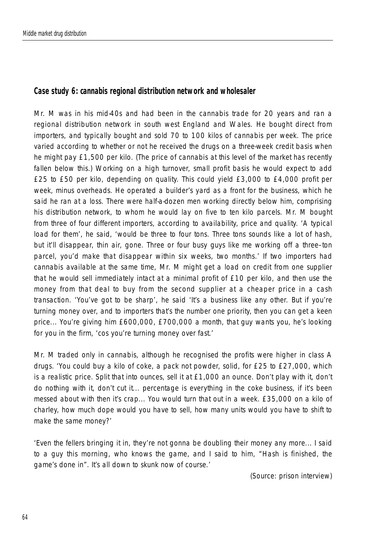#### **Case study 6: cannabis regional distribution network and wholesaler**

Mr. M was in his mid-40s and had been in the cannabis trade for 20 years and ran a regional distribution network in south west England and Wales. He bought direct from importers, and typically bought and sold 70 to 100 kilos of cannabis per week. The price varied according to whether or not he received the drugs on a three-week credit basis when he might pay £1,500 per kilo. (The price of cannabis at this level of the market has recently fallen below this.) Working on a high turnover, small profit basis he would expect to add £25 to £50 per kilo, depending on quality. This could yield £3,000 to £4,000 profit per week, minus overheads. He operated a builder's yard as a front for the business, which he said he ran at a loss. There were half-a-dozen men working directly below him, comprising his distribution network, to whom he would lay on five to ten kilo parcels. Mr. M bought from three of four different importers, according to availability, price and quality. 'A typical load for them', he said, 'would be three to four tons. Three tons sounds like a lot of hash, but it'll disappear, thin air, gone. Three or four busy guys like me working off a three–ton parcel, you'd make that disappear within six weeks, two months.' If two importers had cannabis available at the same time, Mr. M might get a load on credit from one supplier that he would sell immediately intact at a minimal profit of £10 per kilo, and then use the money from that deal to buy from the second supplier at a cheaper price in a cash transaction. 'You've got to be sharp', he said 'It's a business like any other. But if you're turning money over, and to importers that's the number one priority, then you can get a keen price... You're giving him £600,000, £700,000 a month, that guy wants you, he's looking for you in the firm, 'cos you're turning money over fast.'

Mr. M traded only in cannabis, although he recognised the profits were higher in class A drugs. 'You could buy a kilo of coke, a pack not powder, solid, for £25 to £27,000, which is a realistic price. Split that into ounces, sell it at £1,000 an ounce. Don't play with it, don't do nothing with it, don't cut it... percentage is everything in the coke business, if it's been messed about with then it's crap... You would turn that out in a week. £35,000 on a kilo of charley, how much dope would you have to sell, how many units would you have to shift to make the same money?'

'Even the fellers bringing it in, they're not gonna be doubling their money any more... I said to a guy this morning, who knows the game, and I said to him, "Hash is finished, the game's done in". It's all down to skunk now of course.'

*(Source: prison interview)*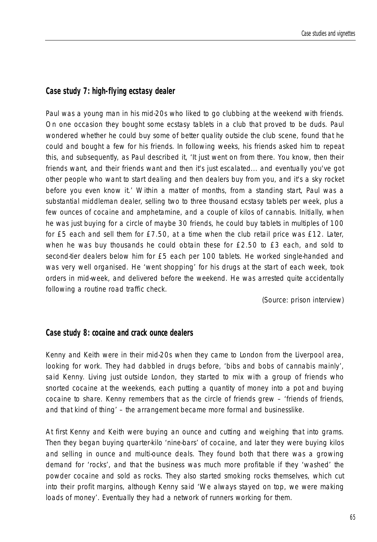#### **Case study 7: high-flying ecstasy dealer**

Paul was a young man in his mid-20s who liked to go clubbing at the weekend with friends. On one occasion they bought some ecstasy tablets in a club that proved to be duds. Paul wondered whether he could buy some of better quality outside the club scene, found that he could and bought a few for his friends. In following weeks, his friends asked him to repeat this, and subsequently, as Paul described it, 'It just went on from there. You know, then their friends want, and their friends want and then it's just escalated... and eventually you've got other people who want to start dealing and then dealers buy from you, and it's a sky rocket before you even know it.' Within a matter of months, from a standing start, Paul was a substantial middleman dealer, selling two to three thousand ecstasy tablets per week, plus a few ounces of cocaine and amphetamine, and a couple of kilos of cannabis. Initially, when he was just buying for a circle of maybe 30 friends, he could buy tablets in multiples of 100 for £5 each and sell them for £7.50, at a time when the club retail price was £12. Later, when he was buy thousands he could obtain these for £2.50 to £3 each, and sold to second-tier dealers below him for £5 each per 100 tablets. He worked single-handed and was very well organised. He 'went shopping' for his drugs at the start of each week, took orders in mid-week, and delivered before the weekend. He was arrested quite accidentally following a routine road traffic check.

*(Source: prison interview)*

#### **Case study 8: cocaine and crack ounce dealers**

Kenny and Keith were in their mid-20s when they came to London from the Liverpool area, looking for work. They had dabbled in drugs before, 'bibs and bobs of cannabis mainly', said Kenny. Living just outside London, they started to mix with a group of friends who snorted cocaine at the weekends, each putting a quantity of money into a pot and buying cocaine to share. Kenny remembers that as the circle of friends grew – 'friends of friends, and that kind of thing' – the arrangement became more formal and businesslike.

At first Kenny and Keith were buying an ounce and cutting and weighing that into grams. Then they began buying quarter-kilo 'nine-bars' of cocaine, and later they were buying kilos and selling in ounce and multi-ounce deals. They found both that there was a growing demand for 'rocks', and that the business was much more profitable if they 'washed' the powder cocaine and sold as rocks. They also started smoking rocks themselves, which cut into their profit margins, although Kenny said 'We always stayed on top, we were making loads of money'. Eventually they had a network of runners working for them.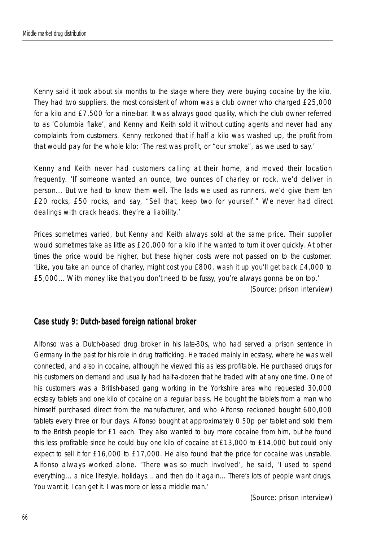Kenny said it took about six months to the stage where they were buying cocaine by the kilo. They had two suppliers, the most consistent of whom was a club owner who charged £25,000 for a kilo and £7,500 for a nine-bar. It was always good quality, which the club owner referred to as 'Columbia flake', and Kenny and Keith sold it without cutting agents and never had any complaints from customers. Kenny reckoned that if half a kilo was washed up, the profit from that would pay for the whole kilo: 'The rest was profit, or "our smoke", as we used to say.'

Kenny and Keith never had customers calling at their home, and moved their location frequently. 'If someone wanted an ounce, two ounces of charley or rock, we'd deliver in person... But we had to know them well. The lads we used as runners, we'd give them ten £20 rocks, £50 rocks, and say, "Sell that, keep two for yourself." We never had direct dealings with crack heads, they're a liability.'

Prices sometimes varied, but Kenny and Keith always sold at the same price. Their supplier would sometimes take as little as £20,000 for a kilo if he wanted to turn it over quickly. At other times the price would be higher, but these higher costs were not passed on to the customer. 'Like, you take an ounce of charley, might cost you £800, wash it up you'll get back £4,000 to £5,000... With money like that you don't need to be fussy, you're always gonna be on top.'

*(Source: prison interview)*

#### **Case study 9: Dutch-based foreign national broker**

Alfonso was a Dutch-based drug broker in his late-30s, who had served a prison sentence in Germany in the past for his role in drug trafficking. He traded mainly in ecstasy, where he was well connected, and also in cocaine, although he viewed this as less profitable. He purchased drugs for his customers on demand and usually had half-a-dozen that he traded with at any one time. One of his customers was a British-based gang working in the Yorkshire area who requested 30,000 ecstasy tablets and one kilo of cocaine on a regular basis. He bought the tablets from a man who himself purchased direct from the manufacturer, and who Alfonso reckoned bought 600,000 tablets every three or four days. Alfonso bought at approximately 0.50p per tablet and sold them to the British people for £1 each. They also wanted to buy more cocaine from him, but he found this less profitable since he could buy one kilo of cocaine at £13,000 to £14,000 but could only expect to sell it for £16,000 to £17,000. He also found that the price for cocaine was unstable. Alfonso always worked alone. 'There was so much involved', he said, 'I used to spend everything... a nice lifestyle, holidays... and then do it again... There's lots of people want drugs. You want it, I can get it. I was more or less a middle man.'

*(Source: prison interview)*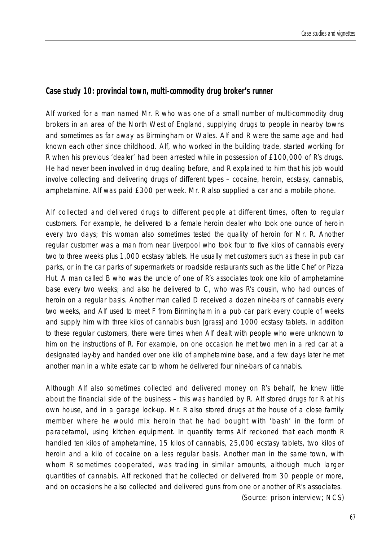#### **Case study 10: provincial town, multi-commodity drug broker's runner**

Alf worked for a man named Mr. R who was one of a small number of multi-commodity drug brokers in an area of the North West of England, supplying drugs to people in nearby towns and sometimes as far away as Birmingham or Wales. Alf and R were the same age and had known each other since childhood. Alf, who worked in the building trade, started working for R when his previous 'dealer' had been arrested while in possession of £100,000 of R's drugs. He had never been involved in drug dealing before, and R explained to him that his job would involve collecting and delivering drugs of different types – cocaine, heroin, ecstasy, cannabis, amphetamine. Alf was paid £300 per week. Mr. R also supplied a car and a mobile phone.

Alf collected and delivered drugs to different people at different times, often to regular customers. For example, he delivered to a female heroin dealer who took one ounce of heroin every two days; this woman also sometimes tested the quality of heroin for Mr. R. Another regular customer was a man from near Liverpool who took four to five kilos of cannabis every two to three weeks plus 1,000 ecstasy tablets. He usually met customers such as these in pub car parks, or in the car parks of supermarkets or roadside restaurants such as the Little Chef or Pizza Hut. A man called B who was the uncle of one of R's associates took one kilo of amphetamine base every two weeks; and also he delivered to C, who was R's cousin, who had ounces of heroin on a regular basis. Another man called D received a dozen nine-bars of cannabis every two weeks, and Alf used to meet F from Birmingham in a pub car park every couple of weeks and supply him with three kilos of cannabis bush [grass] and 1000 ecstasy tablets. In addition to these regular customers, there were times when Alf dealt with people who were unknown to him on the instructions of R. For example, on one occasion he met two men in a red car at a designated lay-by and handed over one kilo of amphetamine base, and a few days later he met another man in a white estate car to whom he delivered four nine-bars of cannabis.

Although Alf also sometimes collected and delivered money on R's behalf, he knew little about the financial side of the business – this was handled by R. Alf stored drugs for R at his own house, and in a garage lock-up. Mr. R also stored drugs at the house of a close family member where he would mix heroin that he had bought with 'bash' in the form of paracetamol, using kitchen equipment. In quantity terms Alf reckoned that each month R handled ten kilos of amphetamine, 15 kilos of cannabis, 25,000 ecstasy tablets, two kilos of heroin and a kilo of cocaine on a less regular basis. Another man in the same town, with whom R sometimes cooperated, was trading in similar amounts, although much larger quantities of cannabis. Alf reckoned that he collected or delivered from 30 people or more, and on occasions he also collected and delivered guns from one or another of R's associates. *(Source: prison interview; NCS)*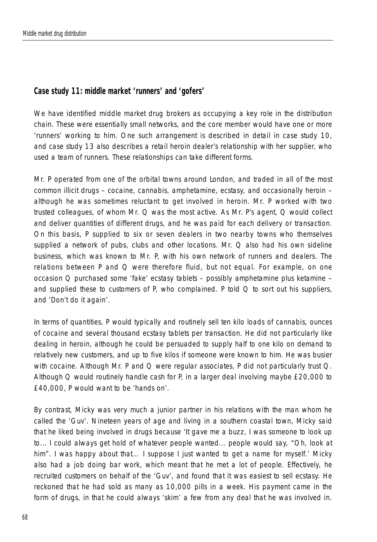#### **Case study 11: middle market 'runners' and 'gofers'**

We have identified middle market drug brokers as occupying a key role in the distribution chain. These were essentially small networks, and the core member would have one or more 'runners' working to him. One such arrangement is described in detail in case study 10, and case study 13 also describes a retail heroin dealer's relationship with her supplier, who used a team of runners. These relationships can take different forms.

Mr. P operated from one of the orbital towns around London, and traded in all of the most common illicit drugs – cocaine, cannabis, amphetamine, ecstasy, and occasionally heroin – although he was sometimes reluctant to get involved in heroin. Mr. P worked with two trusted colleagues, of whom Mr. Q was the most active. As Mr. P's agent, Q would collect and deliver quantities of different drugs, and he was paid for each delivery or transaction. On this basis, P supplied to six or seven dealers in two nearby towns who themselves supplied a network of pubs, clubs and other locations. Mr.  $Q$  also had his own sideline business, which was known to Mr. P, with his own network of runners and dealers. The relations between P and Q were therefore fluid, but not equal. For example, on one occasion Q purchased some 'fake' ecstasy tablets – possibly amphetamine plus ketamine – and supplied these to customers of P, who complained. P told  $\Omega$  to sort out his suppliers, and 'Don't do it again'.

In terms of quantities, P would typically and routinely sell ten kilo loads of cannabis, ounces of cocaine and several thousand ecstasy tablets per transaction. He did not particularly like dealing in heroin, although he could be persuaded to supply half to one kilo on demand to relatively new customers, and up to five kilos if someone were known to him. He was busier with cocaine. Although Mr. P and  $Q$  were regular associates, P did not particularly trust  $Q$ . Although  $Q$  would routinely handle cash for P, in a larger deal involving maybe £20,000 to £40,000, P would want to be 'hands on'.

By contrast, Micky was very much a junior partner in his relations with the man whom he called the 'Guv'. Nineteen years of age and living in a southern coastal town, Micky said that he liked being involved in drugs because 'It gave me a buzz, I was someone to look up to... I could always get hold of whatever people wanted... people would say, "Oh, look at him". I was happy about that... I suppose I just wanted to get a name for myself.' Micky also had a job doing bar work, which meant that he met a lot of people. Effectively, he recruited customers on behalf of the 'Guv', and found that it was easiest to sell ecstasy. He reckoned that he had sold as many as 10,000 pills in a week. His payment came in the form of drugs, in that he could always 'skim' a few from any deal that he was involved in.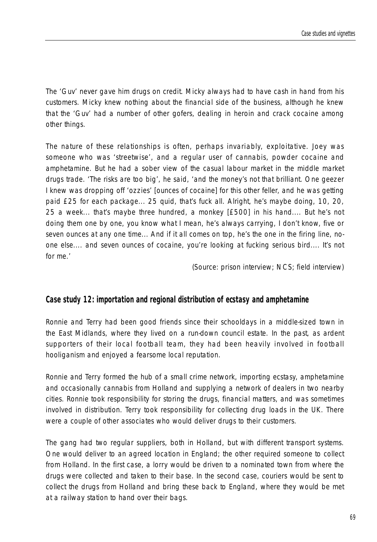The 'Guv' never gave him drugs on credit. Micky always had to have cash in hand from his customers. Micky knew nothing about the financial side of the business, although he knew that the 'Guv' had a number of other gofers, dealing in heroin and crack cocaine among other things.

The nature of these relationships is often, perhaps invariably, exploitative. Joey was someone who was 'streetwise', and a regular user of cannabis, powder cocaine and amphetamine. But he had a sober view of the casual labour market in the middle market drugs trade. 'The risks are too big', he said, 'and the money's not that brilliant. One geezer I knew was dropping off 'ozzies' [ounces of cocaine] for this other feller, and he was getting paid £25 for each package... 25 quid, that's fuck all. Alright, he's maybe doing, 10, 20, 25 a week... that's maybe three hundred, a monkey [£500] in his hand.... But he's not doing them one by one, you know what I mean, he's always carrying, I don't know, five or seven ounces at any one time... And if it all comes on top, he's the one in the firing line, noone else.... and seven ounces of cocaine, you're looking at fucking serious bird.... It's not for me.'

*(Source: prison interview; NCS; field interview)*

#### **Case study 12: importation and regional distribution of ecstasy and amphetamine**

Ronnie and Terry had been good friends since their schooldays in a middle-sized town in the East Midlands, where they lived on a run-down council estate. In the past, as ardent supporters of their local football team, they had been heavily involved in football hooliganism and enjoyed a fearsome local reputation.

Ronnie and Terry formed the hub of a small crime network, importing ecstasy, amphetamine and occasionally cannabis from Holland and supplying a network of dealers in two nearby cities. Ronnie took responsibility for storing the drugs, financial matters, and was sometimes involved in distribution. Terry took responsibility for collecting drug loads in the UK. There were a couple of other associates who would deliver drugs to their customers.

The gang had two regular suppliers, both in Holland, but with different transport systems. One would deliver to an agreed location in England; the other required someone to collect from Holland. In the first case, a lorry would be driven to a nominated town from where the drugs were collected and taken to their base. In the second case, couriers would be sent to collect the drugs from Holland and bring these back to England, where they would be met at a railway station to hand over their bags.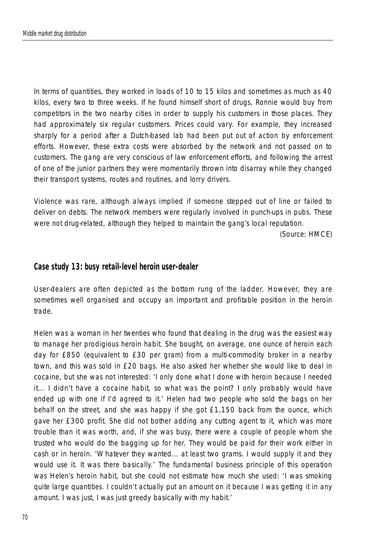In terms of quantities, they worked in loads of 10 to 15 kilos and sometimes as much as 40 kilos, every two to three weeks. If he found himself short of drugs, Ronnie would buy from competitors in the two nearby cities in order to supply his customers in those places. They had approximately six regular customers. Prices could vary. For example, they increased sharply for a period after a Dutch-based lab had been put out of action by enforcement efforts. However, these extra costs were absorbed by the network and not passed on to customers. The gang are very conscious of law enforcement efforts, and following the arrest of one of the junior partners they were momentarily thrown into disarray while they changed their transport systems, routes and routines, and lorry drivers.

Violence was rare, although always implied if someone stepped out of line or failed to deliver on debts. The network members were regularly involved in punch-ups in pubs. These were not drug-related, although they helped to maintain the gang's local reputation.

*(Source: HMCE)*

#### **Case study 13: busy retail-level heroin user-dealer**

User-dealers are often depicted as the bottom rung of the ladder. However, they are sometimes well organised and occupy an important and profitable position in the heroin trade.

Helen was a woman in her twenties who found that dealing in the drug was the easiest way to manage her prodigious heroin habit. She bought, on average, one ounce of heroin each day for £850 (equivalent to £30 per gram) from a multi-commodity broker in a nearby town, and this was sold in £20 bags. He also asked her whether she would like to deal in cocaine, but she was not interested: 'I only done what I done with heroin because I needed it... I didn't have a cocaine habit, so what was the point? I only probably would have ended up with one if I'd agreed to it.' Helen had two people who sold the bags on her behalf on the street, and she was happy if she got £1,150 back from the ounce, which gave her £300 profit. She did not bother adding any cutting agent to it, which was more trouble than it was worth, and, if she was busy, there were a couple of people whom she trusted who would do the bagging up for her. They would be paid for their work either in cash or in heroin. 'Whatever they wanted... at least two grams. I would supply it and they would use it. It was there basically.' The fundamental business principle of this operation was Helen's heroin habit, but she could not estimate how much she used: 'I was smoking quite large quantities. I couldn't actually put an amount on it because I was getting it in any amount. I was just, I was just greedy basically with my habit.'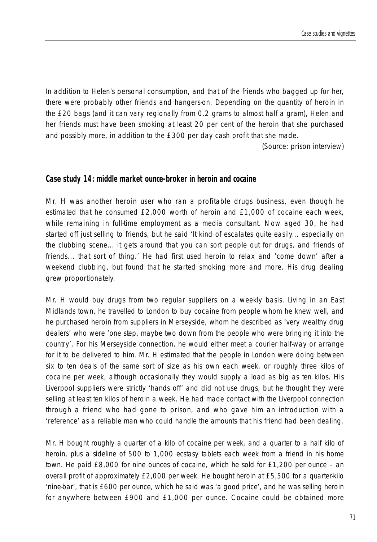In addition to Helen's personal consumption, and that of the friends who bagged up for her, there were probably other friends and hangers-on. Depending on the quantity of heroin in the £20 bags (and it can vary regionally from 0.2 grams to almost half a gram), Helen and her friends must have been smoking at least 20 per cent of the heroin that she purchased and possibly more, in addition to the £300 per day cash profit that she made.

*(Source: prison interview)*

#### **Case study 14: middle market ounce-broker in heroin and cocaine**

Mr. H was another heroin user who ran a profitable drugs business, even though he estimated that he consumed £2,000 worth of heroin and £1,000 of cocaine each week, while remaining in full-time employment as a media consultant. Now aged 30, he had started off just selling to friends, but he said 'It kind of escalates quite easily... especially on the clubbing scene... it gets around that you can sort people out for drugs, and friends of friends... that sort of thing.' He had first used heroin to relax and 'come down' after a weekend clubbing, but found that he started smoking more and more. His drug dealing grew proportionately.

Mr. H would buy drugs from two regular suppliers on a weekly basis. Living in an East Midlands town, he travelled to London to buy cocaine from people whom he knew well, and he purchased heroin from suppliers in Merseyside, whom he described as 'very wealthy drug dealers' who were 'one step, maybe two down from the people who were bringing it into the country'. For his Merseyside connection, he would either meet a courier half-way or arrange for it to be delivered to him. Mr. H estimated that the people in London were doing between six to ten deals of the same sort of size as his own each week, or roughly three kilos of cocaine per week, although occasionally they would supply a load as big as ten kilos. His Liverpool suppliers were strictly 'hands off' and did not use drugs, but he thought they were selling at least ten kilos of heroin a week. He had made contact with the Liverpool connection through a friend who had gone to prison, and who gave him an introduction with a 'reference' as a reliable man who could handle the amounts that his friend had been dealing.

Mr. H bought roughly a quarter of a kilo of cocaine per week, and a quarter to a half kilo of heroin, plus a sideline of 500 to 1,000 ecstasy tablets each week from a friend in his home town. He paid £8,000 for nine ounces of cocaine, which he sold for £1,200 per ounce – an overall profit of approximately £2,000 per week. He bought heroin at £5,500 for a quarter-kilo 'nine-bar', that is £600 per ounce, which he said was 'a good price', and he was selling heroin for anywhere between £900 and £1,000 per ounce. Cocaine could be obtained more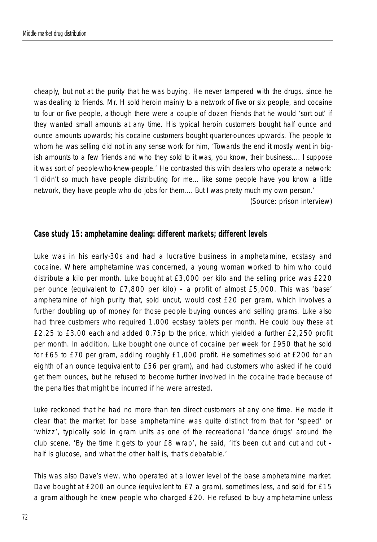cheaply, but not at the purity that he was buying. He never tampered with the drugs, since he was dealing to friends. Mr. H sold heroin mainly to a network of five or six people, and cocaine to four or five people, although there were a couple of dozen friends that he would 'sort out' if they wanted small amounts at any time. His typical heroin customers bought half ounce and ounce amounts upwards; his cocaine customers bought quarter-ounces upwards. The people to whom he was selling did not in any sense work for him, 'Towards the end it mostly went in bigish amounts to a few friends and who they sold to it was, you know, their business.... I suppose it was sort of people-who-knew-people.' He contrasted this with dealers who operate a network: 'I didn't so much have people distributing for me... like some people have you know a little network, they have people who do jobs for them.... But I was pretty much my own person.'

*(Source: prison interview)*

#### **Case study 15: amphetamine dealing: different markets; different levels**

Luke was in his early-30s and had a lucrative business in amphetamine, ecstasy and cocaine. Where amphetamine was concerned, a young woman worked to him who could distribute a kilo per month. Luke bought at £3,000 per kilo and the selling price was £220 per ounce (equivalent to £7,800 per kilo) – a profit of almost £5,000. This was 'base' amphetamine of high purity that, sold uncut, would cost £20 per gram, which involves a further doubling up of money for those people buying ounces and selling grams. Luke also had three customers who required 1,000 ecstasy tablets per month. He could buy these at £2.25 to £3.00 each and added 0.75p to the price, which yielded a further £2,250 profit per month. In addition, Luke bought one ounce of cocaine per week for £950 that he sold for £65 to £70 per gram, adding roughly £1,000 profit. He sometimes sold at £200 for an eighth of an ounce (equivalent to £56 per gram), and had customers who asked if he could get them ounces, but he refused to become further involved in the cocaine trade because of the penalties that might be incurred if he were arrested.

Luke reckoned that he had no more than ten direct customers at any one time. He made it clear that the market for base amphetamine was quite distinct from that for 'speed' or 'whizz', typically sold in gram units as one of the recreational 'dance drugs' around the club scene. 'By the time it gets to your  $E8$  wrap', he said, 'it's been cut and cut and cut – half is glucose, and what the other half is, that's debatable.'

This was also Dave's view, who operated at a lower level of the base amphetamine market. Dave bought at £200 an ounce (equivalent to £7 a gram), sometimes less, and sold for £15 a gram although he knew people who charged £20. He refused to buy amphetamine unless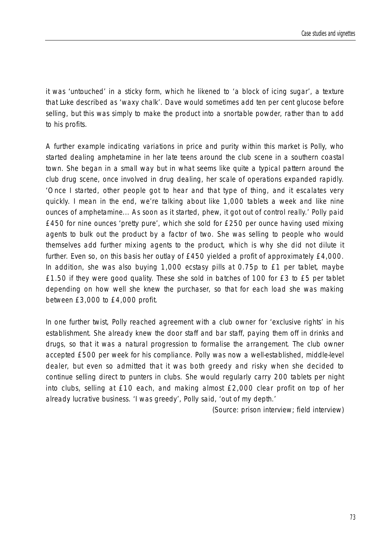it was 'untouched' in a sticky form, which he likened to 'a block of icing sugar', a texture that Luke described as 'waxy chalk'. Dave would sometimes add ten per cent glucose before selling, but this was simply to make the product into a snortable powder, rather than to add to his profits.

A further example indicating variations in price and purity within this market is Polly, who started dealing amphetamine in her late teens around the club scene in a southern coastal town. She began in a small way but in what seems like quite a typical pattern around the club drug scene, once involved in drug dealing, her scale of operations expanded rapidly. 'Once I started, other people got to hear and that type of thing, and it escalates very quickly. I mean in the end, we're talking about like 1,000 tablets a week and like nine ounces of amphetamine... As soon as it started, phew, it got out of control really.' Polly paid £450 for nine ounces 'pretty pure', which she sold for £250 per ounce having used mixing agents to bulk out the product by a factor of two. She was selling to people who would themselves add further mixing agents to the product, which is why she did not dilute it further. Even so, on this basis her outlay of £450 yielded a profit of approximately £4,000. In addition, she was also buying 1,000 ecstasy pills at 0.75p to £1 per tablet, maybe £1.50 if they were good quality. These she sold in batches of 100 for £3 to £5 per tablet depending on how well she knew the purchaser, so that for each load she was making between £3,000 to £4,000 profit.

In one further twist, Polly reached agreement with a club owner for 'exclusive rights' in his establishment. She already knew the door staff and bar staff, paying them off in drinks and drugs, so that it was a natural progression to formalise the arrangement. The club owner accepted £500 per week for his compliance. Polly was now a well-established, middle-level dealer, but even so admitted that it was both greedy and risky when she decided to continue selling direct to punters in clubs. She would regularly carry 200 tablets per night into clubs, selling at £10 each, and making almost £2,000 clear profit on top of her already lucrative business. 'I was greedy', Polly said, 'out of my depth.'

*(Source: prison interview; field interview)*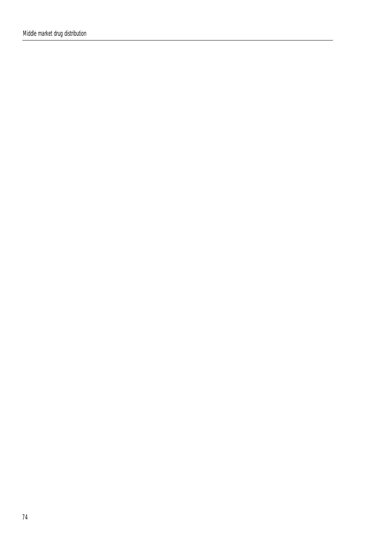Middle market drug distribution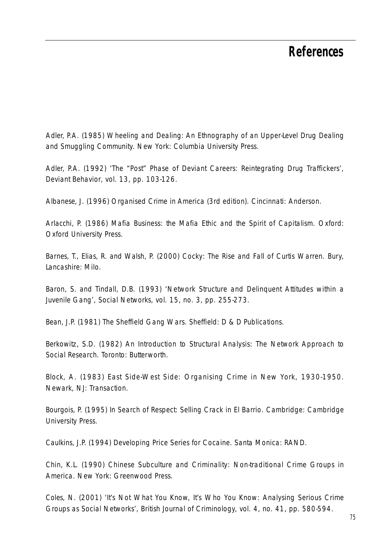### **References**

Adler, P.A. (1985) *Wheeling and Dealing: An Ethnography of an Upper-Level Drug Dealing and Smuggling Community.* New York: Columbia University Press.

Adler, P.A. (1992) 'The "Post" Phase of Deviant Careers: Reintegrating Drug Traffickers', *Deviant Behavior*, vol. 13, pp. 103-126.

Albanese, J. (1996) *Organised Crime in America (3rd edition).* Cincinnati: Anderson.

Arlacchi, P. (1986) *Mafia Business: the Mafia Ethic and the Spirit of Capitalism.* Oxford: Oxford University Press.

Barnes, T., Elias, R. and Walsh, P. (2000) *Cocky: The Rise and Fall of Curtis Warren*. Bury, Lancashire: Milo.

Baron, S. and Tindall, D.B. (1993) 'Network Structure and Delinquent Attitudes within a Juvenile Gang', *Social Networks*, vol. 15, no. 3, pp. 255-273.

Bean, J.P. (1981) *The Sheffield Gang Wars.* Sheffield: D & D Publications.

Berkowitz, S.D. (1982) *An Introduction to Structural Analysis: The Network Approach to Social Research.* Toronto: Butterworth.

Block, A. (1983) *East Side-West Side: Organising Crime in New York,* 1930-1950. Newark, NJ: Transaction.

Bourgois, P. (1995) *In Search of Respect: Selling Crack in El Barrio*. Cambridge: Cambridge University Press.

Caulkins, J.P. (1994) *Developing Price Series for Cocaine.* Santa Monica: RAND.

Chin, K.L. (1990) *Chinese Subculture and Criminality: Non-traditional Crime Groups in America*. New York: Greenwood Press.

Coles, N. (2001) 'It's Not What You Know, It's Who You Know: Analysing Serious Crime Groups as Social Networks', *British Journal of Criminology,* vol. 4, no. 41, pp. 580-594.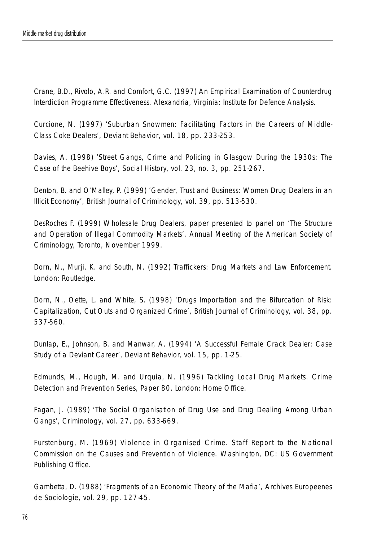Crane, B.D., Rivolo, A.R. and Comfort, G.C. (1997) *An Empirical Examination of Counterdrug Interdiction Programme Effectiveness.* Alexandria, Virginia: Institute for Defence Analysis.

Curcione, N. (1997) 'Suburban Snowmen: Facilitating Factors in the Careers of Middle-Class Coke Dealers', *Deviant Behavior*, vol. 18, pp. 233-253.

Davies, A. (1998) 'Street Gangs, Crime and Policing in Glasgow During the 1930s: The Case of the Beehive Boys', *Social History,* vol. 23, no. 3, pp. 251-267.

Denton, B. and O'Malley, P. (1999) 'Gender, Trust and Business: Women Drug Dealers in an Illicit Economy', *British Journal of Criminology,* vol. 39, pp. 513-530.

DesRoches F. (1999) *Wholesale Drug Dealers,* paper presented to panel on 'The Structure and Operation of Illegal Commodity Markets', Annual Meeting of the American Society of Criminology, Toronto, November 1999.

Dorn, N., Murji, K. and South, N. (1992) *Traffickers: Drug Markets and Law Enforcement.* London: Routledge.

Dorn, N., Oette, L. and White, S. (1998) 'Drugs Importation and the Bifurcation of Risk: Capitalization, Cut Outs and Organized Crime', *British Journal of Criminology,* vol. 38, pp. 537-560.

Dunlap, E., Johnson, B. and Manwar, A. (1994) 'A Successful Female Crack Dealer: Case Study of a Deviant Career', *Deviant Behavior,* vol. 15, pp. 1-25.

Edmunds, M., Hough, M. and Urquia, N. (1996) *Tackling Local Drug Markets.* Crime Detection and Prevention Series, Paper 80. London: Home Office.

Fagan, J. (1989) 'The Social Organisation of Drug Use and Drug Dealing Among Urban Gangs', *Criminology*, vol. 27, pp. 633-669.

Furstenburg, M. (1969) *Violence in Organised Crime.* Staff Report to the National Commission on the Causes and Prevention of Violence. Washington, DC: US Government Publishing Office.

Gambetta, D. (1988) 'Fragments of an Economic Theory of the Mafia', *Archives Europeenes de Sociologie,* vol. 29, pp. 127-45.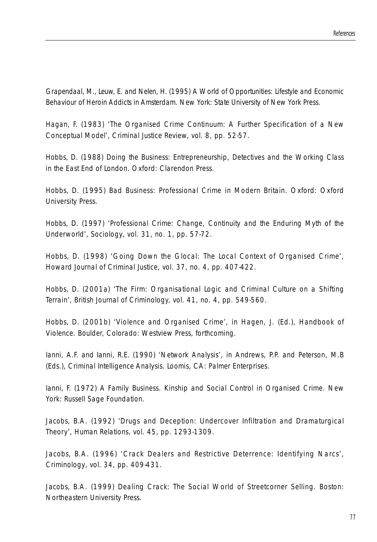Grapendaal, M., Leuw, E. and Nelen, H. (1995) *A World of Opportunities: Lifestyle and Economic Behaviour of Heroin Addicts in Amsterdam.* New York: State University of New York Press.

Hagan, F. (1983) 'The Organised Crime Continuum: A Further Specification of a New Conceptual Model', *Criminal Justice Review,* vol. 8, pp. 52-57.

Hobbs, D. (1988) *Doing the Business: Entrepreneurship, Detectives and the Working Class in the East End of London.* Oxford: Clarendon Press.

Hobbs, D. (1995) *Bad Business: Professional Crime in Modern Britain.* Oxford: Oxford University Press.

Hobbs, D. (1997) 'Professional Crime: Change, Continuity and the Enduring Myth of the Underworld', *Sociology*, vol. 31, no. 1, pp. 57-72.

Hobbs, D. (1998) 'Going Down the Glocal: The Local Context of Organised Crime', *Howard Journal of Criminal Justice,* vol. 37, no. 4, pp. 407-422.

Hobbs, D. (2001a) 'The Firm: Organisational Logic and Criminal Culture on a Shifting Terrain', *British Journal of Criminology,* vol. 41, no. 4, pp. 549-560.

Hobbs, D. (2001b) 'Violence and Organised Crime', in Hagen, J. (Ed.), *Handbook of Violence.* Boulder, Colorado: Westview Press, forthcoming.

Ianni, A.F. and Ianni, R.E. (1990) 'Network Analysis', in Andrews, P.P. and Peterson, M.B (Eds.), *Criminal Intelligence Analysis.* Loomis, CA: Palmer Enterprises.

Ianni, F. (1972) *A Family Business. Kinship and Social Control in Organised Crime.* New York: Russell Sage Foundation.

Jacobs, B.A. (1992) 'Drugs and Deception: Undercover Infiltration and Dramaturgical Theory', *Human Relations,* vol. 45, pp. 1293-1309.

Jacobs, B.A. (1996) 'Crack Dealers and Restrictive Deterrence: Identifying Narcs', *Criminology*, vol. 34, pp. 409-431.

Jacobs, B.A. (1999) *Dealing Crack: The Social World of Streetcorner Selling.* Boston: Northeastern University Press.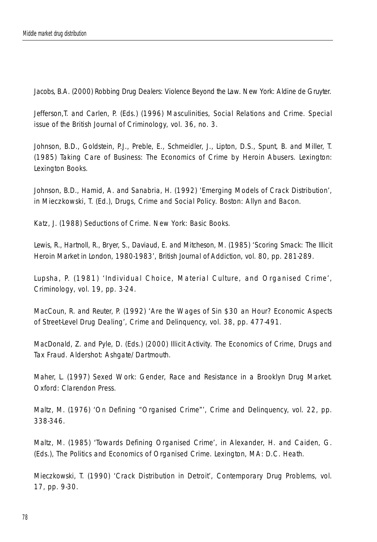Jacobs, B.A. (2000) *Robbing Drug Dealers: Violence Beyond the Law.* New York: Aldine de Gruyter.

Jefferson,T. and Carlen, P. (Eds.) (1996) *Masculinities, Social Relations and Crime.* Special issue of the *British Journal of Criminology,* vol. 36, no. 3.

Johnson, B.D., Goldstein, P.J., Preble, E., Schmeidler, J., Lipton, D.S., Spunt, B. and Miller, T. (1985) *Taking Care of Business: The Economics of Crime by Heroin Abusers.* Lexington: Lexington Books.

Johnson, B.D., Hamid, A. and Sanabria, H. (1992) 'Emerging Models of Crack Distribution', in Mieczkowski, T. (Ed.), *Drugs, Crime and Social Policy.* Boston: Allyn and Bacon.

Katz, J. (1988) *Seductions of Crime.* New York: Basic Books.

Lewis, R., Hartnoll, R., Bryer, S., Daviaud, E. and Mitcheson, M. (1985) 'Scoring Smack: The Illicit Heroin Market in London, 1980-1983', *British Journal of Addiction,* vol. 80, pp. 281-289.

Lupsha, P. (1981) 'Individual Choice, Material Culture, and Organised Crime', *Criminology*, vol. 19, pp. 3-24.

MacCoun, R. and Reuter, P. (1992) 'Are the Wages of Sin \$30 an Hour? Economic Aspects of Street-Level Drug Dealing', *Crime and Delinquency,* vol. 38, pp. 477-491.

MacDonald, Z. and Pyle, D. (Eds.) (2000) *Illicit Activity. The Economics of Crime, Drugs and Tax Fraud.* Aldershot: Ashgate/Dartmouth.

Maher, L. (1997) *Sexed Work: Gender, Race and Resistance in a Brooklyn Drug Market.* Oxford: Clarendon Press.

Maltz, M. (1976) 'On Defining "Organised Crime"', *Crime and Delinquency,* vol. 22, pp. 338-346.

Maltz, M. (1985) 'Towards Defining Organised Crime', in Alexander, H. and Caiden, G. (Eds.), *The Politics and Economics of Organised Crime.* Lexington, MA: D.C. Heath.

Mieczkowski, T. (1990) 'Crack Distribution in Detroit', *Contemporary Drug Problems,* vol. 17, pp. 9-30.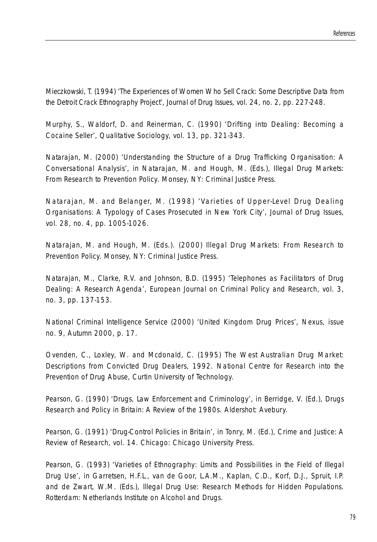Mieczkowski, T. (1994) 'The Experiences of Women Who Sell Crack: Some Descriptive Data from the Detroit Crack Ethnography Project', *Journal of Drug Issues,* vol. 24, no. 2, pp. 227-248.

Murphy, S., Waldorf, D. and Reinerman, C. (1990) 'Drifting into Dealing: Becoming a Cocaine Seller', *Qualitative Sociology,* vol. 13, pp. 321-343.

Natarajan, M. (2000) 'Understanding the Structure of a Drug Trafficking Organisation: A Conversational Analysis', in Natarajan, M. and Hough, M. (Eds.), *Illegal Drug Markets: From Research to Prevention Policy.* Monsey, NY: Criminal Justice Press.

Natarajan, M. and Belanger, M. (1998) 'Varieties of Upper-Level Drug Dealing Organisations: A Typology of Cases Prosecuted in New York City', *Journal of Drug Issues,* vol. 28, no. 4, pp. 1005-1026.

Natarajan, M. and Hough, M. (Eds.). (2000) *Illegal Drug Markets: From Research to Prevention Policy.* Monsey, NY: Criminal Justice Press.

Natarajan, M., Clarke, R.V. and Johnson, B.D. (1995) 'Telephones as Facilitators of Drug Dealing: A Research Agenda', *European Journal on Criminal Policy and Research,* vol. 3, no. 3, pp. 137-153.

National Criminal Intelligence Service (2000) 'United Kingdom Drug Prices', *Nexus*, issue no. 9, Autumn 2000, p. 17.

Ovenden, C., Loxley, W. and Mcdonald, C. (1995) *The West Australian Drug Market: Descriptions from Convicted Drug Dealers, 1992.* National Centre for Research into the Prevention of Drug Abuse, Curtin University of Technology.

Pearson, G. (1990) 'Drugs, Law Enforcement and Criminology', in Berridge, V. (Ed.), *Drugs Research and Policy in Britain: A Review of the 1980s*. Aldershot: Avebury.

Pearson, G. (1991) 'Drug-Control Policies in Britain', in Tonry, M. (Ed.), *Crime and Justice: A Review of Research,* vol. 14. Chicago: Chicago University Press.

Pearson, G. (1993) 'Varieties of Ethnography: Limits and Possibilities in the Field of Illegal Drug Use', in Garretsen, H.F.L., van de Goor, L.A.M., Kaplan, C.D., Korf, D.J., Spruit, I.P. and de Zwart, W.M. (Eds.), *Illegal Drug Use: Research Methods for Hidden Populations.* Rotterdam: Netherlands Institute on Alcohol and Drugs.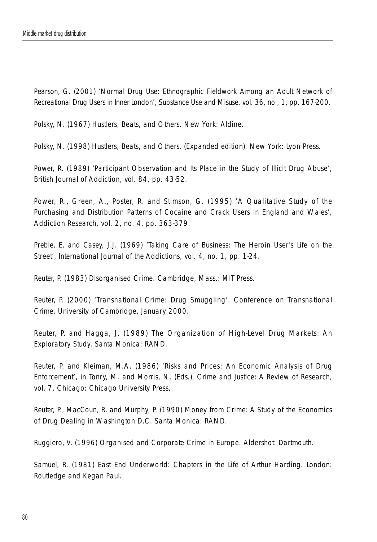Pearson, G. (2001) 'Normal Drug Use: Ethnographic Fieldwork Among an Adult Network of Recreational Drug Users in Inner London', *Substance Use and Misuse,* vol. 36, no., 1, pp. 167-200.

Polsky, N. (1967) *Hustlers, Beats, and Others.* New York: Aldine.

Polsky, N. (1998) *Hustlers, Beats, and Others.* (Expanded edition). New York: Lyon Press.

Power, R. (1989) 'Participant Observation and Its Place in the Study of Illicit Drug Abuse', *British Journal of Addiction,* vol. 84, pp. 43-52.

Power, R., Green, A., Poster, R. and Stimson, G. (1995) 'A Qualitative Study of the Purchasing and Distribution Patterns of Cocaine and Crack Users in England and Wales', *Addiction Research*, vol. 2, no. 4, pp. 363-379.

Preble, E. and Casey, J.J. (1969) 'Taking Care of Business: The Heroin User's Life on the Street', *International Journal of the Addictions,* vol. 4, no. 1, pp. 1-24.

Reuter, P. (1983) *Disorganised Crime.* Cambridge, Mass.: MIT Press.

Reuter, P. (2000) 'Transnational Crime: Drug Smuggling'. Conference on Transnational Crime, University of Cambridge, January 2000.

Reuter, P. and Hagga, J. (1989) *The Organization of High-Level Drug Markets: An Exploratory Study.* Santa Monica: RAND.

Reuter, P. and Kleiman, M.A. (1986) 'Risks and Prices: An Economic Analysis of Drug Enforcement', in Tonry, M. and Morris, N. (Eds.), *Crime and Justice: A Review of Research,* vol. 7. Chicago: Chicago University Press.

Reuter, P., MacCoun, R. and Murphy, P. (1990) *Money from Crime: A Study of the Economics of Drug Dealing in Washington D.C.* Santa Monica: RAND.

Ruggiero, V. (1996) *Organised and Corporate Crime in Europe.* Aldershot: Dartmouth.

Samuel, R. (1981) *East End Underworld: Chapters in the Life of Arthur Harding.* London: Routledge and Kegan Paul.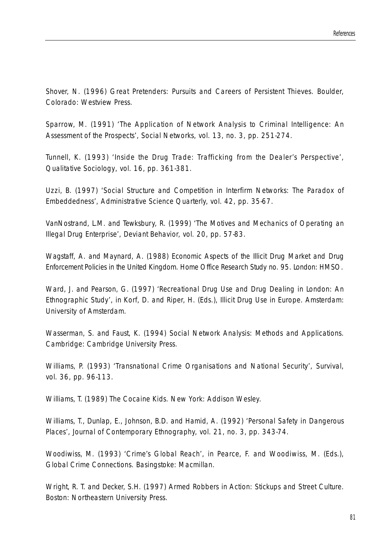Shover, N. (1996) *Great Pretenders: Pursuits and Careers of Persistent Thieves.* Boulder, Colorado: Westview Press.

Sparrow, M. (1991) 'The Application of Network Analysis to Criminal Intelligence: An Assessment of the Prospects', *Social Networks,* vol. 13, no. 3, pp. 251-274.

Tunnell, K. (1993) 'Inside the Drug Trade: Trafficking from the Dealer's Perspective', *Qualitative Sociology*, vol. 16, pp. 361-381.

Uzzi, B. (1997) 'Social Structure and Competition in Interfirm Networks: The Paradox of Embeddedness', *Administrative Science Quarterly,* vol. 42, pp. 35-67.

VanNostrand, L.M. and Tewksbury, R. (1999) 'The Motives and Mechanics of Operating an Illegal Drug Enterprise', *Deviant Behavior,* vol. 20, pp. 57-83.

Wagstaff, A. and Maynard, A. (1988) *Economic Aspects of the Illicit Drug Market and Drug Enforcement Policies in the United Kingdom.* Home Office Research Study no. 95. London: HMSO.

Ward, J. and Pearson, G. (1997) 'Recreational Drug Use and Drug Dealing in London: An Ethnographic Study', in Korf, D. and Riper, H. (Eds.), *Illicit Drug Use in Europe.* Amsterdam: University of Amsterdam.

Wasserman, S. and Faust, K. (1994) *Social Network Analysis: Methods and Applications.* Cambridge: Cambridge University Press.

Williams, P. (1993) 'Transnational Crime Organisations and National Security', *Survival*, vol. 36, pp. 96-113.

Williams, T. (1989) *The Cocaine Kids.* New York: Addison Wesley.

Williams, T., Dunlap, E., Johnson, B.D. and Hamid, A. (1992) 'Personal Safety in Dangerous Places', *Journal of Contemporary Ethnography,* vol. 21, no. 3, pp. 343-74.

Woodiwiss, M. (1993) 'Crime's Global Reach', in Pearce, F. and Woodiwiss, M. (Eds.), *Global Crime Connections.* Basingstoke: Macmillan.

Wright, R. T. and Decker, S.H. (1997) *Armed Robbers in Action: Stickups and Street Culture.* Boston: Northeastern University Press.